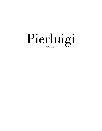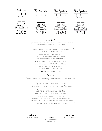

#### **Carta Dei Vini**

Chiunque cerchi di farti credere che sa tutto sul vino <sup>è</sup> ovviamente un impostore… "The Commonsense Book of Wine di Leon Adamas"

La storia del vino <sup>è</sup> cosi antica da confondersi con la stessa storia dell'umanità, intimamente associata alle culture popolari <sup>e</sup> alle loro economie, <sup>è</sup> da sempre parte importante della società.

> Le tradizioni <sup>e</sup> le tecniche enologiche più antiche, associate all'evoluzione <sup>e</sup> l'innovazione moderna si stanno spingendo verso un orientamento minimalista.

LA RICERCATEZZA E L'ESCLUSIVITÀ DELLA NOSTRA CARTA DEI VINI vuole mettere in risalto tutti questi elementi, dai produttori più tradizionali, all'enologo indipendente, da chi ha sempre creduto nei vini naturali, ai più grandi Domaine e Château del mondo.

Benvenuti nella nostra cantina vini.

#### **Wine List**

*"Anyone who tries to make you believe that he knows all about wine is obviously <sup>a</sup> fake." "Leon Adams in The Commonsense Book of Wine"*

*The history of wine is as ancient as that of Mankind. It has always played an important role in society, and has been intimately associated with popular cultures and their economies.*

> *The oldest traditions and wine-making techniques, coupled with new evolutions and modern innovations, have pushed us towards <sup>a</sup> minimalist orientation of wine.*

*The idea behind both the research and exclusivity of our wine list is to highlight all of these aspects surrounding wine. We offer labels from the most traditional producers, to independent enologists, to those who have always believed in maintaining the natural characteristics of wines, and also to the world's greatest Domaines and Chateaus.*

*Welcome to our wine cellar.* 

**Wine Director** Alessandro Tibaldo

Paolo Giovanni Ravasi Francesco Liset

**Head Sommelier**

**Sommelier** Francesco Faraoni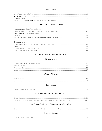#### INDICE / INDEX

| VINI IN ABBINAMENTO - <i>WINE PAIRINGS</i>                                     |  |
|--------------------------------------------------------------------------------|--|
| VINEAL CALICE - WINES BY THE GLASS                                             |  |
| $CORAVIN - CORAVIN$                                                            |  |
| <b>MEZZE BOTTIGLIE VINI BIANCHI E ROSSI -</b> HALF BOTTLES WHITE AND RED WINES |  |

## VINI SPUMANTI / SPARKLING WINES

| <b>METODO CLASSICO - BOTTLE FERMENTED SPARKLING</b> |  |
|-----------------------------------------------------|--|
|                                                     |  |
| <b>METODO CHARMAT - TANK FERMENTED SPARKLING</b>    |  |
|                                                     |  |
|                                                     |  |
| CHAMPAGNE - CHAMPAGNE                               |  |

| <b>FPERNAY</b>                               | IД         |
|----------------------------------------------|------------|
| Côte Des Blancs - Le Mesnil Sur Oger - Avize | $\sqrt{ }$ |
| Vallée De la Marne - Aube - Côte Des Bar     |            |

## VINI BIANCHI ITALIANI / ITALIAN WHITE WINES

## NORD / NORTH

| Piemonte - Valle D'aosta - I ombardia - Liguria |  |
|-------------------------------------------------|--|
| Trentino Alto Adige -                           |  |
| FRIULI VENEZIA GIULIA                           |  |
| VENETO                                          |  |

## **CENTRO / CENTRE**

| -            |  |
|--------------|--|
| <b>MRDIA</b> |  |

## **SUD / SOUTH**

## **VINI BIANCHI FRANCESI / FRENCH WHITE WINES**

|                                                                                                                           | $22-24$ |
|---------------------------------------------------------------------------------------------------------------------------|---------|
| SAINT-AUBIN - COTE CHALONNÂISE - MACONNAIS - JURA - VALLE DELLA LOIRA - VALLE DEL RODANO - BORDEAUX …………………………………………24-25 |         |
| Vini Bianchi Dal Mondo / International White Wines                                                                        |         |
|                                                                                                                           | - 26    |

## RIESLING / RIESLING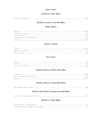## $$

## VINI ROSATI / ROSÉ WINES

| <b>VINI ROSSI ITALIANI / ITALIAN RED WINES</b>        |  |
|-------------------------------------------------------|--|
| NORD / NORTH                                          |  |
|                                                       |  |
|                                                       |  |
|                                                       |  |
|                                                       |  |
|                                                       |  |
| <b>CENTRO / CENTRE</b>                                |  |
|                                                       |  |
|                                                       |  |
|                                                       |  |
| <b>SUD / SOUTH</b>                                    |  |
|                                                       |  |
|                                                       |  |
|                                                       |  |
| <b>VINI ROSSI FRANCESI / FRENCH RED WINES</b>         |  |
|                                                       |  |
|                                                       |  |
|                                                       |  |
| <b>VINI ROSSI SPAGNA / SPANISH RED WINES</b>          |  |
|                                                       |  |
| <b>VINI ROSSI DAL MONDO / INTERNATIONAL RED WINES</b> |  |
|                                                       |  |
|                                                       |  |
| <b>VINI DOLCI / SWEET WINES</b>                       |  |
|                                                       |  |
|                                                       |  |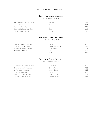#### **Italian Wine Lovers Experience**

For 3-6 Person € 400,00

| Malvasia Riserva - Friuli Venezia Giulia | Edi Kante     | 2012 |
|------------------------------------------|---------------|------|
| Venissa - Veneto                         | Bisoi         | 2014 |
| COMARÌ DEI SALEM - LOMBARDIA             | <b>JBERTI</b> | 2011 |
| Quota 1000 Barbabecchi - Sicilia         | Cîraci I      | 2015 |
| BAROLO CHINATO - PIEMONTE                | Сосснг        | N.V. |

#### **Italian Unique Wines Experience**

For 3-6 Person € 1.200,00

| PINOT BIANCO RARITÀ - ALTO ADIGE       | Teri ano:             | 2008 |
|----------------------------------------|-----------------------|------|
| Ornellaia Bianco - Toscana             | TENUTA DELL'ORNELLAIA | 2016 |
| Riserva dei Fondatore - Trento         | GILLIO FERRARI        | 2009 |
| BARBARESCO - PIEMONTE                  | (jaia                 | 2009 |
| Bukkuram Passito Pantelleria - Sicilia | De Bartoll            | 2012 |

## **The Extreme Bottle Experience**

For 3-6 Person € 3.600,00

| Scharzhofberger Auslese - Mosella | <b>EGON MULLER</b>  | 2006 |
|-----------------------------------|---------------------|------|
| Chardonnay Rarità - Alto Adige    | Cantina Terlano     | 1996 |
| Le Montrachet - Borgogna          | VINCENT GIRARDIN    | 2012 |
| Cuvée R.D. - Champagne            | BOLLINGER           | 2002 |
| Vega Sicilia - Ribeira del Duero  | BODEGA VEGA SICILIA | 2006 |
| Château D'YQuem - Bordeaux        | CHÂTEAU D'YQUEM     | 1998 |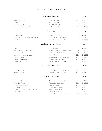|                                        | SPUMANTI / SPARKLING                    |      |   | $10$ cl   |
|----------------------------------------|-----------------------------------------|------|---|-----------|
| Prosecco Doc Brut                      | TERRA VIZINA (VENETO)                   | 2021 |   | € $10,00$ |
| Pas Dosé                               | MOSNEL (FRANCIACORTA)                   | N.V. |   | € $10,00$ |
| Nebbiolo Rosé Dosaggio Zero Dilva      | ADA NADA (PIEMONTE)                     | 2015 |   | € 12,00   |
| <b>VINTAGE COLLECTION EXTRA BRUT</b>   | CA' DEL BOSCO (FRANCIACORTA)            | 2017 |   | € 18,00   |
|                                        | <b>CHAMPAGNE</b>                        |      |   | $10$ cl   |
| COLLECTION 242                         | LOUIS ROEDERER (REIMS)                  | N.V. |   | € 18,00   |
| Grand Cru Blanc De Blancs Zero Dosage  | MICHEL GONET (CÔTE DE BLANCS)           | N.V. |   | € 25,00   |
| Brut Rosé                              | ROBERT ALLAIT (VALLÉE DE LA MARNE)      | N.V. |   | € 20,00   |
|                                        | <b>VINI BIANCHI / WHITE WINES</b>       |      |   | 12,5 cl   |
| GAVI   RISI                            | <b>GIRIBALDI (PIEMONTE)</b>             | 2021 |   | € 12,00   |
| Malvasia Puntinata Bio Gallieno        | Az. AGR. RISERVA DELLA CASCINA (LAZIO)  | 2021 |   | € 10,00   |
| ETNA BIANCO MOFETE                     | PAIMENTO COSTANZO (SICILIA)             | 2020 |   | € 12,00   |
| Vermentino Di Gallura Lumenera         | MURALES (SARDEGNA)                      | 2021 |   | € 12,00   |
| SANCERRE CUVÉE ROMBLE                  | VIGNOBLE DAUNY (VALLE DELLA LOIRA)      | 2020 |   | € 14,00   |
| CHABLIS CUVÉE PRESTICE                 | DOMAINE CHEVALLIER (CHABLIS)            | 2020 |   | € 16,00   |
| Verdejo Cucù                           | <b>BARCO DEL CORNETA (SPACNA)</b>       | 2020 |   | € 10,00   |
|                                        | <b>VINI ROSATI / ROSÉ WINES</b>         |      |   | 12,5 cl   |
| LA VIA DELLE ROSE                      | Az. AGR. RISERVA DELLA CASCINA (LAZIO)  | 2021 |   | € 12,00   |
| Whispering Angel                       | CHATEAU D'ESCLANS (PROVENZA)            | 2021 |   | € 14,00   |
|                                        | <b>VINI ROSSI / RED WINES</b>           |      |   | 12,5 cl   |
| Barbaresco Basarin                     | ADRIANO MARCO E VITTORIO (PIEMONTE)     | 2018 |   | € 16,00   |
| PINOT NERO TURMHOF                     | TIEFENBRUNNER (ALTO ADIGE)              | 2020 |   | € 12,00   |
| CHIANTI CLASSICO RISERVA               | POMONA (TOSCANA)                        | 2018 |   | € 12,00   |
| Bolgheri Rosso                         | LE MACCHIOLE (TOSCANA)                  | 2020 |   | € 13,00   |
| CESANESE DI OLEVANO SUPERIORE GIACOBBE | ALBERTO GIACOBBE (LAZIO)                | 2020 |   | € 10,00   |
| Etna Rosso Ghiaia Nera                 | TASCANTE (SICILIA)                      | 2019 | € | 12,00     |
| POMMARD PINOT NOIR                     | DOMAINE MAZILLY PERE ET FILS (BORGOGNA) | 2019 | € | 20,00     |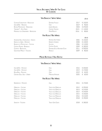|                                      | <b>VINI BIANCHI / WHITE WINES</b> |      | $10$ cl          |
|--------------------------------------|-----------------------------------|------|------------------|
| CORTON-CHARLEMAGNE - BORGOGNA        | <b>DOMAINE FAIVELAY</b>           | 2017 | € 130,00         |
| GAIA & REY - PIEMONTE                | <b>GAJA</b>                       | 2019 | € 90.00          |
| Batard Montrachet - Borgogna         | <b>OSEPH DROUHIN</b>              | 2003 | € 270,00         |
| TERLANER I° - ALTO ADIGE             | Cantina Terlano                   | 2015 | € 110,00         |
| Meursault Les Genevrieres - BORGOGNA | HENRI BOILLOT                     | 2016 | 80,00<br>€       |
|                                      | <b>VINI ROSSI / RED WINES</b>     |      |                  |
|                                      |                                   |      | 10 <sub>cl</sub> |
| AMARONE DELLA VALPOLICELLA - VENETO  | ROMANO DAI FORNO                  | 2006 | € 140.00         |
| BAROLO LA SERRA - PIEMONTE           | ROBERTO VOERZIO                   | 2008 | € 130,00         |
| Brunfllo di Montalcino - Toscana     | SAI VIONI                         | 2006 | € 110,00         |
| Château Palmer - Bordeaux            | CHÂTFAU PAIMER                    | 2009 | € 180,00         |
| CORTON - BORGOGNA                    | DOMAINE DE LA ROMANÉE-CONTI       | 2011 | € 300,00         |
| Galatrona Meriot - Toscana           | PETROLO                           | 2009 | € 80.00          |

## **Mezze Bottiglie / Half Bottle**

#### **Vini Bianchi / White Wines**

| Gaia & Rey - Piemonte       | Gaia              | 2016 | € 200.00       |
|-----------------------------|-------------------|------|----------------|
| Gaia & Rey - Piemonte       | Gaia              |      | 2019 € 170.00  |
| Rossj Bass - Piemonte       | Gaia              |      | $2019$ € 65.00 |
| Cervaro Della Sala - Umbria | Marchesi Antinori |      | 2020 € 60.00   |
|                             |                   |      |                |

#### **Vini Rossi / Red Wines**

| <b>BARBARESCO - PIEMONTE</b> | <b>GAIA</b>           | 2016 | € 170,00 |
|------------------------------|-----------------------|------|----------|
| Ornellaia - Toscana          | TENUTA DELL'ORNELLAIA | 2012 | € 290.00 |
| Ornellaia - Toscana          | TENUTA DELL'ORNELLAIA | 2013 | € 270,00 |
| Ornellaia - Toscana          | Tenuta dell'Ornellaia | 2014 | € 250,00 |
| ORNELLAIA - TOSCANA          | TENUTA DELL'ORNELLAIA | 2015 | € 230,00 |
| Ornellaia - Toscana          | TENUTA DELL'ORNELLAIA | 2016 | € 210,00 |
| Ornellaia - Toscana          | TENUTA DELL'ORNELLAIA | 2018 | € 190,00 |
| Sassicaia - Toscana          | Tenuta San Guido      | 2018 | € 180.00 |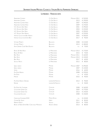# **Lombardia - Franciacorta**

| ANNAMARIA CLEMENTI                           | CA' DEL BOSCO        | MAGNUM 2011 | € 520,00   |
|----------------------------------------------|----------------------|-------------|------------|
| ANNAMARIA CLEMENTI                           | CA' DEL BOSCO        | 2013        | € 190,00   |
| ANNAMARIA CLEMENTI ROSÉ                      | CA' DEL BOSCO        | 2007        | € 290,00   |
| ANNAMARIA CLEMENTI ROSÉ                      | CA' DEL BOSCO        | 2009        | € 270,00   |
| V.C. DOSAGE ZÉRO NOIR                        | CA' DEL BOSCO        | 2001        | € 290,00   |
| V.C. DOSAGE ZÉRO NOIR                        | CA' DEL BOSCO        | 2004        | € 220,00   |
| V.C. DOSAGE ZÉRO NOIR                        | CA' DEL BOSCO        | 2005        | € 200,00   |
| V.C. DOSAGE ZÉRO RISERVA                     | CA' DEL BOSCO        | 2007        | € 220,00   |
| <b>VINTAGE COLLECTION BRUT RISERVA</b>       | CA' DEL BOSCO        | 2002        | € 300,00   |
| <b>VINTAGE COLLECTION EXTRA BRUT</b>         | CA' DEL BOSCO        | 2017        | € 90,00    |
| <b>VITTORIO MORETTI</b>                      | BELLAVISTA           | 2008        | € 210,00   |
| <b>VITTORIO MORETTI</b>                      | BELLAVISTA           | 2013        | € 180,00   |
| ALMA GRANDE CUVÉE NON DOSATO                 | BELLAVISTA           | N.V.        | € 70,00    |
| <b>BLANC DE NOIR ROSÉ</b>                    | LE MARCHESINE        | MACNUM 2013 | € 170,00   |
| <b>BLANC DE NOIR</b>                         | LE MARCHESINE        | 2015        | € 70,00    |
| <b>BRUT ROSÉ</b>                             | LE MARCHESINE        | MAGNUM 2011 | € 160,00   |
| <b>BRUT ROSÉ</b>                             | LE MARCHESINE        | MACNUM 2013 | € 140,00   |
| <b>BRUT ROSÉ</b>                             | LE MARCHESINE        | 2017        | € 60,00    |
| SECOLO Novo                                  | LE MARCHESINE        | 2012        | € 80,00    |
| Q.D.E. RISERVA                               | MOSNEL               | MACNUM 2007 | € 290,00   |
| Q.D.E. RISERVA                               | MOSNEL               | 2007        | € 120,00   |
| Satèn                                        | MOSNEL               | 2016        | € $60,00$  |
| PAS DOSÉ RISERVA                             | MOSNEL               | 2008        | € 190,00   |
| PAS DOSÉ                                     | MOSNEL               | N.V.        | € 45,00    |
| PAROSÉ                                       | MOSNEL               | 2016        | € 90,00    |
| PAS DOSÉ RISERVA ORIGINES                    | LANTIERI DE PARATICO | 2013        | € 90,00    |
| NATURE                                       | LANTIERI DE PARATICO | N.V.        | 50,00<br>€ |
| PAS DOSÉ AU CONTRAIRE                        | CAVALLERI            | 2008        | € 160,00   |
| <b>COLLEZIONE GRAND CRU</b>                  | CAVALLERI            | 2009        | € 170,00   |
| <b>COLLEZIONE GRAND CRU</b>                  | CAVALLERI            | 2013        | € 140,00   |
| <b>COLLEZIONE ESCLUSIVA</b>                  | CAVALLERI            | 2008        | € 150,00   |
| CABOCHON FUORISERIE N°22                     | MONTE ROSSA          | N.V.        | € 120,00   |
| COMARI DEL SALEM                             | <b>UBERTI</b>        | 2011        | € 85,00    |
| NEFERTITI DIZETA                             | VEZZOLI              | 2014        | € 70,00    |
| BLANC DE NOIRS EXTRA BRUT CORO DELLE MONACHE | ARCARI E DANESI      | 2013        | € 80,00    |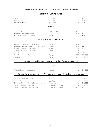#### **Lombardia - Oltrepò Pavese**

| <b>NATURE</b><br>Rosé<br>NATURE CARLO BOATTI             | MONSUPELLO<br>MONSUPELLO<br>MONSUPELLO | N.V.<br>N.V.<br>2002 | 50,00<br>€<br>€ 60,00<br>€ 240,00 |  |  |
|----------------------------------------------------------|----------------------------------------|----------------------|-----------------------------------|--|--|
| <b>PIEMONTE</b>                                          |                                        |                      |                                   |  |  |
| Alta Langa Brut                                          | ETTORE GERMANO                         | 2015                 | € 50,00                           |  |  |
| RISERVA DEL FONDATORE PIERO COPPO                        | Coppo                                  | 2006                 | € 180,00                          |  |  |
| NEBBIOLO ROSÉ DOSAGGIO ZERO "DILVA"                      | Ada Nada                               | 2015                 | € 60,00                           |  |  |
|                                                          | TRENTINO ALTO ADIGE - TRENTO DOC       |                      |                                   |  |  |
| RISERVA DEL FONDATORE ROSÈ - GIULIO FERRARI              | FERRARI                                | 2006                 | € 450,00                          |  |  |
| RISERVA DEL FONDATORE EDIZIONE LIMITATA - GIULIO FERRARI | FERRARI                                | 2000                 | € 650,00                          |  |  |
| RISERVA DEI FONDATORE - GIULIO FERRARI                   | FERRARI                                | 2002                 | € 350,00                          |  |  |
| RISERVA DEL FONDATORE - GIULIO FERRARI                   | FERRARI                                | 2004                 | € 300.00                          |  |  |

| Riserva Del Fondatore - Giulio Ferrari | FERRARI | 2005 € 280,00 |
|----------------------------------------|---------|---------------|
| Risfrva Dei Fondatore - Giulio Ferrari | FERRARL | 2009 € 240,00 |
| Peri é Bianco                          | FERRARI | 2014 € 120,00 |

## **Spumanti Italiani Metodo Charmat / Italian Tank Fermented Sparkling**

#### **Prosecco**

| PROSECCO SUPERIORE - VALDOBBIADENE                                                | MONGARDA                   | N.V. | € 40.00 |
|-----------------------------------------------------------------------------------|----------------------------|------|---------|
| SPUMANTI INTERNAZIONALI METODO CLASSICO/ INTERNATIONAL BOTTLE FERMENTED SPARKLING |                            |      |         |
| RIESLING SEKT BRUT NATURE - MOSELLA                                               | PRUM                       | 2017 | € 60.00 |
| Crémant d'Alsace - Alsazia                                                        | Léon Failer                | N.V. | € 50.00 |
| Crémant de Bourgogne Blanc de Blancs - Borgogna                                   | <b>MAISON PEGUET</b>       | N.V  | € 60,00 |
| Crémant de Bourgogne - Borgogna                                                   | DOMAINE JEAN COLLET & FILS | N.V  | € 70.00 |
| Crémant de Bourgogne Rosé - Borgogna                                              | DOMAINE HOUBLIN-VERNIN     | 2018 | € 60.00 |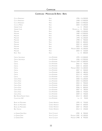# **Champagne - Montagne De Reims - Reims**

| Clos d'Ambonnay                    | KRUG                     | 1996        | € 6.500,00      |
|------------------------------------|--------------------------|-------------|-----------------|
| CLOS D'AMBONNAY                    | KRUG                     | 1998        | € 5.900,00      |
| CLOS D'AMBONNAY                    | KRUG                     | 2000        | € 4.900,00      |
| <b>CLOS DU MESNIL</b>              | KRUG                     | 2004        | € 3.200,00      |
| <b>GRANDE CUVÉE</b>                | KRUG                     | N.V.        | 390,00<br>$\in$ |
| <b>GRANDE CUVÉE</b>                | KRUG                     | MAGNUM N.V. | 900,00<br>€     |
| MILLÈSIMÈ                          | KRUG                     | 1988        | € 2.200,00      |
| MILLÈSIMÈ                          | KRUG                     | 1989        | € 2.000,00      |
| MILLÈSIMÈ                          | KRUG                     | 1990        | € 1.800,00      |
| MILLÈSIMÈ                          | KRUG                     | 1995        | € 1.200,00      |
| MILLÈSIMÈ                          | KRUG                     | 1998        | €<br>900,00     |
| MILLÈSIMÈ                          | KRUG                     | 2000        | 800,00<br>€     |
| MILLÈSIMÈ                          | KRUG                     | 2002        | 600,00<br>€     |
| MILLÈSIMÈ                          | KRUG                     | 2003        | 550,00<br>€     |
| MILLÈSIMÈ                          | KRUG                     | MAGNUM 2003 | € 1.300,00      |
| MILLÈSIMÈ                          | KRUG                     | 2004        | €<br>520,00     |
| Rosé - Krug                        | KRUG                     | N.V.        | 800,00<br>€     |
|                                    |                          |             |                 |
| CRISTAL VINOTHÈQUE                 | LOUIS ROEDERER           | 1995        | € 3.500,00      |
| CRISTAL VINOTHÈQUE                 | LOUIS ROEDERER           | 1996        | € 2.900,00      |
| CRISTAL                            | LOUIS ROEDERER           | MAGNUM 1999 | € 1.800,00      |
| CRISTAL                            | LOUIS ROEDERER           | 2002        | €<br>700,00     |
| CRISTAL                            | LOUIS ROEDERER           | 2004        | 600,00<br>€     |
| CRISTAL                            | LOUIS ROEDERER           | MAGNUM 2004 | € 1.300,00      |
| CRISTAL                            | LOUIS ROEDERER           | 2007        | $\in$<br>500,00 |
| CRISTAL                            | LOUIS ROEDERER           | 2008        | 480,00<br>€     |
| CRISTAL                            | LOUIS ROEDERER           | 2012        | 440,00<br>€     |
| CRISTAL                            | LOUIS ROEDERER           | 2013        | €<br>410,00     |
| CRISTAL ROSÉ                       | LOUIS ROEDERER           | 2000        | € 1.200,00      |
| CRISTAL ROSÉ                       | LOUIS ROEDERER           | 2002        | € 1.000,00      |
| CRISTAL ROSÉ                       | LOUIS ROEDERER           | 2004        | €<br>900,00     |
| CRISTAL ROSÉ                       | LOUIS ROEDERER           | 2005        | €<br>850,00     |
| CRISTAL ROSÉ                       | LOUIS ROEDERER           | 2006 €      | 800,00          |
| CRISTAL ROSÉ                       | LOUIS ROEDERER           | 2007        | 780,00<br>€     |
| <b>CRISTAL ROSÉ</b>                | LOUIS ROEDERER           | 2008        | 750,00<br>€     |
| CRISTAL ROSÉ                       | LOUIS ROEDERER           | 2009        | 700,00<br>€     |
| <b>BRUT NATURE PHILIPPE STARCK</b> | LOUIS ROEDERER           | 2012        | 180,00<br>€     |
| COLLECTION 242                     | LOUIS ROEDERER           | N.V. $\in$  | 90,00           |
|                                    |                          |             |                 |
| <b>BLANC DES MILLENAIRES</b>       | <b>CHARLES HEIDSIECK</b> | 1995        | 750,00<br>€     |
| <b>BLANC DES MILLENAIRES</b>       | <b>CHARLES HEIDSIECK</b> | 2004        | 600,00<br>€     |
| <b>BLANC DES MILLENAIRES</b>       | <b>CHARLES HEIDSIECK</b> | 2007 €      | 490,00          |
| <b>BRUT VINTAGE</b>                | <b>CHARLES HEIDSIECK</b> | 2012        | 250,00<br>€     |
| LA GRANDE DAME ROSÉ                | <b>VEUVE CLICQUOT</b>    | 1990        | 900,00<br>€     |
| LA GRANDE DAME                     | <b>VEUVE CLICQUOT</b>    | MAGNUM 1990 | € 1.300,00      |
| LA GRANDE DAME                     | <b>VEUVE CLICQUOT</b>    | MACNUM 1998 | € 950,00        |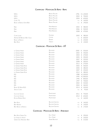## **Champagne - Montagne De Reims - Reims**

| N.P.U.                            | <b>BRUNO PAILLARD</b> | 1996 |   | € 1.100,00 |
|-----------------------------------|-----------------------|------|---|------------|
| N.P.U.                            | <b>BRUNO PAILLARD</b> | 2002 |   | € 700,00   |
| N.P.U.                            | <b>BRUNO PAILLARD</b> | 2004 |   | € 630,00   |
| CUVÉE '72                         | <b>BRUNO PAILLARD</b> | N.V. |   | € 160,00   |
| <b>BLANC DE BLANCS EXTRA BRUT</b> | <b>BRUNO PAILLARD</b> | N.V. |   | € 190,00   |
| RARE                              | PIPER-HEIDSIECK       | 2002 |   | € 580,00   |
| RARE                              | PIPER-HEIDSIECK       | 2006 |   | € 500,00   |
| RARE                              | PIPER-HEIDSIECK       | 2008 | € | 470,00     |
| CUVÉE LOUISE                      | <b>POMMERY</b>        | 2002 | € | 380,00     |
| ARMAND DE BRIGNAC BRUT GOLD       | CATTIER               | N.V. | € | 600,00     |
| <b>BLANC DE BLANCS</b>            | RUINART               | N.V. | € | 220,00     |
| <b>BRUT ROSÉ</b>                  | THIENOT               | N.V. |   | € 130,00   |

# **Champagne - Montagne De Reims - AŸ**

| La Grande Année             | <b>BOLLINGER</b>        | 2000 | €     | 550,00     |
|-----------------------------|-------------------------|------|-------|------------|
| LA GRANDE ANNÉE             | <b>BOLLINGER</b>        | 2002 | €     | 450,00     |
| LA GRANDE ANNÉE             | <b>BOLLINGER</b>        | 2004 | €     | 370,00     |
| LA GRANDE ANNÉE             | <b>BOLLINGER</b>        | 2005 | €     | 350,00     |
| LA GRANDE ANNÉE             | <b>BOLLINGER</b>        | 2007 | $\in$ | 320,00     |
| LA GRANDE ANNÉE             | <b>BOLLINGER</b>        | 2008 | €     | 300,00     |
| LA GRANDE ANNÉE             | <b>BOLLINGER</b>        | 2012 | €     | 270,00     |
| La Grande Année Rosé        | <b>BOLLINGER</b>        | 2002 | €     | 500,00     |
| LA GRANDE ANNÉE ROSÉ        | BOLLINGER               | 2005 | €     | 480,00     |
| LA GRANDE ANNÉE ROSÉ        | <b>BOLLINGER</b>        | 2007 | $\in$ | 450,00     |
| LA GRANDE ANNÉE ROSÉ        | <b>BOLLINGER</b>        | 2012 | €     | 380,00     |
| R.D.                        | <b>BOLLINGER</b>        | 1988 |       | €1.200,00  |
| R.D.                        | <b>BOLLINGER</b>        | 1990 |       | € 1.000,00 |
| R.D.                        | <b>BOLLINGER</b>        | 1996 |       | € 800,00   |
| R.D.                        | <b>BOLLINGER</b>        | 1997 | €     | 700,00     |
| R.D.                        | <b>BOLLINGER</b>        | 2002 | €     | 520,00     |
| R.D.                        | <b>BOLLINGER</b>        | 2004 | €     | 460,00     |
| <b>BLANC DE NOIRS B13</b>   | <b>BOLLINGER</b>        | 2013 | €     | 320,00     |
| SPECIAL CUVÉE               | <b>BOLLINGER</b>        | N.V. | €     | 95,00      |
| Clos des Goisses            | PHILIPPONNAT            | 2011 | €     | 750,00     |
| CLOS DES GOISSES            | PHILIPPONNAT            | 2012 | €     | 650,00     |
| ROYALE RÉSERVE ROSÉ         | PHILIPPONNAT            | N.V. | $\in$ | 160,00     |
| <b>BRUT ROSÉ</b>            | <b>BILLECART-SALMON</b> | N.V. | €     | 160,00     |
| <b>BRUT RÉSERVE</b>         | <b>BILLECART-SALMON</b> | N.V. | €     | 140,00     |
| <b>BRUT BLANC DE BLANCS</b> | <b>BILLECART-SALMON</b> | N.V. | €     | 170,00     |

## **Champagne - Montagne De Reims - Ambonnay**

| Brut Rosé Grand Cru     | EGLY OURIET    |  | N.V. € 290,00     |
|-------------------------|----------------|--|-------------------|
| LES VIGNES DE VRIGNY    | EGLY OURIET    |  | N.V. € 230,00     |
| Grand Cru Ambonnay Brut | André Beaufort |  | N.V. $\in$ 210,00 |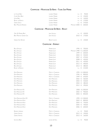## **Champagne - Montagne De Reims - Tours Sur Marne**

| LA CUVÈE BRUT          | Laurent Perrier |                      | N.V. € 90,00           |
|------------------------|-----------------|----------------------|------------------------|
| CUVÈE ROSÉ BRUT        | Laurent Perrier |                      | N.V. € 150,00          |
| ULTRA BRUT             | Laurent Perrier |                      | N.V. $\epsilon$ 140,00 |
| BLANC DE BLANCS        | Laurent Perrier |                      | N.V. € 170,00          |
| GRAND SIÈCLE           | Laurent Perrier |                      | N.V. € 270,00          |
| BRUT MILLESIMÉ RESERVE | Laurent Perrier | MAGNUM 2000 € 600,00 |                        |

## **Champagne - Montagne De Reims - Bouzy**

| OEIL DE PERDRIX BRUT    | EAN VESSELLE  |               | N.V. € 100,00 |  |
|-------------------------|---------------|---------------|---------------|--|
| Brut Prestige Grand Cru | Iean Vesselle | 2010 € 170,00 |               |  |
| Grand Cru Nature        | Benoît Lahaye |               | N.V. € 140,00 |  |

# **Champagne - Epernay**

| <b>BELLE EPOQUE</b>      | PERRIER JOUET       | 1996        | €<br>700,00          |
|--------------------------|---------------------|-------------|----------------------|
| <b>BELLE EPOQUE</b>      | PERRIER JOUET       | MACNUM 1998 | € 1.300,00           |
| <b>BELLE EPOQUE</b>      | PERRIER JOUET       | 1999        | €<br>600,00          |
| <b>BELLE EPOQUE</b>      | PERRIER JOUET       | 2004        | 550,00<br>€          |
| <b>BELLE EPOQUE</b>      | PERRIER JOUET       | 2007        | 470,00<br>$\in$      |
| <b>BELLE EPOQUE</b>      | PERRIER JOUET       | 2008        | 450,00<br>€          |
| <b>BELLE EPOQUE</b>      | PERRIER JOUET       | 2011        | 420,00<br>€          |
| <b>BELLE EPOQUE</b>      | PERRIER JOUET       | 2012        | 400,00<br>$\in$      |
| <b>BELLE EPOQUE</b>      | PERRIER JOUET       | 2013        | 380,00<br>€          |
| <b>BLANC DE BLANCS</b>   | PERRIER JOUET       | N.V.        | 210,00<br>€          |
| <b>DOM PÉRIGNON</b>      | MOËT ET CHANDON     | 1995        | € 1.000,00           |
| <b>DOM PÉRIGNON</b>      | MOËT ET CHANDON     | 1996        | $\in$<br>800,00      |
| <b>DOM PÉRIGNON</b>      | MOËT ET CHANDON     | 1999        | 650,00<br>€          |
| <b>DOM PÉRIGNON</b>      | <b>DOM PÉRIGNON</b> | 2002        | 560,00<br>€          |
| <b>DOM PÉRIGNON</b>      | <b>DOM PÉRIGNON</b> | 2003        | 530,00<br>€          |
| <b>DOM PÉRIGNON</b>      | <b>DOM PÉRIGNON</b> | 2004        | 480,00<br>$\in$      |
| <b>DOM PÉRIGNON</b>      | <b>DOM PÉRIGNON</b> | 2012 €      | 390,00               |
| DOM PÉRIGNON P2          | <b>DOM PÉRIGNON</b> | 2000        | € 1.000,00           |
| DOM PÉRIGNON P2          | <b>DOM PÉRIGNON</b> | 2002        | €<br>900,00          |
| DOM PÉRIGNON P2          | <b>DOM PÉRIGNON</b> | 2003        | €<br>850,00          |
| DOM PÉRIGNON ROSÉ P2     | MOËT ET CHANDON     | 1995        | € 1.500,00           |
| <b>DOM PÉRIGNON ROSÉ</b> | <b>DOM PÉRIGNON</b> | 2003        | €<br>800,00          |
| <b>DOM PÉRIGNON ROSÉ</b> | <b>DOM PÉRIGNON</b> | 2004        | €<br>750,00          |
| <b>DOM PÉRIGNON ROSÉ</b> | <b>DOM PÉRIGNON</b> | 2005        | 700,00<br>€          |
| <b>DOM PÉRIGNON ROSÉ</b> | <b>DOM PÉRIGNON</b> | 2006        | €<br>600,00          |
| RÉSERVE IMPERIALE        | MOËT ET CHANDON     | N.V. $\in$  | 90,00                |
| <b>GRAND VINTAGE</b>     | MOËT ET CHANDON     | 2012        | 190,00<br>€          |
| <b>GRAND VINTAGE</b>     | MOËT ET CHANDON     | 2013        | 160,00<br>$\epsilon$ |
| <b>INTUITION BRUT</b>    | LEGRAS & HAAS       | N.V. $\in$  | 90,00                |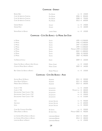#### **Champagne - Epernay**

| Réserve Brut                | POL ROGER      |            |   | N.V. € 140,00     |
|-----------------------------|----------------|------------|---|-------------------|
| CUVÉE SIR WINSTON CHURCHILL | POL ROGER      | 2006       | € | 850,00            |
| CUVÉE SIR WINSTON CHURCHILL | POL ROGER      |            |   | 2008 € 750,00     |
| CUVÉE SIR WINSTON CHURCHILL | POL ROGER      | $2013 \t∈$ |   | 600,00            |
|                             |                |            |   |                   |
| GRANDE RÉSERVE              | Gosset         |            |   | N.V. $\in$ 140,00 |
| Grande Rosé                 | Gosset         |            |   | N.V. $\in$ 160,00 |
|                             |                |            |   |                   |
| NATURE BLANC DE BLANCS      | Laherte Frères | N.V.       | € | 120.00            |

## **Champagne - Côte Des Blancs - Le Mesnil Sur Oger**

| LE MESNIL                             | SALON          |                        |   | 1995 € 2.500,00 |
|---------------------------------------|----------------|------------------------|---|-----------------|
| Le Mesnii                             | Salon          |                        |   | 1996 € 2.400,00 |
| LE MESNIL                             | SALON          |                        |   | 1997 € 2.200,00 |
| LE MESNIL                             | Salon          |                        |   | 1999 € 2.000,00 |
| LE MESNIL                             | SALON          | MAGNUM 1999 € 4.500,00 |   |                 |
| LE MESNIL                             | Salon          |                        |   | 2002 € 1.800,00 |
| LE MESNIL                             | SALON          |                        |   | 2006 € 1.500,00 |
| Le Mesnie                             | Salon          |                        |   | 2007 € 1.400,00 |
| <b>VUE BLANCHE ESTELLE</b>            | <b>ENCRY</b>   | 2009 €                 |   | 160,00          |
| GRAND CRU BLANC DE BLANCS ZERO DOSAGE | MICHEL GONET   | N.V. $\in$             |   | 130,00          |
| COFUR DE MESNII BLANC DE BLANCS       | MICHEL GONET   | 2009                   | € | 160,00          |
| BRUT GRAND CRU BLANC DE BLANCS        | ROBERT MONCUIT | N.V.                   | € | 120,00          |

#### **Champagne - Côte Des Blancs - Avize**

| AVIZOISE BLANC DE BLANCS            | AGRAPART           | 2011                   | €  | 320,00 |
|-------------------------------------|--------------------|------------------------|----|--------|
| <b>VENUS BLANC DE BLANCS</b>        | AGRAPART           | 2011                   | €  | 420,00 |
| MINERAL BLANC DE BLANCS             | AGRAPART           | $2014$ €               |    | 260,00 |
| CUVÉE N° 744                        | ACQUESSON          | N.V. $\in$             |    | 140,00 |
| CUVÉE N° 744                        | ACQUESSON          | MAGNUM N.V. $\in$      |    | 300,00 |
| DÈGORGEMENT TARDIF CUVÉE N° 736     | <b>JACQUESSON</b>  | N.V.                   | €  | 280,00 |
| DEGORGEMENT TARDIE CUVÉE N° 737     | <b>JACQUESSON</b>  | N.V.                   | €  | 230,00 |
| DEGORGEMENT TARDIE CUVÉE N° 739     | ACQUESSON          | N.V. $\in$             |    | 210,00 |
| V.O.                                | JACQUES SELOSSE    | N.V.                   | €  | 550,00 |
| <b>SUBSTANCE</b>                    | JACQUES SELOSSE    | N.V. $\in$             |    | 600,00 |
| <b>NITIAL</b>                       | JACQUES SELOSSE    | N.V. $\in$             |    | 320,00 |
| CUVÉE DES CAUDALIES EXTRA BRUT      | DE SOUSA           | N.V.                   | €  | 230,00 |
| ORPALE BLANC DE BLANCS              | DE SAINT GALL      | MAGNUM 2002 $\epsilon$ |    | 450,00 |
| LES CHEMINS D'AVIZE BLANC DE BLANCS | LARMANDIER-BERNIER | 2012                   | €  | 350,00 |
| LES CHEMINS D'AVIZE BLANC DE BLANCS | LARMANDIER-BERNIER | 2014                   | €  | 300,00 |
| LONGITUDE BLANC DE BLANCS           | LARMANDIER-BERNIER | N.V.                   | €. | 150,00 |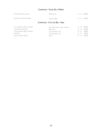## **Champagne - Vallée De la Marne**

| PLAISIR NATURE ZERO DOSAGE     | Robert All ait  |  | N.V. € 100,00 |
|--------------------------------|-----------------|--|---------------|
| ENTRE CIFI ET TERRE EXTRA BRUT | FRANCOISE BEDEL |  | N.V. € 170.00 |

## **Champagne - Côte des Bar - Aube**

| Côte de Bechalin Blanc de Noirs | Cédric Bouchard - Roses de Jeanne |  | N.V. € 160,00     |
|---------------------------------|-----------------------------------|--|-------------------|
| Carte Blanche Pas Dosé          | <b>BEAUGRAND</b>                  |  | N.V. $\in$ 110,00 |
| Cuvée De Reserve Blanc de Noirs | GALLIMARD PÉRE ET FILS            |  | N.V. € 85.00      |
| ROSÉ BRUT                       | Gallimard Pére et Fils            |  | N.V. € 95.00      |
| FIEUR DE L'EUROPE NATURE        | FLELIDY.                          |  | N.V. € 120.00     |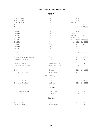## **Piemonte**

| ALTENI DI BRASSICA                | CAJA                 | 2007                   | € | 350,00     |
|-----------------------------------|----------------------|------------------------|---|------------|
| <b>ALTENI DI BRASSICA</b>         | <b>GAJA</b>          | 2009                   | € | 320,00     |
| <b>ALTENI DI BRASSICA</b>         | GAJA                 | MACNUM 2016            | € | 700,00     |
| <b>ALTENI DI BRASSICA</b>         | GAJA                 | 2018                   | € | 230,00     |
| <b>ALTENI DI BRASSICA</b>         | GAJA                 | 2019 €                 |   | 210,00     |
| <b>GAIA &amp; REY</b>             | <b>GAJA</b>          | 2006                   | € | 900,00     |
| <b>GAIA &amp; REY</b>             | GAJA                 | MAGNUM 2006            |   | € 1.950,00 |
| <b>GAIA &amp; REY</b>             | GAJA                 | MAGNUM 2009 € 1.800,00 |   |            |
| <b>GAIA &amp; REY</b>             | GAJA                 | MAGNUM 2011 € 1.700,00 |   |            |
| <b>GAIA &amp; REY</b>             | GAJA                 | MAGNUM 2014            |   | € 1.500,00 |
| <b>GAIA &amp; REY</b>             | GAJA                 | MAGNUM 2015 € 1.400,00 |   |            |
| <b>GAIA &amp; REY</b>             | GAJA                 | 2016                   | € | 600,00     |
| <b>GAIA &amp; REY</b>             | GAJA                 | 2017 €                 |   | 550,00     |
| <b>GAIA &amp; REY</b>             | GAJA                 | 2018                   | € | 500,00     |
| Rossj Bass                        | <b>GAJA</b>          | 2020                   | € | 120,00     |
| CHARDONNAY RISERVA DELLA FAMIGLIA | Coppo                | 2017 €                 |   | 250,00     |
| <b>CHARDONNAY MONTERIOLO</b>      | Coppo                | 2018 €                 |   | 75,00      |
| ROERO ARNEIS 7 ANNI               | ANGELO NEGRO & FIGLI | 2015 €                 |   | 80,00      |
| ROERO ARNEIS PERDAUDIN RISERVA    | ANGELO NEGRO & FIGLI | 2020 €                 |   | 40,00      |
| GAVI   RISI                       | GIRIBALDI            | 2020 €                 |   | 60,00      |
| DERTHONA COSTA DEL VENTO          | <b>VIGNETI MASSA</b> | 2018 €                 |   | 90,00      |
|                                   | <b>VALLE D'AOSTA</b> |                        |   |            |
| CHARDONNAY CUVÉE BOIS             | LES CRÊTES           | 2014                   | € | 110,00     |
| <b>CHARDONNAY CUVÉE BOIS</b>      | LES CRÊTES           | 2019 €                 |   | 80,00      |
|                                   | Lombardia            |                        |   |            |
| CORTE DEL LUPO CURTEFRANCA        | CA' DEL BOSCO        | 2020 €                 |   | 60,00      |
| LUGANA BROLETTINO                 | CA' DEI FRATI        | 2020 €                 |   | 50,00      |
|                                   | LIGURIA              |                        |   |            |
| PIGATO LE PETRAIE                 | LUPI                 | 2020 €                 |   | 45,00      |
| CINQUETERRE BIANCO                | FORLINI CAPPELLINI   | 2020 €                 |   | 60,00      |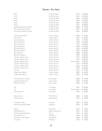# **Trentino - Alto Adige**

| APPIUS                               | <b>ST. MICHAEL EPPAN</b> | 2012        | € 390,00   |
|--------------------------------------|--------------------------|-------------|------------|
| APPIUS                               | <b>ST. MICHAEL EPPAN</b> | 2013        | € 370,00   |
| APPIUS                               | <b>ST. MICHAEL EPPAN</b> | 2014        | € 350,00   |
| APPIUS                               | <b>ST. MICHAEL EPPAN</b> | 2015        | € 320,00   |
| APPIUS                               | <b>ST. MICHAEL EPPAN</b> | 2016        | € 300,00   |
| APPIUS                               | <b>ST. MICHAEL EPPAN</b> | 2017        | € 280,00   |
| GEWÜRZTRAMINER SANCT VALENTIN        | <b>ST. MICHAEL EPPAN</b> | 2020        | € $60,00$  |
| PINOT GRIGIO SANCT VALENTIN          | <b>ST. MICHAEL EPPAN</b> | 2019        | 60,00<br>€ |
| <b>SAUVIGNON THE WINE COLLECTION</b> | <b>ST. MICHAEL EPPAN</b> | 2016        | € 180,00   |
| LUNARE GEWÜRZTRAMINER                | CANTINA TERLANO          | 2020        | 80,00<br>€ |
| Nova Domus                           | CANTINA TERLANO          | 2019        | € 100,00   |
| QUARZ SAUVIGNON                      | CANTINA TERLANO          | 2020        | € 90,00    |
| RARITÀ CHARDONNAY                    | CANTINA TERLANO          | 1996        | € 700,00   |
| RARITÀ CHARDONNAY                    | CANTINA TERLANO          | 1997        | € 600,00   |
| RARITÀ CHARDONNAY                    | CANTINA TERLANO          | 1998        | € 550,00   |
| RARITÀ PINOT BIANCO                  | <b>CANTINA TERLANO</b>   | 2005        | € 450,00   |
| RARITÀ PINOT BIANCO                  | CANTINA TERLANO          | 2007        | € 400,00   |
| RARITÀ TERLANER                      | CANTINA TERLANO          | 2008        | € 350,00   |
| RARITÀ PINOT BIANCO                  | CANTINA TERLANO          | 2009        | € 320,00   |
| TERLANER I° GRANDE CUVÉE             | CANTINA TERLANO          | 2012        | € 600,00   |
| TERLANER I <sup>°</sup> GRANDE CUVÉE | CANTINA TERLANO          | 2015        | € 500,00   |
| TERLANER I <sup>°</sup> GRANDE CUVÉE | CANTINA TERLANO          | MACNUM 2016 | € 900,00   |
| TERLANER I <sup>°</sup> GRANDE CUVÉE | CANTINA TERLANO          | 2017        | € 500,00   |
| TERLANER I <sup>°</sup> GRANDE CUVÉE | CANTINA TERLANO          | 2018        | € 450,00   |
| TERLANER I <sup>°</sup> GRANDE CUVÉE | CANTINA TERLANO          | 2019        | € 400,00   |
| TERLANER                             | CANTINA TERLANO          | 2021        | 45,00<br>€ |
| <b>VORBERG PINOT BIANCO</b>          | CANTINA TERLANO          | 2009        | € 140,00   |
| <b>VORBERG PINOT BIANCO</b>          | CANTINA TERLANO          | 2019        | €<br>70,00 |
| VÖGELMAIER MOSCATO GIALLO            | ALOIS LAGEDER            | 2020        | € 45,00    |
| LÖWENGANG CHARDONNAY                 | ALOIS LAGEDER            | 2019        | € 100,00   |
| PORER PINOT GRIGIO                   | ALOIS LAGEDER            | 2020        | € 45,00    |
| L.R.                                 | COLTERENZIO              | 2015        | € 150,00   |
| L.R.                                 | COLTERENZIO              | MAGNUM 2015 | € 330,00   |
| SAUVIGNON LAFÒA                      | COLTERENZIO              | 2019        | € 65,00    |
| MÜLLER THURGAU                       | MANNI NÖSSING            | 2020        | 45,00<br>€ |
| <b>GRÜNER VELTLINER</b>              | MANNI NÖSSING            | 2019        | 40,00<br>€ |
| <b>SYLVANER ALTE REBEN</b>           | PACHERHOF                | 2019        | 60,00<br>€ |
| PRIVATE CUVÉE ANDREAS HUBER          | PACHERHOF                | 2018        | 90,00<br>€ |
| MANNA                                | FRANZ HAAS               | 2019        | 50,00<br>€ |
| <b>KERNER PRAEPOSITUS</b>            | ABBAZIA DI NOVACELLA     | 2019        | 50,00<br>€ |
| <b>GEWÜRZTRAMINER NUSSBAUMER</b>     | TRAMIN                   | 2020        | 60,00<br>€ |
| <b>SAUVIGNON VOGLAR</b>              | PETER DIPOLI             | 2018        | 50,00<br>€ |
| FELDMARSCHALL VON FENNER             | TIEFENBRUNNER            | 2018        | 70,00<br>€ |
| <b>SYLVANER R</b>                    | KÖFERERHOF               | 2019        | 55,00<br>€ |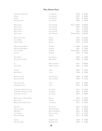# **Friuli Venezia Giulia**

| <b>CIAMPAGNIS CHARDONNAY</b>      | <b>VIE DI ROMANS</b>     | 2020        | € 50,00    |
|-----------------------------------|--------------------------|-------------|------------|
| DESSIMIS                          | <b>VIE DI ROMANS</b>     | 2019        | 80,00<br>€ |
| Dut'UN                            | <b>VIE DI ROMANS</b>     | 2019        | 90,00<br>€ |
| <b>VIERIS SAUVIGNON</b>           | <b>VIE DI ROMANS</b>     | 2020        | 60,00<br>€ |
| RIBOLLA GIALLA                    | JOSKO GRAVNER            | MACNUM 2003 | € 350,00   |
| RIBOLLA GIALLA                    | JOSKO GRAVNER            | 2010        | € 160,00   |
| RIBOLLA GIALLA                    | JOSKO GRAVNER            | 2011        | € 140,00   |
| RIBOLLA GIALLA                    | JOSKO GRAVNER            | 2013        | € 120,00   |
| RIBOLLA GIALLA                    | JOSKO GRAVNER            | MAGNUM 2013 | € 260,00   |
| RIBOLLA GIALLA VISVIK             | <b>JERMANN</b>           | 2016        | € 150,00   |
| CAPO MARTINO                      | <b>JERMANN</b>           | 2018        | € 110,00   |
| <b>VINTAGE TUNINA</b>             | <b>JERMANN</b>           | 2019        | € 90,00    |
| MALVASIA ISTRIANA RISERVA         | EDI KANTE                | 1 LT 2008   | € 110,00   |
| MALVASIA ISTRIANA RISERVA         | EDI KANTE                | 2012        | € 90,00    |
| <b>VITOVSKA RISERVA</b>           | EDI KANTE                | MAGNUM 2007 | € 220,00   |
| VITOVSKA                          | EDI KANTE                | 2018        | € 45,00    |
| PINOT BIANCO                      | <b>DORO PRINCIC</b>      | 2020        | € 50,00    |
| MALVASIA ETICHETTA BLU            | <b>DORO PRINCIC</b>      | 2020        | €<br>60,00 |
| M                                 | MARIO SCHIOPETTO         | 2017        | € 120,00   |
| <b>PINOT GRIGIO</b>               | MARIO SCHIOPETTO         | 2019        | € 40,00    |
| FRIULANO                          | TOROS                    | 2020        | € 45,00    |
| PINOT BIANCO                      | TOROS                    | 2020        | 50,00<br>€ |
| RONCO DELLE CIME                  | VENICA & VENICA          | 2020        | 55,00<br>€ |
| RONCO DELLE MELE                  | VENICA & VENICA          | 2020        | € 75,00    |
| PINOT GRIGIO DAR                  | TERCIC                   | 2015        | 50,00<br>€ |
| <b>CHARDONNAY PLANTA</b>          | TERCIC                   | 2014        | € 60,00    |
| CHARDONNAY GRAFIN DE LA TOUR      | <b>VILLA RUSSIZ</b>      | 2012        | € 110,00   |
| CHARDONNAY GRAFIN DE LA TOUR      | <b>VILLA RUSSIZ</b>      | 2015        | € 90,00    |
| SAUVIGNON DE LA TOUR              | <b>VILLA RUSSIZ</b>      | 2019        | 80,00<br>€ |
| RIBOLLA GIALLA DI OSLAVIA RISERVA | PRIMOSIC                 | 2018        | € 90,00    |
| RIBOLLA GIALLA                    | RADIKON                  | 1 LT 2014   | € 100,00   |
| RIBOLLA GIALLA LIBRARY VINTAGE    | <b>VILLA PARENS</b>      | 2015        | € 60,00    |
| <b>TERRE ALTE</b>                 | LIVIO FELLUGA            | 2019        | € 100,00   |
| MALVASIA ISTRIANA                 | <b>DAMIJAN PODVERSIC</b> | 2017        | € 80,00    |
| ARBIS BLANC                       | <b>BORGO SAN DANIELE</b> | 2016        | € 45,00    |
| CIALLA BIANCO                     | RONCHI DI CIALLA         | 2017        | 55,00<br>€ |
| FRIULANO AMPHORA                  | VISINTINI                | 2017        | 70,00<br>€ |
| FRIULANO                          | <b>DARIO RACCARO</b>     | 2018        | 60,00<br>€ |
| MALVASIA ISTRIANA                 | <b>DARIO RACCARO</b>     | 2020        | € 55,00    |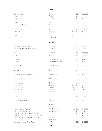#### **Veneto**

| SOAVE LA ROCCA                                               | PIEROPAN                   | 2013        | € 110,00   |
|--------------------------------------------------------------|----------------------------|-------------|------------|
| <b>SOAVE LA ROCCA</b>                                        | PIEROPAN                   | 2015        | € 90,00    |
| <b>SOAVE LA ROCCA</b>                                        | PIEROPAN                   | 2020        | € 60,00    |
|                                                              |                            |             |            |
| <b>VULCAIA FUMÉ</b>                                          | <b>NAMA</b>                | 2019        | € 70,00    |
| SOAVE   PALCHI FOSCARINO                                     | <b>NAMA</b>                | 2019        | € 90,00    |
| <b>BIANCO SECCO</b>                                          | QUINTARELLI                | 2020        | € 70,00    |
| <b>BIANCO SECCO</b>                                          | QUINTARELLI                | MAGNUM 2020 | € 150,00   |
|                                                              |                            |             |            |
| VENISSA                                                      | <b>BISOL</b>               | 50 CL 2012  | € 120,00   |
| <b>GARGANEGA ANGELIN RISERVA</b>                             | CA' DEI CONTI              | 2016        | € 50,00    |
|                                                              | <b>TOSCANA</b>             |             |            |
|                                                              | MONTENIDOLI                | 2019        |            |
| VERNACCIA DI SAN GIMIGNANO FIORE                             | MONTENIDOLI                |             | 40,00<br>€ |
| VERNACCIA DI SAN GIMIGNANO DI CARATO                         |                            | 2018        | € $60,00$  |
| BATÀR                                                        | QUERCIABELLA               | 2013        | € 200,00   |
| BATÀR                                                        | QUERCIABELLA               | 2019        | € 160,00   |
|                                                              |                            |             |            |
| GORGONA                                                      | MARCHESI DÈ FRESCOBALDI    | 2019        | € 170,00   |
| GORGONA                                                      | MARCHESI DÈ FRESCOBALDI    | 2020        | € 150,00   |
| ORNELLAIA BIANCO                                             | TENUTA DELL'ORNELLAIA      | 2018        | € 420,00   |
|                                                              |                            |             |            |
| <b>VISTAMARE</b>                                             | GAJA                       | 2020        | € 80,00    |
|                                                              |                            |             |            |
| <b>BOLGHERI VERMENTINO GRATTAMACCO</b>                       | GRATTAMACCO                | 2020        | € 70,00    |
| <b>GIOVIN RE VIOGNIER</b>                                    | MICHELE SATTA              | 2010        | € 120,00   |
|                                                              |                            |             |            |
| <b>TESTAMATTA BIANCO</b>                                     | <b>BIBI GRAETZ</b>         | 2019        | € 150,00   |
| <b>BUGIA DEL GIGLIO</b>                                      | <b>BIBI GRAETZ</b>         | MAGNUM 2014 | € 160,00   |
| <b>BUGIA DEL GIGLIO</b>                                      | <b>BIBI GRAETZ</b>         | JEROB. 2014 | € 450,00   |
| <b>BUGIA DEL GIGLIO</b>                                      | <b>BIBI GRAETZ</b>         | MATH. 2014  | € 900,00   |
| <b>BUGIA DEL GIGLIO</b>                                      | <b>BIBI GRAETZ</b>         | 2018        | € 70,00    |
| PIEMME                                                       | <b>FATTORIA LE PUPILLE</b> | 2019        | € 170,00   |
|                                                              |                            |             |            |
| BOGGINA BIANCO TREBBIANO                                     | PETROLO                    | 2019        | € 100,00   |
|                                                              | <b>MARCHE</b>              |             |            |
| PECORINO DI OFFIDA FALCHETTI                                 | <b>SAN MICHELE A RIPA</b>  | MAGNUM 2017 | € 80,00    |
| PECORINO DI OFFIDA FALCHETTI                                 | <b>SAN MICHELE A RIPA</b>  | 2019        | 40,00<br>€ |
| VERDICCHIO DI JESI CLASSICO RISERVA RINCROCCA                | La Staffa                  | 2018        | € 60,00    |
| VERDICCHIO DI JESI CLASSICO RISERVA SELVA DI SOTTO           | LA STAFFA                  | 2017        | € 120,00   |
| VERDICCHIO DI JESI CLASSICO RISERVA VILLA BUCCI              | <b>VILLA BUCCI</b>         | 2017        | € 80,00    |
| VERDICCHIO DI JESI CLASS. SUP. VIGNA IL CANTICO DELLA FIGURA | <b>ANDREA FELICI</b>       | 2018        | € 90,00    |

Verdicchio di Matelica Riserva Mirum 2019 € 50,00

La Monacesca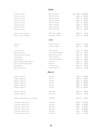# **Umbria**

| CERVARO DELLA SALA                       | MARCHESI ANTINORI               | JEROB. 1999 € 1.600,00 |                 |  |
|------------------------------------------|---------------------------------|------------------------|-----------------|--|
| CERVARO DELLA SALA                       | MARCHESI ANTINORI               | 2003                   | $\in$<br>400,00 |  |
| CERVARO DELLA SALA                       | MARCHESI ANTINORI               | 2007 €                 | 290,00          |  |
| CERVARO DELLA SALA                       | <b>MARCHESI ANTINORI</b>        | 2009 €                 | 260,00          |  |
| CERVARO DELLA SALA                       | MARCHESI ANTINORI               | 2017 €                 | 190,00          |  |
| CERVARO DELLA SALA                       | MARCHESI ANTINORI               | 2018 €                 | 160,00          |  |
| CERVARO DELLA SALA                       | MARCHESI ANTINORI               | 2020 €                 | 110,00          |  |
| CONTE DELLA VIPERA                       | MARCHESI ANTINORI               | 2021 €                 | 50,00           |  |
|                                          |                                 |                        |                 |  |
| <b>ORVIETO CLASSICO SUPERIORE</b>        | DECUGNANO DEI BARBI             | 2009 €                 | 90,00           |  |
| <b>ORVIETO CLASSICO SUPERIORE</b>        | DECUGNANO DEI BARBI             | 2017 €                 | 50,00           |  |
|                                          |                                 |                        |                 |  |
|                                          | LAZIO                           |                        |                 |  |
| FERENTANO                                | FAMIGLIA COTARELLA              | 2018 €                 | 60,00           |  |
| Soente                                   | <b>FAMIGLIA COTARELLA</b>       | 2021 €                 | 50,00           |  |
|                                          |                                 |                        |                 |  |
| LATOUR A CIVITELLA                       | <b>SERCIO MOTTURA</b>           | 2019 €                 | 60,00           |  |
| <b>CHARDONNAY FALESIA</b>                | PAOLO & NOEMIA D'AMICO          | 2019 €                 | 60,00           |  |
| MALVASIA PUNTINATA GALLIENO              | RISERVA DELLA CASCINA           | 2021 €                 | 40,00           |  |
| FIORANO BIANCO                           | TENUTA DI FIORANO               | 2016 €                 | 70,00           |  |
| ALBERICO BIANCO                          | <b>TENUTA PRINCIPE ALBERICO</b> | 2016 €                 | 80,00           |  |
| <b>FRASCATI SUPERIORE RISERVA AMACOS</b> | <b>DE SANCTIS</b>               | 2019 €                 | 50,00           |  |
| FRASCATI SUPERIORE RISERVA PRIMO         | MERUMALIA                       | 2018 €                 | 60,00           |  |
| DONNA ADRIANA                            | CASTEL DE PAOLIS                | 2019 €                 | 50,00           |  |
| <b>BIANCOLELLA DI PONZA</b>              | CANTINE MIGLIACCIO              | 2020 €                 | 60,00           |  |
|                                          |                                 |                        |                 |  |
|                                          | ABRUZZO                         |                        |                 |  |
| TREBBIANO D'ABRUZZO                      | <b>VALENTINI</b>                | 1999 €                 | 700,00          |  |
| TREBBIANO D'ABRUZZO                      | VALENTINI                       | 2000                   | 650,00<br>€     |  |
| TREBBIANO D'ABRUZZO                      | VALENTINI                       | 2001                   | €<br>600,00     |  |
| TREBBIANO D'ABRUZZO                      | <b>VALENTINI</b>                | 2004 €                 | 550,00          |  |
| TREBBIANO D'ABRUZZO                      | VALENTINI                       | 2005 €                 | 500,00          |  |
| TREBBIANO D'ABRUZZO                      | <b>VALENTINI</b>                | 2007 €                 | 450,00          |  |
| PECORINO D'ABRUZZO                       | <b>EMIDIO PEPE</b>              | 2019 €                 | 80,00           |  |
| TREBBIANO D'ABRUZZO                      | <b>EMIDIO PEPE</b>              | 2018 €                 | 70,00           |  |
|                                          |                                 |                        |                 |  |
| TREBBIANO D'ABRUZZO VIGNA DI CAPESTRANO  | <b>VALLE REALE</b>              | 2018 €                 | 90,00           |  |
| <b>CHARDONNAY MARINA CVETIC</b>          | MASCIARELLI                     | 2002                   | € 250,00        |  |
| <b>CHARDONNAY MARINA CVETIC</b>          | MASCIARELLI                     | 2009                   | € 180,00        |  |
| <b>CHARDONNAY MARINA CVETIC</b>          | MASCIARELLI                     | 2010                   | € 150,00        |  |
| <b>CHARDONNAY MARINA CVETIC</b>          | MASCIARELLI                     | 2011                   | € 130,00        |  |
| CHARDONNAY MARINA CVETIC                 | MASCIARELLI                     | 2015                   | € 100,00        |  |
| CHARDONNAY MARINA CVETIC                 | MASCIARELLI                     | 2019                   | € 70,00         |  |
|                                          |                                 |                        |                 |  |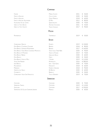#### **Campania**

| <b>FURORE</b><br>FIANO DI AVELLINO<br>FIANO DI AVELLINO<br>FIANO DI AVELLINO ALESSANDRA<br>FALANGHINA VIA DEL CAMPO<br><b>GRECO DI TUFO DEVON</b><br><b>GRECO DI TUFO GOLETO</b> | <b>MARISA CUOMO</b><br>COLLI DI LAPIO<br>GUIDO MARSELLA<br>DI MEO<br>QUINTODECIMO<br><b>ANTONIO CAGGIANO</b><br><b>TENUTE CAPALDO</b> | 2021<br>2020<br>2018<br>2012<br>2020<br>2021<br>2017 | € 50,00<br>50,00<br>€<br>€ 60,00<br>€ 80,00<br>70,00<br>€<br>45,00<br>€.<br>90,00<br>€ |
|----------------------------------------------------------------------------------------------------------------------------------------------------------------------------------|---------------------------------------------------------------------------------------------------------------------------------------|------------------------------------------------------|----------------------------------------------------------------------------------------|
|                                                                                                                                                                                  | PUGLIA                                                                                                                                |                                                      |                                                                                        |
| PIETRABIANCA                                                                                                                                                                     | TORMARESCA                                                                                                                            | 2019                                                 | € 50,00                                                                                |
|                                                                                                                                                                                  | <b>SICILIA</b>                                                                                                                        |                                                      |                                                                                        |
| <b>CHARDONNAY DIDACUS</b>                                                                                                                                                        | PLANETA                                                                                                                               | 2019                                                 | € 130,00                                                                               |
| ETNA BIANCO CONTRADA CAVALIERE                                                                                                                                                   | BENANTI                                                                                                                               | 2018                                                 | € 80,00                                                                                |
| ETNA BIANCO SUPERIORE PIETRAMARINA                                                                                                                                               | BENANTI                                                                                                                               | 2017                                                 | € 160,00                                                                               |
| ETNA BIANCO VIGNE NICHE CONTRADA MONTALTO                                                                                                                                        | TENUTA DELLE TERRE NERE                                                                                                               | 2020                                                 | € 90,00                                                                                |
| ETNA BIANCO A' PUDDARA                                                                                                                                                           | TENUTA DI FESSINA                                                                                                                     | 2019                                                 | € 70,00                                                                                |
| ETNA BIANCO NERINA                                                                                                                                                               | <b>GIROLAMO RUSSO</b>                                                                                                                 | 2020                                                 | 60,00                                                                                  |
| <b>ETNA BIANCO</b>                                                                                                                                                               | GRACI                                                                                                                                 | 2020                                                 | € 50,00                                                                                |
| ETNA BIANCO VIGNA DI MILO                                                                                                                                                        | I VIGNERI                                                                                                                             | 2019                                                 | € 110,00                                                                               |
| <b>VIGNA SANT'ANDREA</b>                                                                                                                                                         | PIETRADOLCE                                                                                                                           | 2016                                                 | € 280,00                                                                               |
| <b>IDDA BIANCO</b>                                                                                                                                                               | IDDA - GAJA-GRACI                                                                                                                     | 2020                                                 | € 70,00                                                                                |
| PASSOBIANCO                                                                                                                                                                      | FRANCHETTI                                                                                                                            | 2018                                                 | € 60,00                                                                                |
| <b>MARENEVE</b>                                                                                                                                                                  | <b>FEDERICO GRAZIANI</b>                                                                                                              | 2018                                                 | € 90,00                                                                                |
| <b>GRAPPOLI DEL GRILLO</b>                                                                                                                                                       | <b>DE BARTOLI</b>                                                                                                                     | 2020                                                 | € 60,00                                                                                |
| CATARRATTO                                                                                                                                                                       | <b>BARRACO</b>                                                                                                                        | 2020                                                 | 50,00<br>€                                                                             |
| CHARDONNAY VIGNA SAN FRANCESCO                                                                                                                                                   | TASCA D'ALMERITA                                                                                                                      | 2019                                                 | € 70,00                                                                                |
|                                                                                                                                                                                  | <b>SARDEGNA</b>                                                                                                                       |                                                      |                                                                                        |
| CAPICHERA                                                                                                                                                                        | CAPICHERA                                                                                                                             | 2020                                                 | € 70,00                                                                                |
| <b>VERDEMMIA TARDIVA</b>                                                                                                                                                         | CAPICHERA                                                                                                                             | 2019                                                 | € 110,00                                                                               |
| SANTIGAINI                                                                                                                                                                       | CAPICHERA                                                                                                                             | 2017                                                 | € 250,00                                                                               |

Vermentino Di Gallura Superiore Jankara 2020 € 60,00

Murales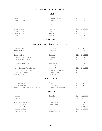## **Chablis**

| CHABLIS<br>CHABLIS VAU-LIGNEAU 1ER CRU                     | <b>DOMAINE PATTES LOUP</b><br>DOMAINE DE LA MOTTE  | 2018 ∈<br>2020 € | 110,00<br>90,00                |  |
|------------------------------------------------------------|----------------------------------------------------|------------------|--------------------------------|--|
|                                                            | CHABLIS - GRAND CRU                                |                  |                                |  |
| <b>CHABLIS LES CLOS</b>                                    | <b>ALBERT PIC</b>                                  | 2013 ∈           | 250,00                         |  |
| <b>CHABLIS LES CLOS</b>                                    | <b>ALBERT PIC</b>                                  | 2014             | 230,00<br>€                    |  |
| <b>CHABLIS LES CLOS</b>                                    | <b>ALBERT PIC</b>                                  | 2015 €           | 220,00                         |  |
| <b>CHABLIS LES CLOS</b>                                    | <b>ALBERT PIC</b>                                  | 2018 €           | 180,00                         |  |
|                                                            | <b>BOURGOGNE</b>                                   |                  |                                |  |
|                                                            | <b>BOURGOGNE BLANC - BEAUNE - NUITS-ST-GEORGES</b> |                  |                                |  |
| <b>BOURGOGNE BLANC</b>                                     | <b>COCHE-DURY</b>                                  | 2008 €           | 800,00                         |  |
| <b>BOURGOGNE BLANC</b>                                     | COCHE-DURY                                         | 2011 €           | 650,00                         |  |
|                                                            |                                                    |                  |                                |  |
| <b>BOURGOGNE BLANC</b><br><b>BOURGOGNE BLANC OLIGOCENE</b> | <b>DOMAINE LEFLAIVE</b><br><b>PATRICK AVILLIER</b> | 2015 €<br>2019   | 280,00<br>120,00<br>$\epsilon$ |  |
| BOURGOGNE BLANC CÔTE D'OR                                  | MIKULSKI                                           | 2020             | 110,00<br>$\epsilon$           |  |
|                                                            |                                                    |                  |                                |  |
| <b>BEAUNE CLOS DES MOUCHES</b>                             | JOSEPH DROUHIN                                     | $2017 \t∈$       | 350,00                         |  |
| NUITS-ST-GEORGES LES TERRES BLANCHES                       | LUCIEN LE MOINE                                    | 2016             | 320,00<br>€                    |  |
| NUITS-ST-GEORGES LES TERRES BLANCHES                       | <b>LUCIEN LE MOINE</b>                             | 2019 €           | 260,00                         |  |
| NUITS-ST-GEORGES LES BOUSSELOTS                            | DOMAINE CHEVILLON-CHEZEAUX                         | 2014 €           | 180,00                         |  |
| HAUTES-COTES DE BEAUNE                                     | <b>DOMAINE BOUTHENET</b>                           | 2015 €           | 80,00                          |  |
| MARSANNAY BLANC                                            | <b>BRUNO CLAIR</b>                                 | 2019 €           | 120,00                         |  |
|                                                            | <b>ALOXE - CORTON</b>                              |                  |                                |  |
| <b>CORTON-CHARLEMAGNE</b>                                  | FAIVELEY                                           | $2017 \t∈$       | 650,00                         |  |
| CORTON-CHARLEMAGNE                                         | LUCIEN LE MOINE                                    |                  | 2016 € 690,00                  |  |
| PERNAND VERGELESSES CLOS BERTHET MONOPOLE                  | DOMAINE DUBREUIL - FONTAINE                        | $2017 \t∈$       | 180,00                         |  |
|                                                            | <b>MEURSAULT</b>                                   |                  |                                |  |
| <b>MEURSAULT</b>                                           | COCHE-DURY                                         |                  | 2011 € 3.500,00                |  |
| MEURSAULT                                                  | COCHE-DURY                                         |                  | 2012 € 2.900,00                |  |
|                                                            |                                                    |                  |                                |  |
| MEURSAULT LES NARVAUX                                      | <b>DOMAINE VINCENT LATOUR</b>                      | 2019 €           | 140,00                         |  |
| MEURSAULT CLOS DU HAUT TESSON                              | <b>DOMAINE ROULOT</b>                              | 2015 €           | 800,00                         |  |
| <b>MEURSAULT TERRES BLANCHES</b>                           | RÉGNARD                                            | 2018 €           | 210,00                         |  |
| MEURSAULT MEIX CHAVAUX                                     | MIKULSKI                                           | 2020 €           | 250,00                         |  |
| MEURSAULT LES TILLETS                                      | DOMAINE PIERRE LABET                               | 2017 €           | 230,00                         |  |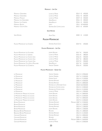#### **Meursault - 1er Cru**

| MEURSAULT GENEVRIÈRES                    | <b>LUCIEN LE MOINE</b>         | 2014 €<br>450,00        |
|------------------------------------------|--------------------------------|-------------------------|
| MEURSAULT GENEVRIÈRES                    | LUCIEN LE MOINE                | 2016<br>360,00<br>€     |
| MEURSAULT PORUSOT                        | LUCIEN LE MOINE                | 2019<br>350,00<br>€     |
| MEURSAULT LES GENEVRIÈRES                | <b>HENRI BOILLOT</b>           | 400,00<br>2016<br>€     |
| MEURSAULT LES CHARMES                    | <b>HENRI BOILLOT</b>           | 2016<br>330,00<br>€     |
| MEURSAULT BLAGNY                         | LEROY                          | € 2.600,00<br>2011      |
| MEURSAULT GOUTTE D'OR                    | DOMAINE DES COMTES LAFON       | $\in$<br>650,00<br>2015 |
|                                          |                                |                         |
|                                          | <b>SAINT-ROMAIN</b>            |                         |
| SAINT-ROMAIN                             | <b>ALAIN GRAS</b>              | 2020<br>€<br>110,00     |
|                                          | <b>PULIGNY-MONTRACHET</b>      |                         |
| <b>PULIGNY-MONTRACHET LES CHARMES</b>    | DOMAINE ALAIN CHAVY            | 2019 €<br>250,00        |
|                                          | PULIGNY-MONTRACHET - 1ER CRU   |                         |
| <b>PULIGNY-MONTRACHET LES FOLATIERES</b> | JOSEPH DROUHIN                 | 2017 €<br>350,00        |
| PULIGNY-MONTRACHET LA GARENNE            | <b>LUCIEN LE MOINE</b>         | 2016 €<br>380,00        |
| PULIGNY-MONTRACHET LES CHAMPS GAIN       | LUCIEN LE MOINE                | 400,00<br>2016 €        |
| PULIGNY-MONTRACHET LES CHAMPS GAIN       | LUCIEN LE MOINE                | 380,00<br>2017 €        |
| PULIGNY-MONTRACHET LES CHAMPS GAIN       | LUCIEN LE MOINE                | 2019 €<br>350,00        |
| PULIGNY-MONTRACHET CLOS DE LA MOUCHERE   | <b>HENRI BOILLOT</b>           | 2017 €<br>310,00        |
| PULIGNY-MONTRACHET LES COMBETTES         | <b>VINCENT GIRARDIN</b>        | 2016 €<br>320,00        |
|                                          | PULIGNY-MONTRACHET - GRAND CRU |                         |
| LE MONTRACHET                            | <b>VINCENT GIRARDIN</b>        | 2012 € 2.900,00         |
| LE MONTRACHET                            | <b>VINCENT GIRARDIN</b>        | 2017 € 2.200,00         |
| LE MONTRACHET                            | ETIENNE SAUZET                 | 2014 € 2.100,00         |
| LE MONTRACHET                            | <b>DOMAINE RAMONET</b>         | 2005 € 4.500,00         |
| LE MONTRACHET                            | DOMAINE RAMONET                | 2015 € 2.800,00         |
| LE MONTRACHET                            | DOMAINE DE LA ROMANÉE-CONTI    | 2018 €12.500,00         |
| LE MONTRACHET                            | DOMAINE DES COMTES LAFON       | 2013 € 2.300,00         |
| LE MONTRACHET                            | DOMAINE DES COMTES LAFON       | 2014 € 2.100,00         |
| LE MONTRACHET                            | <b>LUCIEN LE MOINE</b>         | 2015 € 1.900,00         |
| LE MONTRACHET MARQUIS DE LAGUICHE        | JOSEPH DROUHIN                 | 2011 € 3.800,00         |
| LE MONTRACHET MARQUIS DE LAGUICHE        | JOSEPH DROUHIN                 | 2015 € 3.200,00         |
| LE MONTRACHET MARQUIS DE LAGUICHE        | JOSEPH DROUHIN                 | 2017 € 2.800,00         |
| LE MONTRACHET MARQUIS DE LAGUICHE        | JOSEPH DROUHIN                 | 2019 € 2.400,00         |
| BÂTARD-MONTRACHET                        | <b>DOMAINE RAMONET</b>         | MAGNUM 2007 € 2.500,00  |
| BÂTARD-MONTRACHET                        | <b>DOMAINE RAMONET</b>         | 2012 € 1.500,00         |
| <b>BÂTARD-MONTRACHET</b>                 | <b>DOMAINE RAMONET</b>         | 2014 € 1.300,00         |
| BÂTARD-MONTRACHET                        | JOSEPH DROUHIN                 | 2003 € 1.500,00         |
| <b>BIENVENUE BÂTARD-MONTRACHET</b>       | REGNARD                        | 2011 € 1.800,00         |
| <b>BIENVENUE BÂTARD-MONTRACHET</b>       | <b>DOMAINE RAMONET</b>         | 2012 € 2.100,00         |
| CHEVALIER-MONTRACHET                     | <b>DOMAINE RAMONET</b>         | 2012 € 2.800,00         |
| CHEVALIER-MONTRACHET                     | RÉGNARD                        | 2003 € 1.500,00         |
| CHEVALIER-MONTRACHET                     | <b>HENRI BOILLOT</b>           | MAGNUM 2006 € 3.600,00  |
| CHEVALIER-MONTRACHET                     | LUCIEN LE MOINE                | 2016 € 2.000,00         |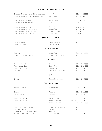# **Chassagne-Montrachet 1er Cru**

| CHASSAGNE-MONTRACHET MORGEOT MARQUIS DE LAGUICHE | <b>IOSEPH DROUHIN</b>            | 2014 €      |            | 550,00          |
|--------------------------------------------------|----------------------------------|-------------|------------|-----------------|
| CHASSAGNE-MONTRACHET MORGEOT MARQUIS DE LAGUICHE | JOSEPH DROUHIN                   | 2018 €      |            | 370,00          |
|                                                  |                                  |             |            |                 |
| CHASSAGNE-MONTRACHET MORGEOT                     | <b>VINCENT GIRARDIN</b>          | 2017 €      |            | 290,00          |
| <b>CHASSACNE-MONTRACHET MORGEOT</b>              | LEROY                            |             |            | 2013 € 1.400,00 |
| <b>CHASSAGNE-MONTRACHET MORGEOT</b>              | <b>DOMAINE RAMONET</b>           | 2005 €      |            | 550,00          |
| CHASSAGNE-MONTRACHET CLOS DU CAILLERET           | <b>DOMAINE RAMONET</b>           | 2015 €      |            | 450,00          |
| <b>CHASSAGNE-MONTRACHET LES CAILLERETES</b>      | <b>DOMAINE GUY AMIOT ET FILS</b> | 2018 €      |            | 280,00          |
| CHASSAGNE-MONTRACHET LA ROMANÉE                  | MOREY-COFFINET                   | 2020 €      |            | 300,00          |
|                                                  |                                  |             |            |                 |
|                                                  | <b>SAINT-AUBIN - SANTENAY</b>    |             |            |                 |
| SAINT-AUBIN SUR GAMAY - 1ER CRU                  | <b>MAISON DE MONTILLE</b>        | 2015        | $\epsilon$ | 100,00          |
| SANTENAY LES GRAVIERE - 1ER CRU                  | JEAN-MARC VINCENT                | 2017 €      |            | 120,00          |
|                                                  |                                  |             |            |                 |
|                                                  | CÔTE CHALONNÂISE                 |             |            |                 |
| BOUZERON                                         | <b>DOMAINE RAMONET</b>           | 2015 €      |            | 60,00           |
| MONTAGNY LES TRUFFIERES - 1ER CRU                | <b>DOMAINE BRUNO LORENZON</b>    | 2017 €      |            | 90,00           |
|                                                  |                                  |             |            |                 |
|                                                  | <b>MACONNAIS</b>                 |             |            |                 |
| POUILLY-FUISSÉ VERS CHÂNE                        | CHÂTEAU DE LAVERNETTE            | 2019 €      |            | 90,00           |
| POUILLY-FUISSÉ LE CLOS                           | CHÂTEAU FUISSÉ                   | 2016        | €          | 140,00          |
| POUILLY-FUISSÉ LE CLOS                           | CHÂTEAU FUISSÉ                   | 2017 €      |            | 120,00          |
| <b>VIRÉ CLESSÉ</b>                               | LES HÉRITIERS DU COMTE LAFON     | 2017 €      |            | 70,00           |
|                                                  |                                  |             |            |                 |
|                                                  | <b>JURA</b>                      |             |            |                 |
| SAVAGNIER                                        | <b>DOMAINE BERTHET-BONDET</b>    | 2020 €      |            | 70,00           |
|                                                  | Valle della Loira                |             |            |                 |
| SANCERRE CLIVÉE ROMBLE                           | <b>VIGNOBLE DAUNY</b>            | 2020 €      |            | 80,00           |
|                                                  |                                  |             |            |                 |
| <b>SANCERRE SAUVAGE</b>                          | PASCAL JOLIVET                   | 2015        | $\epsilon$ | 160,00          |
| <b>SANCERRE SAUVAGE</b>                          | PASCAL JOLIVET                   | 2019 €      |            | 120,00          |
| POULLY-FUMÉ BARON DE L                           | <b>BARON DE LADOUCETTE</b>       | 2018 €      |            | 160,00          |
| POUILLY-FUMÉ BARON DE L                          | <b>BARON DE LADOUCETTE</b>       | MAGNUM 2018 | €.         | 350,00          |
| POUILLY-FUMÉ                                     | <b>BARON DE LADOUCETTE</b>       | 2019 €      |            | 70,00           |
| POUILLY-FUMÉ CLOS DES CHAUDOUX                   | DOMAINE SERGE DAGUENEAU & FILLES | 2018 €      |            | 90,00           |
| <b>ANJOU BLANC EFFUSION</b>                      | BAUDOUIN                         | 2019 €      |            | 80,00           |
| CHENIN BLANC RÉSERVE PRIVÉE VIGNE BLANCHE        | <b>MARC BREDIF</b>               | 2015 €      |            | 70,00           |
| MUSCADET SÈVRE & MAINE LA GRANGE                 | PIERRE LUNEAU-PAPIN              | 2015 €      |            | 50,00           |
|                                                  |                                  |             |            |                 |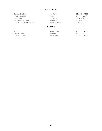## **Valle Del Rodano**

| CONDRIEU CÔTE BELLAY                | Martin Clerc          | $2017 \t∈ 70.00$ |
|-------------------------------------|-----------------------|------------------|
| CONDRIEU LA DORIANE                 | E. GUIGAL             | 2019 € 320,00    |
| L'ERMITE ERMITAGE                   | M. Chapouter          | 2015 € 1.400,00  |
| Châteauneuf-du-pape Reserve         | Château Rayas         | 2006 € 2.300,00  |
| Château De Fonsalette Blanc Reserve | Château De Fonsalette | 2008 € 400.00    |
|                                     |                       |                  |

#### **Bordeaux**

| Y - Youem            | Château d'Youem |  | 2015 € 520,00 |
|----------------------|-----------------|--|---------------|
| Vin Blanc, De Palmer | Châteall Palmer |  | 2015 € 300,00 |
| Vin Blanc, De Palmer | Châtfau Palmer  |  | 2016 € 280,00 |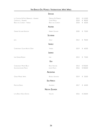# **Vini Bianchi Dal Mondo / International White Wines**

| LA COMTESSE DE PAZO BARRANTES - ALBARIÑO<br>CIENFUEGOS - ALBARIÑO<br><b>BARCO DEL CORNETA - VERDEJO</b> | MARQUES DE MURRIETA<br>CÉSAR MUÑOZ<br><b>BARCO DEL CORNETA</b> | 2015<br>2018<br>2018 | € 110,00<br>€ 80,00<br>€ $60,00$ |
|---------------------------------------------------------------------------------------------------------|----------------------------------------------------------------|----------------------|----------------------------------|
|                                                                                                         | <b>AUSTRIA</b>                                                 |                      |                                  |
| GRÜNER VELTLINER HORIZONT                                                                               | <b>HERBERT ZILLINGER</b>                                       | 2020                 | € 70,00                          |
|                                                                                                         | <b>SLOVENIA</b>                                                |                      |                                  |
| <b>JAMA</b>                                                                                             | ZANUT                                                          | 2012                 | € 90,00                          |
|                                                                                                         | <b>SRAELE</b>                                                  |                      |                                  |
| CHARDONNAY GOLAN HEIGHTS ODEM                                                                           | YARDEN                                                         | 2019                 | € 60,00                          |
|                                                                                                         | LIBANO                                                         |                      |                                  |
| <b>IXSIR GRANDE RÉSERVE</b>                                                                             | <b>XSIR</b>                                                    | 2015                 | € 75,00                          |
|                                                                                                         | <b>U<sub>SA</sub></b>                                          |                      |                                  |
| CHARDONNAY MONTE BELLO<br><b>SAUVIGNON JOSEPH PHELPS</b>                                                | RIDGE VINEYARD<br>JOSEPH PHELPS                                | 2013<br>2016         | € 550,00<br>€ 500,00             |
|                                                                                                         | ARGENTINA                                                      |                      |                                  |
| OSADO MALBEC WHITE                                                                                      | <b>BODEGA SALENTEIN</b>                                        | 2019                 | € 50,00                          |
|                                                                                                         | <b>SUD AFRICA</b>                                              |                      |                                  |
| PINOTAGE BLANC                                                                                          | AALDERING                                                      | 2017                 | € $60,00$                        |
|                                                                                                         | <b>NUOVA ZELANDA</b>                                           |                      |                                  |
| LITTLE BEAUTY BLACK EDITION                                                                             | <b>VINULTRA</b>                                                | 2016                 | € 100,00                         |

# **Spagna**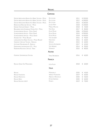## **Riesling**

## **Germania**

| Urziger Würzgarten Reserve Alte Reben Trocken - Mosel. | Dr. Loosen                 | 2011 | € 320,00   |
|--------------------------------------------------------|----------------------------|------|------------|
| Ürziger Würzgarten Reserve Alte Reben Trocken - Mosel  | Dr. Loosen                 | 2012 | € 300,00   |
| Ürziger Würzgarten Reserve Alte Reben Trocken - Mosel  | Dr. Loosen                 | 2013 | € 260,00   |
| <b>BERNKASTELER BADSTUBE SPATLESE - MOSEL</b>          | JOH JOS PRÜM               | 2018 | € 100,00   |
| ERDENER TREPPCHEN KABINETT - MOSEL                     | <b>MARKUS MOLITOR</b>      | 2018 | € 45,00    |
| BRAUNEBERG JUFFER SONNENUHR TROKEN G.G. - MOSEL        | <b>FRITZ HAAG</b>          | 2017 | € 85,00    |
| SCHARZHOFBERGER AUSLESE - MOSEL (SAAR)                 | <b>EGON MÜLLER</b>         | 2006 | € 950,00   |
| SCHARZHOFBERGER AUSLESE - MOSEL (SAAR)                 | <b>EGON MÜLLER</b>         | 2010 | € 900,00   |
| SCHARZHOFBERGER SPATLESE - MOSEL (SAAR)                | <b>EGON MÜLLER</b>         | 2018 | € 450,00   |
| ABTSBERG VDP - MOSEL (RUWER)                           | <b>VON SCHUBERT</b>        | 2016 | € 90,00    |
| LORENZHÖFER ALTE REBEN TROCKEN - MOSEL (RUWER)         | KARLSMÜHLE                 | 2016 | € 60,00    |
| <b>GEHEIMRAT J SPATLESE TROCKEN - RHEINGAU</b>         | WEGELER                    | 2015 | € 60,00    |
| HATTENHEIM NUSSBRUNNEN R - RHEINGAU                    | SCHLOSS-SCHÖNBORN          | 2017 | € 65,00    |
| DEIDESHEIMER LANGENMORGEN G.G. - PFALZ                 | <b>VON WINNING</b>         | 2014 | 90,00<br>€ |
| NORHEIMER KRISCHHECK SPATLESE - NAHE                   | <b>DÖNNHOFF</b>            | 2016 | 80,00<br>€ |
|                                                        | AUSTRIA                    |      |            |
| FEDERSPIEL STEINTERRASSEN TROCKEN                      | FRANZ HIRTZBERGER          | 2016 | 60,00<br>€ |
|                                                        | FRANCIA                    |      |            |
| RIESLING GRAND CRU MUENCHBERG                          | <b>LÉON FALLER</b>         | 2018 | €<br>60,00 |
|                                                        | <b>TALIA</b>               |      |            |
| <b>RIESLING</b>                                        | MONSUPELLO                 | 2020 | 45,00<br>€ |
| <b>RIESLING FALKENSTEIN</b>                            | <b>WEINGUT FALKENSTEIN</b> | 2019 | 60,00<br>€ |
| RIESLING PRAEPOSITUS                                   | ABBAZIA DI NOVACELLA       | 2020 | 50,00<br>€ |
| RIESLING HÉRZU                                         | <b>ETTORE GERMANO</b>      | 2020 | 60,00<br>€ |
| RIESLING ERUZIONE 1614                                 | PLANETA                    | 2019 | €<br>70,00 |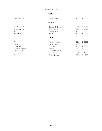# **Vini Rosati / Rosé Wines**

#### **Austria**

| SPRING BREAK ROSÉ                                                                             | <b>HERBERT ZILLINGER</b>                                                                                                          | 2018                                         | €<br>50,00                                                                  |
|-----------------------------------------------------------------------------------------------|-----------------------------------------------------------------------------------------------------------------------------------|----------------------------------------------|-----------------------------------------------------------------------------|
|                                                                                               | FRANCIA                                                                                                                           |                                              |                                                                             |
| ROSÉ CŒUR DE GRAIN<br>WHISPERING ANGEL<br>Rosé<br>RUMOR ROSÉ                                  | <b>DOMAINES OTT BANDOL</b><br>CAVES D'ESCLANS<br>CHÂTFAU MIRAVAL<br>RUMOR                                                         | 2020<br>2020<br>2020<br>2021                 | €<br>80,00<br>60,00<br>€<br>€ 55,00<br>90,00<br>€                           |
|                                                                                               | <b>TALIA</b>                                                                                                                      |                                              |                                                                             |
| A<br>LAGREIN ROSÉ<br>ETNA ROSATO<br>CERASUOLO D'ABRUZZO<br>AUREA GRAN ROSÉ<br>NEBBIOLO ROSATO | <b>FATTORIA ALDOBRANDESCA</b><br>CANTINA TERLANO<br>COTTANERA<br><b>VALENTINI</b><br>MARCHESL DE' ERESCOBALDL<br>NERVI - CONTERNO | 2021<br>2020<br>2020<br>2020<br>2017<br>2021 | 80,00<br>€<br>40,00<br>€<br>50,00<br>€<br>€ 130,00<br>€ 70,00<br>60,00<br>€ |
| Sorè                                                                                          | FAMIGLIA COTARELLA                                                                                                                | 2021                                         | € 40,00                                                                     |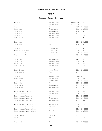#### **Piemonte**

## **Piemonte - Barolo - La Morra**

| <b>BAROLO BRUNATE</b>                        | ROBERTO VOERZIO         | MAGNUM 1993 € 1.800,00 |            |            |
|----------------------------------------------|-------------------------|------------------------|------------|------------|
| <b>BAROLO BRUNATE</b>                        | ROBERTO VOERZIO         | MAGNUM 1995            |            | € 1.300,00 |
| <b>BAROLO BRUNATE</b>                        | ROBERTO VOERZIO         | 2006                   | €          | 680,00     |
| <b>BAROLO BRUNATE</b>                        | ROBERTO VOERZIO         | 2007                   | €          | 630,00     |
| <b>BAROLO BRUNATE</b>                        | ROBERTO VOERZIO         | 2008                   | €          | 600,00     |
| <b>BAROLO BRUNATE</b>                        | ROBERTO VOERZIO         | 2011                   | €          | 560,00     |
| <b>BAROLO BRUNATE</b>                        | ROBERTO VOERZIO         | 2012                   | €          | 530,00     |
| <b>BAROLO BRUNATE</b>                        | ROBERTO VOERZIO         | 2013                   | $\epsilon$ | 500,00     |
| <b>BAROLO BRUNATE</b>                        | VIETTI                  | 2007 €                 |            | 360,00     |
| <b>BAROLO BRUNATE</b>                        | VIETTI                  | 2008                   | €          | 330,00     |
| <b>BAROLO BRUNATE</b>                        | <b>GIUSEPPE RINALDI</b> | 2011                   | €          | 600,00     |
| <b>BAROLO BRUNATE-LE COSTE</b>               | <b>GIUSEPPE RINALDI</b> | 2007                   | $\epsilon$ | 500,00     |
| <b>BAROLO BRUNATE-LE COSTE</b>               | <b>GIUSEPPE RINALDI</b> | 2008                   | €          | 480,00     |
| <b>BAROLO BRUNATE-LE COSTE</b>               | <b>GIUSEPPE RINALDI</b> | 2011 €                 |            | 420,00     |
| <b>BAROLO CEREQUIO</b>                       | ROBERTO VOERZIO         | 1994                   | €          | 800,00     |
| <b>BAROLO CEREQUIO</b>                       | ROBERTO VOERZIO         | 2006                   | €          | 650,00     |
| <b>BAROLO CEREQUIO</b>                       | ROBERTO VOERZIO         | 2008                   | $\epsilon$ | 550,00     |
| <b>BAROLO CEREQUIO</b>                       | ROBERTO VOERZIO         | 2012 €                 |            | 480,00     |
| <b>BAROLO CEREQUIO</b>                       | MICHELE CHIARLO         | 2013                   | $\epsilon$ | 180,00     |
| <b>BAROLO DAGROMIS</b>                       | GAJA                    | 2015 €                 |            | 100,00     |
| <b>BAROLO LA SERRA</b>                       | ROBERTO VOERZIO         | 1990                   |            | € 1.300,00 |
| <b>BAROLO LA SERRA</b>                       | ROBERTO VOERZIO         | 2004                   | €          | 880,00     |
| <b>BAROLO LA SERRA</b>                       | ROBERTO VOERZIO         | 2007                   | €          | 750,00     |
| <b>BAROLO LA SERRA</b>                       | ROBERTO VOERZIO         | 2008                   | €          | 650,00     |
| <b>BAROLO LA SERRA</b>                       | ROBERTO VOERZIO         | 2011                   | €          | 550,00     |
| <b>BAROLO LA SERRA</b>                       | ROBERTO VOERZIO         | 2013                   | €          | 450,00     |
| <b>BAROLO ROCCHE DELL'ANNUNZIATA</b>         | ROBERTO VOERZIO         | 2006                   | €          | 690,00     |
| <b>BAROLO ROCCHE DELL'ANNUNZIATA</b>         | ROBERTO VOERZIO         | 2007                   | €          | 650,00     |
| <b>BAROLO ROCCHE DELL'ANNUNZIATA</b>         | ROBERTO VOERZIO         | 2010                   | $\epsilon$ | 500,00     |
| <b>BAROLO ROCCHE DELL'ANNUNZIATA</b>         | ROBERTO VOERZIO         | 2011 €                 |            | 450,00     |
| <b>BAROLO ROCCHE DELL'ANNUNZIATA</b>         | ROBERTO VOERZIO         | 2012 €                 |            | 420,00     |
| BAROLO ROCCHE DELL'ANNUNZIATA RISERVA        | PAOLO SCAVINO           | 2004 €                 |            | 490,00     |
| <b>BAROLO ROCCHE DELL'ANNUNZIATA RISERVA</b> | PAOLO SCAVINO           | 2007 €                 |            | 450,00     |
| <b>BAROLO ROCCHE DELL'ANNUNZIATA RISERVA</b> | PAOLO SCAVINO           | 2010                   | $\epsilon$ | 420,00     |
| <b>BAROLO ROCCHE DELL'ANNUNZIATA RISERVA</b> | PAOLO SCAVINO           | 2011 €                 |            | 350,00     |
| <b>BAROLO ARBORINA</b>                       | ELIO ALTARE             | 2015 €                 |            | 200,00     |
| Barolo                                       | ELIO ALTARE             | 2017 €                 |            | 110,00     |
| <b>BAROLO DEL COMUNE DI LA MORRA</b>         | ROBERTO VOERZIO         | 2017 €                 |            | 250,00     |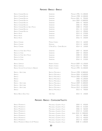## **Piemonte - Barolo - Barolo**

| <b>BAROLO CANNUBI BOSCHIS</b>                    | SANDRONE                         | MAGNUM 1996 € 1.300,00 |                      |
|--------------------------------------------------|----------------------------------|------------------------|----------------------|
| <b>BAROLO CANNUBI BOSCHIS</b>                    | SANDRONE                         | MAGNUM 1998 € 1.000,00 |                      |
| <b>BAROLO CANNUBI BOSCHIS</b>                    | SANDRONE                         | MAGNUM 2001            | €<br>950,00          |
| <b>BAROLO CANNUBI BOSCHIS</b>                    | SANDRONE                         | JEROB. 2004            | € 2.800,00           |
| <b>BAROLO CANNUBI BOSCHIS</b>                    | SANDRONE                         | 2005                   | 500,00<br>€          |
| <b>BAROLO CANNUBI BOSCHIS</b>                    | SANDRONE                         | 2006                   | 490,00<br>€          |
| <b>BAROLO CANNUBI BOSCHIS SIBI ET PAUCIS</b>     | SANDRONE                         | 2008                   | 470,00<br>$\epsilon$ |
| <b>BAROLO CANNUBI BOSCHIS</b>                    | SANDRONE                         | 2011 €                 | 310,00               |
| <b>BAROLO CANNUBI BOSCHIS</b>                    | SANDRONE                         | 2012                   | 290,00<br>€          |
| <b>BAROLO ALESTE</b>                             | SANDRONE                         | 2013                   | 270,00<br>€          |
| BAROLO ALESTE                                    | SANDRONE                         | 2014                   | 250,00<br>€          |
| <b>BAROLO ALESTE</b>                             | SANDRONE                         | 2016                   | 230,00<br>€          |
| <b>BAROLO CANNUBI</b>                            | MICHELE CHIARLO                  | 2013 €                 | 160,00               |
| <b>BAROLO CANNUBI</b>                            | DAMILANO                         | 2013                   | 160,00<br>€          |
| <b>BAROLO CANNUBI</b>                            | E. PIRA & FIGLI - CHIARA BOSCHIS | 2014 €                 | 120,00               |
| <b>BAROLO LE VIGNE SIBI ET PAUCIS</b>            | SANDRONE                         | 2007                   | 360,00<br>€          |
| <b>BAROLO LE VIGNE</b>                           | SANDRONE                         | 2007                   | 300,00<br>€          |
| <b>BAROLO LE VIGNE SIBI ET PAUCIS</b>            | SANDRONE                         | 2008                   | 340,00<br>€          |
| <b>BAROLO LE VIGNE</b>                           | SANDRONE                         | 2010                   | 280,00<br>€          |
| <b>BAROLO LE VIGNE</b>                           | SANDRONE                         | 2016                   | 210,00<br>€          |
| <b>BAROLO SARMASSA</b>                           | ROBERTO VOERZIO                  | MAGNUM 2009 € 1.100,00 |                      |
| <b>BAROLO SARMASSA</b>                           | ROBERTO VOERZIO                  | MAGNUM 2012 $\epsilon$ | 900,00               |
| <b>BAROLO VECCHIE VITI DEI CAPALOT E BRUNATE</b> | ROBERTO VOERZIO                  | MAGNUM 1995 € 1.500,00 |                      |
| <b>BAROLO - ARTIST LABEL</b>                     | <b>BARTOLO MASCARELLO</b>        | MAGNUM 1998 € 3.800,00 |                      |
| <b>BAROLO</b>                                    | <b>BARTOLO MASCARELLO</b>        | MAGNUM 2004 € 2.600,00 |                      |
| <b>BAROLO</b>                                    | <b>BARTOLO MASCARELLO</b>        | MAGNUM 2005 € 2.500,00 |                      |
| <b>BAROLO</b>                                    | <b>BARTOLO MASCARELLO</b>        | 2005                   | € 1.200,00           |
| BAROLO                                           | <b>BARTOLO MASCARELLO</b>        |                        | 2006 € 1.000,00      |
| <b>BAROLO - ARTIST LABEL</b>                     | <b>BARTOLO MASCARELLO</b>        | MAGNUM 2009 € 1.800,00 |                      |
| <b>BAROLO - ARTIST LABEL</b>                     | <b>BARTOLO MASCARELLO</b>        | MAGNUM 2011 € 1.600,00 |                      |
| <b>BAROLO - ARTIST LABEL</b>                     | <b>BARTOLO MASCARELLO</b>        | MAGNUM 2012 € 1.500,00 |                      |
| BAROLO                                           | <b>BARTOLO MASCARELLO</b>        | 2013 €                 | 700,00               |
| <b>BAROLO BRICCO DELLE VIOLE</b>                 | G.D. VAJRA                       | 2015 €                 | 140,00               |

# **Piemonte - Barolo - Castiglione Falletto**

| <b>BAROLO MONPRIVATO</b>                 | MASCARELLO GIUSEPPE E FIGLIO | 2004 €                 | 650,00          |
|------------------------------------------|------------------------------|------------------------|-----------------|
| <b>BAROLO MONPRIVATO</b>                 | MASCARELLO GIUSEPPE E FIGLIO | 2005 €                 | 610,00          |
| BAROLO MONPRIVATO                        | MASCARELLO GIUSEPPE E FIGLIO | 2006 €                 | 560,00          |
| <b>BAROLO MONPRIVATO</b>                 | MASCARELLO GIUSEPPE E FIGLIO |                        | 2010 € 510,00   |
| <b>BAROLO MONPRIVATO</b>                 | MASCARELLO GIUSEPPE E FIGLIO | JEROB. 2010 € 2.800,00 |                 |
| <b>BAROLO MONPRIVATO</b>                 | MASCARELLO GIUSEPPE E FIGLIO | 2011 €                 | 480,00          |
| BAROLO MONPRIVATO                        | MASCARELLO GIUSEPPE E FIGLIO | 2012 €                 | 450,00          |
| <b>BAROLO MONPRIVATO</b>                 | MASCARELLO GIUSEPPE E FIGLIO | 2013 €                 | 420,00          |
| BAROLO MONPRIVATO RISERVA CÀ D' MORISSIO | MASCARELLO GIUSEPPE E FIGLIO |                        | 2008 € 1.300,00 |

**30**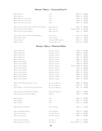# **Piemonte - Barolo - Castiglione Falletto**

| BAROLO ROCCHE                                                  | VIFTTI                 | 2007                   | $\epsilon$ | 520,00 |
|----------------------------------------------------------------|------------------------|------------------------|------------|--------|
| BAROLO ROCCHE                                                  | VIFTTI                 | 2008 €                 |            | 470,00 |
| BAROLO ROCCHE DI CASTIGLIONE                                   | <b>VIFTTI</b>          | 2013                   | $\epsilon$ | 390,00 |
| BAROLO ROCCHE DI CASTIGLIONE                                   | <b>VIFTTI</b>          | 2014                   | $\epsilon$ | 350,00 |
| BAROLO ROCCHE DI CASTIGLIONE                                   | <b>VIFTTI</b>          | 2016 €                 |            | 330.00 |
| <b>BAROLO FALLETTO VIGNA LE ROCCHE RISERVA ETICHETTA ROSSA</b> | <b>BRUNO GIACOSA</b>   | 2012 €                 |            | 600.00 |
| Barolo Falletto Etichetta Bianca                               | <b>BRUNO GIACOSA</b>   | MAGNUM 2012 € 1.100,00 |            |        |
| BAROLO FALLETTO ETICHETTA BIANCA                               | BRUNO GIACOSA          | $2014 \t∈$             |            | 490,00 |
| <b>BAROLO BRICCO BOSCHIS VIGNA S. GIUSEPPE RISERVA</b>         | CAVALLOTTO             | 2015 €                 |            | 230.00 |
| BAROLO BRIC DEL FIASC                                          | PAOLO SCAVINO          | 2014                   | €          | 150,00 |
| BAROLO ENRICO VI                                               | CORDERO DI MONTEZEMOLO | $2015 \in$             |            | 90.00  |
| BAROLO VILLERO                                                 | GIACOMO FENOCCHIO      | 2017                   | €          | 100.00 |

# **Piemonte - Barolo - Monforte D'Alba**

| <b>BAROLO PERCRISTINA</b>                        | <b>DOMENICO CLERICO</b> | 1996        | €          | 720,00     |
|--------------------------------------------------|-------------------------|-------------|------------|------------|
| <b>BAROLO PERCRISTINA</b>                        | <b>DOMENICO CLERICO</b> | 1998        | $\in$      | 650,00     |
| <b>BAROLO PERCRISTINA</b>                        | <b>DOMENICO CLERICO</b> | 2000        | $\in$      | 630,00     |
| <b>BAROLO PERCRISTINA</b>                        | <b>DOMENICO CLERICO</b> | 2001        | $\in$      | 580,00     |
| <b>BAROLO PERCRISTINA</b>                        | <b>DOMENICO CLERICO</b> | 2006        | €          | 460,00     |
| <b>BAROLO CIABOT MENTIN</b>                      | <b>DOMENICO CLERICO</b> | 1997        | €          | 700,00     |
| <b>BAROLO CIABOT MENTIN</b>                      | <b>DOMENICO CLERICO</b> | 1998        | €          | 650,00     |
| <b>BAROLO CIABOT MENTIN</b>                      | <b>DOMENICO CLERICO</b> | MACNUM 1998 |            | € 1.400,00 |
| <b>BAROLO CIABOT MENTIN</b>                      | <b>DOMENICO CLERICO</b> | 1999        | €          | 600,00     |
| <b>BAROLO CIABOT MENTIN</b>                      | <b>DOMENICO CLERICO</b> | 2001        | €          | 550,00     |
| <b>BAROLO CIABOT MENTIN</b>                      | DOMENICO CLERICO        | 2004        | €          | 500,00     |
| <b>BAROLO CIABOT MENTIN</b>                      | <b>DOMENICO CLERICO</b> | 2005        | $\epsilon$ | 470,00     |
| <b>BAROLO CIABOT MENTIN</b>                      | <b>DOMENICO CLERICO</b> | 2009 €      |            | 410,00     |
| <b>BAROLO CIABOT MENTIN</b>                      | <b>DOMENICO CLERICO</b> | 2012 €      |            | 390,00     |
| BAROLO VIGNA MADONNA ASSUNTA LA VILLA            | ROCCHE DEI MANZONI      | 2004 €      |            | 280,00     |
| <b>BAROLO</b>                                    | ROCCHE DEI MANZONI      | 2014        | $\epsilon$ | 90,00      |
| BAROLO PERNO - VIGNA CAPPELLA DI SANTO STEFANO   | ROCCHE DEI MANZONI      | 2011 €      |            | 160,00     |
| <b>BAROLO PIANPOLVERE SOPRANO BUSSIA RISERVA</b> | PIANPOLVERE SOPRANO     | 2009        | €          | 260,00     |
| <b>BAROLO BUSSIA VIGNA MONDOCA RISERVA</b>       | <b>ODDERO</b>           | 2013 €      |            | 150,00     |
| <b>BAROLO RAVERA</b>                             | VIETTI                  | 2013 €      |            | 350,00     |
| <b>BAROLO RAVERA</b>                             | VIETTI                  | 2014        | $\epsilon$ | 330,00     |
| <b>BAROLO RAVERA</b>                             | VIETTI                  | 2016        | €          | 310,00     |
| <b>BAROLO RAVERA DI MONFORTE</b>                 | ROCCA GIOVANNI          | $2014 \t∈$  |            | 110,00     |
| <b>BAROLO GRAN BUSSIA RISERVA</b>                | <b>ALDO CONTERNO</b>    | 1995 €      |            | 700,00     |
| <b>BAROLO SORÌ GINESTRA</b>                      | CONTERNO FANTINO        | 1998        | $\in$      | 600,00     |
| <b>BAROLO SORI GINESTRA</b>                      | CONTERNO FANTINO        | 2004        | €          | 300,00     |
| <b>BAROLO GAVARINI CHINIERA</b>                  | <b>ELIO GRASSO</b>      | 2017 €      |            | 270,00     |
| <b>BAROLO GINESTRA CASA MATÉ</b>                 | <b>ELIO GRASSO</b>      | MAGNUM 2017 | €          | 560,00     |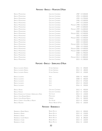# **Piemonte - Barolo - Monforte D'Alba**

| <b>BAROLO MONFORTINO</b>        | <b>GIACOMO CONTERNO</b>               |                        | 1987 € 5.500,00 |
|---------------------------------|---------------------------------------|------------------------|-----------------|
| <b>BAROLO MONFORTINO</b>        | <b>GIACOMO CONTERNO</b>               | 1993                   | € 4.000,00      |
| <b>BAROLO MONFORTINO</b>        | <b>GIACOMO CONTERNO</b>               | 1995                   | € 3.700,00      |
| <b>BAROLO MONFORTINO</b>        | <b>GIACOMO CONTERNO</b>               | 1996                   | € 3.300,00      |
| <b>BAROLO MONFORTINO</b>        | <b>GIACOMO CONTERNO</b>               | 1997                   | € 3.100,00      |
| <b>BAROLO MONFORTINO</b>        | <b>GIACOMO CONTERNO</b>               | MAGNUM 1998 € 6.500,00 |                 |
| <b>BAROLO MONFORTINO</b>        | <b>GIACOMO CONTERNO</b>               | 1999                   | € 3.000,00      |
| <b>BAROLO MONFORTINO</b>        | <b>GIACOMO CONTERNO</b>               | MAGNUM 1999            | € 6.000,00      |
| <b>BAROLO MONFORTINO</b>        | <b>GIACOMO CONTERNO</b>               |                        | 2000 € 2.900,00 |
| <b>BAROLO MONFORTINO</b>        | <b>GIACOMO CONTERNO</b>               | MAGNUM 2001 € 5.500,00 |                 |
| <b>BAROLO MONFORTINO</b>        | <b>GIACOMO CONTERNO</b>               |                        | 2002 € 2.600,00 |
| <b>BAROLO MONFORTINO</b>        | <b>GIACOMO CONTERNO</b>               | MAGNUM 2002 € 5.400,00 |                 |
| <b>BAROLO MONFORTINO</b>        | <b>GIACOMO CONTERNO</b>               | 2004                   | € 2.500,00      |
| <b>BAROLO MONFORTINO</b>        | <b>GIACOMO CONTERNO</b>               |                        | 2005 € 2.300,00 |
| <b>BAROLO MONFORTINO</b>        | <b>GIACOMO CONTERNO</b>               | MAGNUM 2005 € 4.700,00 |                 |
| <b>BAROLO MONFORTINO</b>        | <b>GIACOMO CONTERNO</b>               | 2006                   | € 2.100,00      |
| <b>BAROLO MONFORTINO</b>        | <b>GIACOMO CONTERNO</b>               | MAGNUM 2006            | € 4.400,00      |
| <b>BAROLO MONFORTINO</b>        | <b>GIACOMO CONTERNO</b>               | MAGNUM 2008            | € 4.000,00      |
| <b>BAROLO MONFORTINO</b>        | <b>GIACOMO CONTERNO</b>               |                        | 2008 € 1.900,00 |
| <b>BAROLO MONFORTINO</b>        | <b>GIACOMO CONTERNO</b>               |                        | 2013 € 1.500,00 |
| <b>BAROLO MONFORTINO</b>        | <b>GIACOMO CONTERNO</b>               | MAGNUM 2013 € 2.800,00 |                 |
| <b>BAROLO MONFORTINO</b>        | <b>GIACOMO CONTERNO</b>               |                        | 2015 € 1.300,00 |
|                                 | PIEMONTE – BAROLO – SERRALUNGA D'ALBA |                        |                 |
| BAROLO LAZZARITO RISERVA        | ETTORE GERMANO                        | 2011                   | 200,00<br>€     |
| <b>BAROLO LAZZARITO RISERVA</b> | <b>ETTORE GERMANO</b>                 | 2012                   | 180,00<br>$\in$ |

| BAROLO LAZZARITO RISERVA                       | ETTORE GERMANO          | 2015<br>$\in$      | 150.00 |
|------------------------------------------------|-------------------------|--------------------|--------|
|                                                |                         |                    |        |
| BAROLO LAZZARITO                               | <b>VIFTTI</b>           | 2006 €             | 440,00 |
| BAROLO LAZZARITO                               | <b>VIFTTI</b>           | 2008 €             | 400,00 |
| BAROLO LAZZARITO                               | <b>VIETTI</b>           | $2013 \in$         | 370,00 |
| BAROLO LAZZARITO                               | <b>VIFTTI</b>           | 2014<br>$\epsilon$ | 350,00 |
| BAROLO LAZZARITO                               | <b>VIFTTI</b>           | 2016 €             | 330,00 |
|                                                |                         |                    |        |
| BAROLO ARIONE                                  | GIACOMO CONTERNO        | 2015 €             | 400,00 |
| BAROLO FRANCIA                                 | <b>GIACOMO CONTERNO</b> | $2017 \t∈$         | 420,00 |
| BAROLO ESSENZE DEL COMUNE DI SERRALUNGA D'ALBA | VITE COITE              | 2013<br>$\epsilon$ | 140,00 |
| Barolo Vigna Rionda Riserva                    | Massolino               | 1996<br>€          | 360,00 |
| BAROLO VIGNA RIONDA RISERVA                    | ODDERO                  | 2011<br>€          | 300,00 |
| <b>BAROLO CERRETTA VIGNA BRICCO RISERVA</b>    | ELIO ALTARE             | 2013<br>$\epsilon$ | 230,00 |
| BAROLO BAUDANA                                 | ANGFLO NEGRO & FIGLI    | 2016<br>$\epsilon$ | 100,00 |
|                                                |                         |                    |        |

#### **Piemonte - Barbaresco**

| BARBARESCO RABAJÀ RISERVA       | <b>BRUNO ROCCA</b> |  | 2013 € 200,00 |
|---------------------------------|--------------------|--|---------------|
| BARBARESCO RABAJÀ               | <b>BRUNO ROCCA</b> |  | 2015 € 150,00 |
| BARBARESCO RABAIÀ               | Bruno Rocca        |  | 2016 € 130.00 |
| <b>BARBARESCO CURRÀ RISERVA</b> | <b>BRUNO ROCCA</b> |  | 2012 € 280.00 |
| <b>BARBARESCO CURRÀ</b>         | <b>BRUNO ROCCA</b> |  | 2015 € 160,00 |
| <b>BARBARESCO CURRÀ</b>         | <b>BRUNO ROCCA</b> |  | 2016 € 140,00 |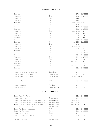#### **Piemonte - Barbaresco**

| BARBARESCO                                           | CAJA                   | 1983        | € 1.900,00          |
|------------------------------------------------------|------------------------|-------------|---------------------|
| BARBARESCO                                           | CAJA                   | 1985        | € 1.600,00          |
| <b>BARBARESCO</b>                                    | CAJA                   | 1989        | € 1.300,00          |
| <b>BARBARESCO</b>                                    | CAJA                   | 1990        | € 1.200,00          |
| <b>BARBARESCO</b>                                    | GAJA                   | MACNUM 1998 | € 1.600,00          |
| <b>BARBARESCO</b>                                    | CAJA                   | 1998        | €<br>790,00         |
| <b>BARBARESCO</b>                                    | CAJA                   | 1999        | 700,00<br>€         |
| BARBARESCO                                           | CAJA                   | 2000        | 650,00<br>€         |
| <b>BARBARESCO</b>                                    | CAJA                   | MAGNUM 2000 | € 1.400,00          |
| <b>BARBARESCO</b>                                    | CAJA                   | 2001        | €<br>620,00         |
| <b>BARBARESCO</b>                                    | CAJA                   | 2003        | 590,00<br>€         |
| <b>BARBARESCO</b>                                    | CAJA                   | 2004        | 560,00<br>€         |
| <b>BARBARESCO</b>                                    | CAJA                   | 2007        | 480,00<br>€         |
| BARBARESCO                                           | CAJA                   | MAGNUM 2007 | € 1.100,00          |
| <b>BARBARESCO</b>                                    | CAJA                   | 2008        | $\in$<br>460,00     |
| <b>BARBARESCO</b>                                    | CAJA                   | MAGNUM 2008 | € 1.000,00          |
| BARBARESCO                                           | CAJA                   | 2009        | 450,00<br>€         |
| <b>BARBARESCO</b>                                    | CAJA                   | 2010        | 430,00<br>€         |
| <b>BARBARESCO</b>                                    | GAJA                   | 2011        | 410,00<br>€         |
| BARBARESCO                                           | CAJA                   | 2012        | 400,00<br>€         |
| <b>BARBARESCO</b>                                    | CAJA                   | 2013        | 380,00<br>€         |
| <b>BARBARESCO</b>                                    | CAJA                   | 2014        | 370,00<br>€         |
| BARBARESCO                                           | CAJA                   | MACNUM 2014 | 650,00<br>€         |
| <b>BARBARESCO</b>                                    | CAJA                   | 2016        | 350,00<br>€         |
| <b>BARBARESCO</b>                                    | CAJA                   | MAGNUM 2016 | 750,00<br>€         |
| BARBARESCO                                           | CAJA                   | 2018        | 320,00<br>€         |
| <b>BARBARESCO ASILI RISERVA ETICHETTA ROSSA</b>      | <b>BRUNO GIACOSA</b>   | 2011        | 550,00<br>€         |
| <b>BARBARESCO ASILI ETICHETTA BIANCA</b>             | <b>BRUNO GIACOSA</b>   | 2015        | 480,00<br>€         |
| <b>BARBARESCO ASILI ETICHETTA BIANCA</b>             | <b>BRUNO GIACOSA</b>   | MAGNUM 2015 | € 1.000,00          |
| <b>BARBARESCO PAIÉ</b>                               | ROAGNA                 | 2016        | 450,00<br>€         |
| BARBARESCO VALEIRANO                                 | <b>ADA NADA</b>        | 2017 €      | 80,00               |
| <b>BARBARESCO BASARIN</b>                            | ANGELO NEGRO & FIGLI   | 2015 €      | 90,00               |
|                                                      |                        |             |                     |
|                                                      | PIEMONTE - ALBA - ASTI |             |                     |
| Barbera d'Alba Vigna Francia                         | GIACOMO CONTERNO       | 2019 €      | 90,00               |
| BARBERA D'ALBA IL CERRETO                            | ROBERTO VOERZIO        | 2019        | €<br>60,00          |
| BARBERA D'ALBA RISERVA VIGNETO POZZO DELL'ANNUNZIATA | ROBERTO VOERZIO        | MAGNUM 2001 | € 1.300,00          |
| BARBERA D'ALBA RISERVA VIGNETO POZZO DELL'ANNUNZIATA | ROBERTO VOERZIO        | MAGNUM 2005 | 900,00<br>€         |
| BARBERA D'ALBA RISERVA VIGNETO POZZO DELL'ANNUNZIATA | ROBERTO VOERZIO        | MAGNUM 2007 | 780,00<br>€         |
| BARBERA D'ALBA RISERVA VIGNETO POZZO DELL'ANNUNZIATA | ROBERTO VOERZIO        | MAGNUM 2012 | 620,00<br>€.        |
| BARBERA D'ASTI BRICCO DELL'UCCELLONE                 | <b>BRAIDA</b>          | 2016        | 90,00<br>$\epsilon$ |
| BARBERA D'ASTI POMOROSSO                             | COPPO                  | 2016        | 100,00<br>€         |
| <b>BARBERA D'ASTI POMOROSSO</b>                      | Coppo                  | 2018        | 90,00<br>$\epsilon$ |
| BARBERA D'ASTI RISERVA DELLA FAMIGLIA                | COPPO                  | 2009        | 210,00<br>€         |

Roberto Voerzio

 $2020 \text{ } \in \text{ } 50,00$ 

**33**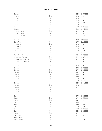## **Piemonte - Langhe**

| CONTEISA                 | CAJA | 2001 | €     | 770,00     |
|--------------------------|------|------|-------|------------|
| CONTEISA                 | CAJA | 2003 | €     | 730,00     |
| CONTEISA                 | CAJA | 2004 | €     | 700,00     |
| CONTEISA                 | CAJA | 2005 | €     | 680,00     |
| CONTEISA                 | CAJA | 2007 | €     | 640,00     |
| CONTEISA                 | Caja | 2008 | €     | 600,00     |
| CONTEISA                 | CAJA | 2009 | €     | 570,00     |
| CONTEISA                 | CAJA | 2011 | €     | 490,00     |
| CONTEISA - BAROLO        | Caja | 2013 | €     | 460,00     |
| CONTEISA - BAROLO        | CAJA | 2014 | €     | 430,00     |
| CONTEISA - BAROLO        | CAJA | 2015 | €     | 410,00     |
|                          |      |      |       |            |
| <b>COSTA RUSSI</b>       | Gaja | 1990 |       | € 1.300,00 |
| <b>COSTA RUSSI</b>       | CAJA | 1997 |       | € 1.100,00 |
| <b>COSTA RUSSI</b>       | Caja | 2001 |       | € 1.000,00 |
| <b>COSTA RUSSI</b>       | CAJA | 2004 | $\in$ | 900,00     |
| <b>COSTA RUSSI</b>       | CAJA | 2007 | €     | 820,00     |
| <b>COSTA RUSSI</b>       | Caja | 2008 | €     | 780,00     |
| <b>COSTA RUSSI</b>       | CAJA | 2011 | €     | 720,00     |
| COSTA RUSSI - BARBARESCO | CAJA | 2013 | €     | 700,00     |
| COSTA RUSSI - BARBARESCO | Caja | 2014 | €     | 680,00     |
| COSTA RUSSI - BARBARESCO | CAJA | 2015 | €     | 660,00     |
| COSTA RUSSI - BARBARESCO | CAJA | 2016 | €     | 620,00     |
|                          |      |      |       |            |
| DARMAGI                  | Gaja | 1984 | €     | 900,00     |
| DARMAGI                  | CAJA | 1987 | €     | 750,00     |
| DARMAGI                  | Caja | 1990 | €     | 680,00     |
| DARMAGI                  | CAJA | 1996 | €     | 630,00     |
|                          | CAJA | 1997 | €     | 600,00     |
| DARMAGI                  | Caja |      | €     |            |
| DARMAGI                  | CAJA | 1999 |       | 550,00     |
| DARMAGI                  |      | 2001 | €     | 500,00     |
| DARMAGI                  | CAJA | 2007 | €     | 480,00     |
| DARMAGI                  | CAJA | 2008 | €     | 460,00     |
| DARMAGI                  | GAJA | 2009 | €     | 430,00     |
| DARMAGI                  | CAJA | 2011 | €     | 360,00     |
| DARMAGI                  | CAJA | 2012 | €     | 320,00     |
| DARMAGI                  | CAJA | 2013 | €     | 300,00     |
|                          |      |      |       |            |
| SPERSS                   | Caja | 1990 | €     | 850,00     |
| SPERSS                   | CAJA | 1993 | €     | 780,00     |
| SPERSS                   | CAJA | 1995 | €     | 750,00     |
| SPERSS                   | CAJA | 1996 | €     | 700,00     |
| SPERSS                   | CAJA | 1999 | €     | 680,00     |
| SPERSS                   | CAJA | 2001 | €     | 650,00     |
| SPERSS                   | CAJA | 2008 | €     | 550,00     |
| SPERSS                   | CAJA | 2009 | €     | 520,00     |
| SPERSS                   | CAJA | 2011 | €     | 450,00     |
| SPERSS - BAROLO          | CAJA | 2013 | €     | 430,00     |
| SPERSS - BAROLO          | CAJA | 2014 | €     | 400,00     |
| SPERSS - BAROLO          | Caja | 2015 | €     | 380,00     |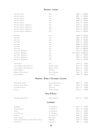## **Piemonte - Langhe**

| SORI SAN LORENZO                                  | CAJA                                   | 2001           |            | € 1.100,00      |
|---------------------------------------------------|----------------------------------------|----------------|------------|-----------------|
| Sori San Lorenzo                                  | CAJA                                   | 2007           | $\in$      | 900,00          |
| Sori SAN LORENZO                                  | CAJA                                   | 2008           | €          | 840,00          |
| Sori San Lorenzo                                  | CAJA                                   | 2009           | €          | 790,00          |
| Sori San Lorenzo                                  | CAJA                                   | 2011           | €          | 750,00          |
| SORI SAN LORENZO - BARBARESCO                     | CAJA                                   | 2013           | €          | 720,00          |
|                                                   |                                        | 2014           | €          |                 |
| Sori San Lorenzo - Barbaresco                     | CAJA                                   |                |            | 700,00          |
| SORI SAN LORENZO - BARBARESCO                     | CAJA                                   | 2015           | €          | 680,00          |
| SORI SAN LORENZO - BARBARESCO                     | Gaja                                   | 2016           | €          | 640,00          |
| SORI TILDIN                                       | GAJA                                   | 1986           |            | € 2.100,00      |
| SORI TILDIN                                       | CAJA                                   | 2004           | €          | 970,00          |
| SORI TILDIN                                       | CAJA                                   | 2005           | €          | 950,00          |
| SORI TILDIN                                       | CAJA                                   | 2007           | €          | 930,00          |
| <b>SORI TILDIN</b>                                | CAJA                                   | 2008           | €          | 890,00          |
| <b>SORI TILDIN</b>                                | CAJA                                   | 2009           | €          | 860,00          |
| <b>SORI TILDIN</b>                                | CAJA                                   | 2011           | €          | 800,00          |
| SORI TILDIN - BARBARESCO                          | CAJA                                   | 2013           | €          | 780,00          |
| SORI TILDIN - BARBARESCO                          | CAJA                                   | JEROB. 2013    |            | € 3.800,00      |
| SORI TILDIN - BARBARESCO                          | CAJA                                   | 2014           | €          | 730,00          |
| SORI TILDIN - BARBARESCO                          | CAJA                                   | 2015           | €          | 700,00          |
| SORI TILDIN - BARBARESCO                          | Gaja                                   | 2016           | €          | 650,00          |
|                                                   |                                        |                |            |                 |
| <b>SITO MORESCO</b>                               | <b>GAIA</b>                            | 2018           | €          | 70,00           |
| LANGHE NEBBIOLO DISANFRANCESCO                    | ROBERTO VOERZIO                        | 2017           | €          | 70,00           |
| LANGHE NEBBIOLO DISANFRANCESCO                    | ROBERTO VOERZIO                        | 2019           | €          | 60,00           |
| LANGHE NEBBIOLO                                   | PRINCIPIANO                            | 2020           | €          | 50,00           |
| NEBBIOLO D'ALBA GIACULIN                          | ROCCA GIOVANNI                         | 2019           | €          | 50,00           |
| LANGHE NEBBIOLO                                   | CAVALLOTTO                             | 2018           | €          | 60,00           |
|                                                   | PIEMONTE - ROERO / GATTINARA / LESSONA |                |            |                 |
|                                                   |                                        |                |            |                 |
| ROERO RISERVA SUDISFÀ                             | ANGELO NEGRO & FIGLI                   | 2016           | $\epsilon$ | 70,00           |
| <b>GATTINARA VIGNA MOLSINO</b>                    | <b>NERVI - CONTERNO</b>                | 2014           | €          | 140,00          |
| <b>GATTINARA TRE VIGNE</b>                        | TRAVAGLINI                             | 2012           | €          | 70,00           |
| LESSONA                                           | PROPRIETÀ SPERINO                      | 2013 €         |            | 120,00          |
|                                                   | <b>VALLE D'AOSTA</b>                   |                |            |                 |
| PINOT NERO SEMEL PATER                            | <b>MAISON ANSELMET</b>                 | 2019 €         |            | 90,00           |
|                                                   | LOMBARDIA                              |                |            |                 |
| CARMENERO                                         | CA' DEL BOSCO                          | 2013 €         |            | 90,00           |
| MAURIZIO ZANELLA                                  | CA' DEL BOSCO                          | 2017 €         |            | 120,00          |
| PINERO                                            | CA' DEL BOSCO                          | 2013           | €          | 110,00          |
| CORTE DEL LUPO                                    | CA' DEL BOSCO                          | 2016           | €          | 80,00           |
| IL MERLOT                                         | CA' DEL BOSCO                          | 2009 €         |            | 130,00          |
| <b>SFURSAT 5 STELLE</b>                           |                                        | 2013           | €          | 120,00          |
| VALTELLINA SUPERIORE SASSELLA RISERVA ROCCE ROSSE | NINO NEGRI                             |                |            |                 |
| CIPPERIMERLOT                                     | AR.PE.PE.                              | 2013<br>2007 € | €          | 100,00<br>60,00 |
|                                                   | MONSUPELLO                             |                |            |                 |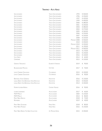# **Trentino - Alto Adige**

| SAN LEONARDO                             | TENUTA SAN LEONARDO        | 1994        | € 500,00   |
|------------------------------------------|----------------------------|-------------|------------|
| SAN LEONARDO                             | TENUTA SAN LEONARDO        | 1996        | € 450,00   |
| SAN LEONARDO                             | TENUTA SAN LEONARDO        | 1997        | € 420,00   |
| SAN LEONARDO                             | TENUTA SAN LEONARDO        | 1999        | € 400,00   |
| SAN LEONARDO                             | TENUTA SAN LEONARDO        | 2000        | € 380,00   |
| SAN LEONARDO                             | TENUTA SAN LEONARDO        | 2001        | € 350,00   |
| SAN LEONARDO                             | TENUTA SAN LEONARDO        | 2003        | € 380,00   |
| SAN LEONARDO                             | TENUTA SAN LEONARDO        | 2004        | € 270,00   |
| SAN LEONARDO                             | TENUTA SAN LEONARDO        | 2005        | € 260,00   |
| SAN LEONARDO                             | TENUTA SAN LEONARDO        | 2006        | € 250,00   |
| SAN LEONARDO                             | TENUTA SAN LEONARDO        | 2007        | € 230,00   |
| SAN LEONARDO                             | TENUTA SAN LEONARDO        | 2008        | € 220,00   |
| SAN LEONARDO                             | TENUTA SAN LEONARDO        | MACNUM 2008 | € 500,00   |
| SAN LEONARDO                             | TENUTA SAN LEONARDO        | 2010        | € 200,00   |
| SAN LEONARDO                             | TENUTA SAN LEONARDO        | MAGNUM 2010 | € 450,00   |
| SAN LEONARDO                             | TENUTA SAN LEONARDO        | 2011        | € 190,00   |
| SAN LEONARDO                             | <b>TENUTA SAN LEONARDO</b> | MACNUM 2011 | € 400,00   |
| SAN LEONARDO                             | TENUTA SAN LEONARDO        | 2013        | € 170,00   |
| <b>SAN LEONARDO</b>                      | TENUTA SAN LEONARDO        | 2015        | € 150,00   |
| SAN LEONARDO                             | TENUTA SAN LEONARDO        | 2016        | € 130,00   |
| <b>VILLA GRESTI</b>                      | TENUTA SAN LEONARDO        | 2014        | € $60,00$  |
| CARMENERE                                | TENUTA SAN LEONARDO        | 2015        | € 120,00   |
|                                          |                            |             |            |
| <b>GRANATO TEROLDEGO</b>                 | ELISABETTA FORADORI        | 2019        | 90,00<br>€ |
| <b>BLAUBURGUNDER MAZZON</b>              | <b>GOTTARDI</b>            | 2017        | 70,00<br>€ |
| LAFÓA CABERNET SAUVIGNON                 | COLTERENZIO                | 2015        | € 100,00   |
| LAFÓA CABERNET SAUVIGNON                 | COLTERENZIO                | 2016        | 90,00<br>€ |
| <b>BARTHENAU VIGNA S.URBANO</b>          | <b>HOFSTÄTTER</b>          | 2016        | € 130,00   |
| LUDWIG BARTH VON BARTHENAU VIGNA ROCCOLO | <b>HOFSTÄTTER</b>          | 2013        | € 350,00   |
| LUDWIG BARTH VON BARTHENAU VIGNA ROCCOLO | HOFSTÄTTER                 | 2014        | € 330,00   |
| PORPHYR LAGREIN RISERVA                  | CANTINA TERLANO            | 2016        | € 90,00    |
| LAGREIN LINDENBURG                       | ALOIS LAGEDER              | 2017        | € 60,00    |
| <b>MCM MERLOT</b>                        | ALOIS LAGEDER              | 2004        | € 120,00   |
| <b>MCM MERLOT</b>                        | ALOIS LAGEDER              | 2013        | € 80,00    |
| PINOT NERO KRAFUSS                       | ALOIS LAGEDER              | 2018        | € 75,00    |
| RÖMIGBERG                                | ALOIS LAGEDER              | 2019        | € 40,00    |
| PINOT NERO SCHWEIZER                     | FRANZ HAAS                 | 2018        | € 80,00    |
| PINOT NERO PONKLER                       | FRANZ HAAS                 | 2016        | € 150,00   |
| PINOT NERO RISERVA THE WINE COLLECTION   | ST. MICHAEL EPPAN          | 2015        | € 200,00   |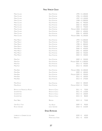## **Friuli Venezia Giulia**

| MIANI CALVARI                 | <b>ENZO PONTONI</b>   | 1995        | € 1.300,00  |
|-------------------------------|-----------------------|-------------|-------------|
| MIANI CALVARI                 | <b>ENZO PONTONI</b>   | 1996        | € 1.200,00  |
| MIANI CALVARI                 | <b>ENZO PONTONI</b>   | 1997        | € 1.100,00  |
| MIANI CALVARI                 | <b>ENZO PONTONI</b>   | 1998        | € 1.000,00  |
| MIANI CALVARI                 | <b>ENZO PONTONI</b>   | 2001        | €<br>950,00 |
| MIANI CALVARI                 | <b>ENZO PONTONI</b>   | 2002        | 850,00<br>€ |
| MIANI CALVARI                 | <b>ENZO PONTONI</b>   | 2003        | 750,00<br>€ |
| MIANI CALVARI                 | <b>ENZO PONTONI</b>   | MAGNUM 2003 | € 1.600,00  |
| MIANI CALVARI                 | <b>ENZO PONTONI</b>   | 2004        | €<br>650,00 |
| MIANI CALVARI                 | <b>ENZO PONTONI</b>   | 2006        | 600,00<br>€ |
| MIANI CALVARI                 | <b>ENZO PONTONI</b>   | MAGNUM 2006 | € 1.350,00  |
|                               |                       |             |             |
| MIANI MERLOT                  | <b>ENZO PONTONI</b>   | 1994        | € 1.000,00  |
| MIANI MERLOT                  | <b>ENZO PONTONI</b>   | 1997        | €<br>900,00 |
| MIANI MERLOT                  | <b>ENZO PONTONI</b>   | 1998        | €<br>800,00 |
| MIANI MERLOT                  | <b>ENZO PONTONI</b>   | 1999        | 700,00<br>€ |
| MIANI MERLOT                  | <b>ENZO PONTONI</b>   | 2000        | 650,00<br>€ |
| MIANI MERLOT                  | <b>ENZO PONTONI</b>   | 2001        | 600,00<br>€ |
| MIANI MERLOT                  | <b>ENZO PONTONI</b>   | 2002        | 550,00<br>€ |
| MIANI MERLOT                  | <b>ENZO PONTONI</b>   | 2004        | €<br>450,00 |
| MIANI FILIP                   | <b>ENZO PONTONI</b>   | 2009        | 550,00<br>€ |
| MIANI FILIP                   | <b>ENZO PONTONI</b>   | MAGNUM 2009 | € 1.300,00  |
| MIANI FILIP                   | <b>ENZO PONTONI</b>   | 2012        | €<br>420,00 |
| MIANI FILIP                   | <b>ENZO PONTONI</b>   | 2013        | €<br>350,00 |
|                               |                       |             |             |
| MIANI BURI                    | <b>ENZO PONTONI</b>   | MAGNUM 2006 | € 1.300,00  |
| MIANI BURI                    | <b>ENZO PONTONI</b>   | 2009        | €<br>400,00 |
| MIANI BURI                    | <b>ENZO PONTONI</b>   | MAGNUM 2009 | 950,00<br>€ |
| MIANI BURI                    | <b>ENZO PONTONI</b>   | 2012        | 330,00<br>€ |
| MIANI BURI                    | <b>ENZO PONTONI</b>   | 2013        | 270,00<br>€ |
| MIANI Rosso                   | <b>ENZO PONTONI</b>   | 2010 €      | 300,00      |
| MIANI ROSSO                   | <b>ENZO PONTONI</b>   | MAGNUM 2010 | 750,00<br>€ |
| REFOSCO DAL PEDUNCOLO ROSSO   | RONCHI DI CIALLA      | 2011 €      | 70,00       |
| SCHIOPPETTINO                 | RONCHI DI CIALLA      | 2011        | 110,00<br>€ |
| SCHIOPPETTINO                 | RONCHI DI CIALLA      | 2012 €      | 100,00      |
| SCHIOPPETTINO                 | RONCHI DI CIALLA      | 2015 €      | 80,00       |
| PINOT NERO                    | BRESSAN               | 2015 €      | 75,00       |
| <b>GRAF DE LA TOUR</b>        | <b>VILLA RUSSIZ</b>   | 2009 €      | 90,00       |
| ROSSO GRAVNER                 | JOSKO GRAVNER         | 2010 €      | 210,00      |
|                               |                       |             |             |
|                               | <b>EMILIA ROMAGNA</b> |             |             |
| LAMBRUSCO DI SORBARA LECLISSE | PALTRINIERI           | 2020 €      | 40,00       |
| NABUCCO                       | MONTE DELLE VIGNE     | 2011 €      | 50,00       |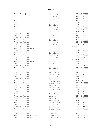# **Veneto**

| SELEZIONE GIUSEPPE QUINTARELLI             | GIUSEPPE QUINTARELLI        | 2000        | €          | 780,00          |
|--------------------------------------------|-----------------------------|-------------|------------|-----------------|
| ALZERO                                     | GIUSEPPE QUINTARELLI        | 1994        | €          | 850,00          |
| ALZERO                                     | GIUSEPPE QUINTARELLI        | 1995        | €          | 800,00          |
| ALZERO                                     | GIUSEPPE QUINTARELLI        | 1998        | €          | 750,00          |
| ALZERO                                     | GIUSEPPE QUINTARELLI        | 2000        | €          | 700,00          |
| ALZERO                                     | GIUSEPPE QUINTARELLI        | 2005        | €          | 600,00          |
| ALZERO                                     | GIUSEPPE QUINTARELLI        | 2006        | €          | 550,00          |
| ALZERO                                     | GIUSEPPE QUINTARELLI        | 2007        | €          | 500,00          |
| ALZERO                                     | GIUSEPPE QUINTARELLI        | 2008        | €          | 450,00          |
| AMARONE DELLA VALPOLICELLA                 | GIUSEPPE QUINTARELLI        | 1993        |            | € 1.000,00      |
| AMARONE DELLA VALPOLICELLA                 | GIUSEPPE QUINTARELLI        | 1995        | €          | 900,00          |
| AMARONE DELLA VALPOLICELLA                 | GIUSEPPE QUINTARELLI        | 1997        | $\epsilon$ | 800,00          |
| AMARONE DELLA VALPOLICELLA                 | GIUSEPPE QUINTARELLI        | 1998        | €          | 750,00          |
| AMARONE DELLA VALPOLICELLA                 | GIUSEPPE QUINTARELLI        | 2000        | €          | 700,00          |
| AMARONE DELLA VALPOLICELLA                 | GIUSEPPE QUINTARELLI        | 2003        | €          | 600,00          |
| AMARONE DELLA VALPOLICELLA                 | GIUSEPPE QUINTARELLI        | MAGNUM 2003 |            | € 1.200,00      |
| AMARONE DELLA VALPOLICELLA RISERVA         | <b>GIUSEPPE QUINTARELLI</b> | 2003        |            | € 1.000,00      |
| AMARONE DELLA VALPOLICELLA                 | GIUSEPPE QUINTARELLI        | 2004        | $\in$      | 550,00          |
| AMARONE DELLA VALPOLICELLA                 | GIUSEPPE QUINTARELLI        | MAGNUM 2004 |            | € 1.100,00      |
| AMARONE DELLA VALPOLICELLA                 | GIUSEPPE QUINTARELLI        | 2006        | €          | 530,00          |
| AMARONE DELLA VALPOLICELLA                 | GIUSEPPE QUINTARELLI        | 2007        | €          | 490,00          |
| AMARONE DELLA VALPOLICELLA                 | GIUSEPPE QUINTARELLI        | MAGNUM 2007 | €          | 980,00          |
| AMARONE DELLA VALPOLICELLA RISERVA         | GIUSEPPE QUINTARELLI        | 2007 €      |            | 700,00          |
| AMARONE DELLA VALPOLICELLA                 | GIUSEPPE QUINTARELLI        | 2009        | €          | 470,00          |
| AMARONE DELLA VALPOLICELLA                 | GIUSEPPE QUINTARELLI        | 2011 €      |            | 450,00          |
| AMARONE DELLA VALPOLICELLA                 | GIUSEPPE QUINTARELLI        | 2013        | €          | 420,00          |
| AMARONE DELLA VALPOLICELLA                 | ROMANO DAL FORNO            | 1990        |            | € 1.700,00      |
| AMARONE DELLA VALPOLICELLA                 | ROMANO DAL FORNO            | 1993        |            | € 1.600,00      |
| AMARONE DELLA VALPOLICELLA                 | ROMANO DAL FORNO            |             |            | 1994 € 1.500,00 |
| AMARONE DELLA VALPOLICELLA                 | ROMANO DAL FORNO            | 1995        |            | € 1.400,00      |
| AMARONE DELLA VALPOLICELLA                 | ROMANO DAL FORNO            | 1996        |            | € 1.300,00      |
| AMARONE DELLA VALPOLICELLA                 | ROMANO DAL FORNO            |             |            | 1997 € 1.200,00 |
| AMARONE DELLA VALPOLICELLA                 | ROMANO DAL FORNO            | 1998        |            | € 1.100,00      |
| AMARONE DELLA VALPOLICELLA                 | ROMANO DAL FORNO            | 1999        |            | € 1.000,00      |
| AMARONE DELLA VALPOLICELLA                 | ROMANO DAL FORNO            | 2000        | €          | 950,00          |
| AMARONE DELLA VALPOLICELLA                 | ROMANO DAI FORNO            | 2001 €      |            | 900,00          |
| AMARONE DELLA VALPOLICELLA                 | ROMANO DAL FORNO            | 2002 €      |            | 850,00          |
| AMARONE DELLA VALPOLICELLA                 | ROMANO DAL FORNO            | 2003        | €          | 800,00          |
| AMARONE DELLA VALPOLICELLA                 | ROMANO DAL FORNO            | 2004 €      |            | 750,00          |
| AMARONE DELLA VALPOLICELLA                 | ROMANO DAL FORNO            | 2005 €      |            | 700,00          |
| AMARONE DELLA VALPOLICELLA                 | ROMANO DAL FORNO            | 2006        | €          | 650,00          |
| AMARONE DELLA VALPOLICELLA                 | ROMANO DAL FORNO            | 2008 €      |            | 600,00          |
| AMARONE DELLA VALPOLICELLA                 | ROMANO DAL FORNO            | 2010 €      |            | 550,00          |
| AMARONE DELLA VALPOLICELLA                 | ROMANO DAL FORNO            | 2011 €      |            | 500,00          |
| AMARONE DELLA VALPOLICELLA                 | TOMMASO BUSSOLA             | 2016 €      |            | 100,00          |
| AMARONE DELLA VALPOLICELLA VIGNETO ALTO TB | <b>TOMMASO BUSSOLA</b>      | 2003 €      |            | 410,00          |
| AMARONE DELLA VALPOLICELLA VIGNETO ALTO TB | TOMMASO BUSSOLA             | 2007 €      |            | 280,00          |
|                                            |                             |             |            |                 |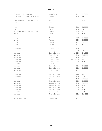# **Veneto**

| AMARONE DELLA VALPOLICELLA RISERVA          | SERGIO ZENATO               | 2015        | € 150,00 |
|---------------------------------------------|-----------------------------|-------------|----------|
| AMARONE DELLA VALPOLICELLA RISERVA DE BURIS | TOMMASI                     | 2008        | € 600,00 |
| CARMENERE RISERVA ORATORIO SAN LORENZO      | <b>INAMA</b>                | 2016        | € 90,00  |
| FRATTA                                      | MACULAN                     | 2015        | € 100,00 |
|                                             |                             |             |          |
| HURLO                                       | GARBOLE                     | 2008        | € 500,00 |
| HURLO                                       | GARBOLE                     | 2009        | € 460,00 |
| HATTESO AMARONE DELLA VALPOLICELLA RISERVA  | GARBOLE                     | 2008        | € 250,00 |
| HELETTO                                     | GARBOLE                     | 2009        | € 180,00 |
| LA POJA                                     | ALLEGRINI                   | 2000        | € 650,00 |
| LA POJA                                     | ALLEGRINI                   | 2004        | € 500,00 |
| LA POJA                                     | ALLEGRINI                   | 2011        | € 200,00 |
| LA POJA                                     | ALLEGRINI                   | 2013        | € 130,00 |
| VALPOLICELLA                                | GIUSEPPE QUINTARELLI        | 1999        | € 400,00 |
| VALPOLICELLA                                | GIUSEPPE QUINTARELLI        | MACNUM 2005 | € 500,00 |
| VALPOLICELLA                                | <b>GIUSEPPE QUINTARELLI</b> | MAGNUM 2006 | € 460,00 |
| VALPOLICELLA                                | GIUSEPPE QUINTARELLI        | 2007        | € 220,00 |
| VALPOLICELLA                                | GIUSEPPE QUINTARELLI        | 2008        | € 200,00 |
| VALPOLICELLA                                | GIUSEPPE QUINTARELLI        | MAGNUM 2008 | € 420,00 |
| VALPOLICELLA                                | GIUSEPPE QUINTARELLI        | 2009        | € 180,00 |
| VALPOLICELLA                                | GIUSEPPE QUINTARELLI        | 2010        | € 170,00 |
| VALPOLICELLA                                | GIUSEPPE QUINTARELLI        | 2011        | € 160,00 |
| VALPOLICELLA                                | GIUSEPPE QUINTARELLI        | 2012        | € 150,00 |
| VALPOLICELLA                                | GIUSEPPE QUINTARELLI        | 2014        | € 130,00 |
| VALPOLICELLA                                | ROMANO DAL FORNO            | 1995        | € 400,00 |
| VALPOLICELLA                                | ROMANO DAL FORNO            | 1997        | € 380,00 |
| VALPOLICELLA                                | ROMANO DAL FORNO            | 1999        | € 350,00 |
| VALPOLICELLA                                | ROMANO DAL FORNO            | 2003        | € 300,00 |
| VALPOLICELLA                                | ROMANO DAL FORNO            | 2004        | € 260,00 |
| VALPOLICELLA                                | ROMANO DAL FORNO            | 2005        | € 220,00 |
| VALPOLICELLA                                | ROMANO DAL FORNO            | 2006        | € 200,00 |
| VALPOLICELLA                                | ROMANO DAL FORNO            | 2008        | € 180,00 |
| VALPOLICELLA                                | ROMANO DAL FORNO            | 2010        | € 160,00 |
| VALPOLICELLA                                | ROMANO DAL FORNO            | 2011        | € 140,00 |
| <b>VALPOLICELLA SUPERIORE TB</b>            | TOMMASO BUSSOLA             | 2014        | € 55,00  |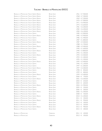| BRUNELLO DI MONTALCINO TENUTA GREPPO RISERVA        | <b>BIONDI SANTI</b> | 1961 € 7.500,00              |
|-----------------------------------------------------|---------------------|------------------------------|
| <b>BRUNELLO DI MONTALCINO TENUTA GREPPO RISERVA</b> | <b>BIONDI SANTI</b> | 1968 € 7.300,00              |
| <b>BRUNELLO DI MONTALCINO TENUTA GREPPO RISERVA</b> | <b>BIONDI SANTI</b> | 1969 € 7.200,00              |
| <b>BRUNELLO DI MONTALCINO TENUTA GREPPO RISERVA</b> | <b>BIONDI SANTI</b> | 1970<br>€ 7.000,00           |
| <b>BRUNELLO DI MONTALCINO TENUTA GREPPO RISERVA</b> | <b>BIONDI SANTI</b> | € 6.900,00<br>1971           |
| <b>BRUNELLO DI MONTALCINO TENUTA GREPPO RISERVA</b> | <b>BIONDI SANTI</b> | € 6.600,00<br>1975           |
| <b>BRUNELLO DI MONTALCINO TENUTA GREPPO RISERVA</b> | <b>BIONDI SANTI</b> | 1981 € 6.300,00              |
| <b>BRUNELLO DI MONTALCINO TENUTA GREPPO RISERVA</b> | <b>BIONDI SANTI</b> | 1982 € 6.200,00              |
| <b>BRUNELLO DI MONTALCINO TENUTA GREPPO RISERVA</b> | <b>BIONDI SANTI</b> | 1983<br>€ 6.100,00           |
| <b>BRUNELLO DI MONTALCINO TENUTA GREPPO</b>         | <b>BIONDI SANTI</b> | € 2.000,00<br>1985           |
| <b>BRUNELLO DI MONTALCINO TENUTA GREPPO RISERVA</b> | <b>BIONDI SANTI</b> | € 5.900,00<br>1985           |
| <b>BRUNELLO DI MONTALCINO TENUTA GREPPO</b>         | <b>BIONDI SANTI</b> | 1986<br>€ 1.900,00           |
| <b>BRUNELLO DI MONTALCINO TENUTA GREPPO</b>         | <b>BIONDI SANTI</b> | € 1.800,00<br>1987           |
| <b>BRUNELLO DI MONTALCINO TENUTA GREPPO RISERVA</b> | <b>BIONDI SANTI</b> | 1987 € 5.500,00              |
| <b>BRUNELLO DI MONTALCINO TENUTA GREPPO</b>         | <b>BIONDI SANTI</b> | 1988<br>€ 1.700,00           |
| <b>BRUNELLO DI MONTALCINO TENUTA GREPPO RISERVA</b> | <b>BIONDI SANTI</b> | € 5.300,00<br>1988           |
| <b>BRUNELLO DI MONTALCINO TENUTA GREPPO</b>         | <b>BIONDI SANTI</b> | € 1.600,00<br>1990           |
| BRUNELLO DI MONTALCINO TENUTA GREPPO RISERVA        | <b>BIONDI SANTI</b> | 1990<br>€ 4.800,00           |
| <b>BRUNELLO DI MONTALCINO TENUTA GREPPO</b>         | <b>BIONDI SANTI</b> | 1993<br>€ 1.400,00           |
| <b>BRUNELLO DI MONTALCINO TENUTA GREPPO RISERVA</b> | <b>BIONDI SANTI</b> | € 3.500,00<br>1993           |
| <b>BRUNELLO DI MONTALCINO TENUTA GREPPO</b>         | <b>BIONDI SANTI</b> | 1994<br>€ 1.300,00           |
| <b>BRUNELLO DI MONTALCINO TENUTA GREPPO</b>         | <b>BIONDI SANTI</b> | 1995<br>€ 1.200,00           |
| <b>BRUNELLO DI MONTALCINO TENUTA GREPPO RISERVA</b> | <b>BIONDI SANTI</b> | € 3.400,00<br>1995           |
| <b>BRUNELLO DI MONTALCINO TENUTA GREPPO</b>         | <b>BIONDI SANTI</b> | 1996<br>€ 1.100,00           |
| <b>BRUNELLO DI MONTALCINO TENUTA GREPPO</b>         | <b>BIONDI SANTI</b> | 1997<br>€ 1.000,00           |
| <b>BRUNELLO DI MONTALCINO TENUTA GREPPO RISERVA</b> | <b>BIONDI SANTI</b> | € 3.300,00<br>1997           |
| <b>BRUNELLO DI MONTALCINO TENUTA GREPPO</b>         | <b>BIONDI SANTI</b> | 1998<br>€<br>850,00          |
| <b>BRUNELLO DI MONTALCINO TENUTA GREPPO</b>         | <b>BIONDI SANTI</b> | 1999<br>€<br>800,00          |
|                                                     |                     |                              |
| <b>BRUNELLO DI MONTALCINO TENUTA GREPPO RISERVA</b> | <b>BIONDI SANTI</b> | 1999<br>€ 2.400,00           |
| <b>BRUNELLO DI MONTALCINO TENUTA GREPPO</b>         | <b>BIONDI SANTI</b> | 2000<br>750,00<br>€          |
| <b>BRUNELLO DI MONTALCINO TENUTA GREPPO RISERVA</b> | <b>BIONDI SANTI</b> | € 2.200,00<br>2001           |
| <b>BRUNELLO DI MONTALCINO TENUTA GREPPO</b>         | <b>BIONDI SANTI</b> | €<br>650,00<br>2003          |
| <b>BRUNELLO DI MONTALCINO TENUTA GREPPO</b>         | <b>BIONDI SANTI</b> | 600,00<br>2004<br>€          |
| BRUNELLO DI MONTALCINO TENUTA GREPPO RISERVA        | <b>BIONDI SANTI</b> | € 1.900,00<br>2004           |
| <b>BRUNELLO DI MONTALCINO TENUTA GREPPO</b>         | <b>BIONDI SANTI</b> | €<br>550,00<br>2005          |
| <b>BRUNELLO DI MONTALCINO TENUTA GREPPO</b>         | <b>BIONDI SANTI</b> | 2006<br>500,00<br>€          |
| <b>BRUNELLO DI MONTALCINO TENUTA GREPPO RISERVA</b> | <b>BIONDI SANTI</b> | 2006<br>€ 1.500,00           |
| <b>BRUNELLO DI MONTALCINO TENUTA GREPPO</b>         | <b>BIONDI SANTI</b> | 430,00<br>2008<br>€          |
| <b>BRUNELLO DI MONTALCINO TENUTA GREPPO RISERVA</b> | <b>BIONDI SANTI</b> | € 1.200,00<br>2010           |
| <b>BRUNELLO DI MONTALCINO TENUTA GREPPO</b>         | <b>BIONDI SANTI</b> | 2011<br>€<br>350,00          |
| <b>BRUNELLO DI MONTALCINO TENUTA GREPPO RISERVA</b> | <b>BIONDI SANTI</b> | 950,00<br>2011<br>$\epsilon$ |
| <b>BRUNELLO DI MONTALCINO TENUTA GREPPO</b>         | <b>BIONDI SANTI</b> | 2012 €<br>330,00             |
| <b>BRUNELLO DI MONTALCINO TENUTA GREPPO</b>         | <b>BIONDI SANTI</b> | 2013<br>320,00<br>€          |
| <b>BRUNELLO DI MONTALCINO TENUTA GREPPO RISERVA</b> | <b>BIONDI SANTI</b> | 900,00<br>2013<br>€          |
| <b>BRUNELLO DI MONTALCINO TENUTA GREPPO</b>         | <b>BIONDI SANTI</b> | 300,00<br>2015 €             |
| <b>BRUNELLO DI MONTALCINO</b>                       | <b>CERBAIONA</b>    | 420,00<br>2011 ∈             |
| <b>BRUNELLO DI MONTALCINO</b>                       | CERBAIONA           | 2013 €<br>350,00             |
|                                                     |                     |                              |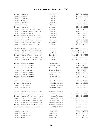| <b>BRUNELLO DI MONTALCINO</b>                          | <b>IL MARRONETO</b>       | 2009          | 260,00<br>€            |
|--------------------------------------------------------|---------------------------|---------------|------------------------|
| <b>BRUNELLO DI MONTALCINO</b>                          | <b>IL MARRONETO</b>       | 2010          | 250,00<br>€            |
| <b>BRUNELLO DI MONTALCINO</b>                          | IL MARRONETO              | 2012          | 200,00<br>€            |
| <b>BRUNELLO DI MONTALCINO</b>                          | IL MARRONETO              | 2013          | 190,00<br>€            |
| <b>BRUNELLO DI MONTALCINO</b>                          | IL MARRONETO              | 2014          | 180,00<br>€.           |
| <b>BRUNELLO DI MONTALCINO</b>                          | IL MARRONETO              | 2015          | 170,00<br>€            |
| <b>BRUNELLO DI MONTALCINO</b>                          | <b>IL MARRONETO</b>       | 2016          | 150,00<br>€            |
| <b>BRUNELLO DI MONTALCINO MADONNA DELLE GRAZIE</b>     | <b>II MARRONETO</b>       | 2003          | 630,00<br>€            |
| <b>BRUNELLO DI MONTALCINO MADONNA DELLE GRAZIE</b>     | IL MARRONETO              | 2007          | 590,00<br>€            |
| <b>BRUNELLO DI MONTALCINO MADONNA DELLE GRAZIE</b>     | IL MARRONETO              | 2009          | €<br>570,00            |
| BRUNELLO DI MONTALCINO MADONNA DELLE GRAZIE            | IL MARRONETO              | 2010          | 550,00<br>€            |
| <b>BRUNELLO DI MONTALCINO MADONNA DELLE GRAZIE</b>     | IL MARRONETO              | 2011 €        | 520,00                 |
| <b>BRUNELLO DI MONTALCINO MADONNA DELLE GRAZIE</b>     | IL MARRONETO              | 2012 €        | 500,00                 |
| <b>BRUNELLO DI MONTALCINO MADONNA DELLE GRAZIE</b>     | <b>IL MARRONETO</b>       | 2015          | 480,00<br>-€.          |
| <b>BRUNELLO DI MONTALCINO MADONNA DELLE GRAZIE</b>     | IL MARRONETO              | 2016 €        | 450,00                 |
| BRUNELLO DI MONTALCINO POGGIO AL VENTO RISERVA         | COL D'ORCIA               | MAGNUM 1997   | 700,00<br>-€.          |
| BRUNELLO DI MONTALCINO POGGIO AL VENTO RISERVA         | COL D'ORCIA               | MACNUM 2001   | 600,00<br>€            |
| <b>BRUNELLO DI MONTALCINO POGGIO AL VENTO RISERVA</b>  | COL D'ORCIA               | MAGNUM 2006   | 500,00<br>€            |
| <b>BRUNELLO DI MONTALCINO POGGIO AL VENTO RISERVA</b>  | COL D'ORCIA               | MAGNUM 2008   | 470,00<br>$\epsilon$   |
| <b>BRUNELLO DI MONTALCINO POGGIO AL VENTO RISERVA</b>  | COL D'ORCIA               | MAGNUM 2010 € | 430,00                 |
| BRUNELLO DI MONTALCINO POGGIO AL VENTO RISERVA         | COL D'ORCIA               | MAGNUM 2012 € | 380,00                 |
| <b>BRUNELLO DI MONTALCINO CASE BASSE</b>               | <b>GIANFRANCO SOLDERA</b> | 1998          | € 2.000,00             |
| <b>BRUNELLO DI MONTALCINO CASE BASSE</b>               | <b>GIANFRANCO SOLDERA</b> | 1999          | € 1.900,00             |
| <b>BRUNELLO DI MONTALCINO CASE BASSE</b>               | <b>GIANFRANCO SOLDERA</b> | 2001          | € 1.800,00             |
| <b>BRUNELLO DI MONTALCINO CASE BASSE</b>               | <b>GIANFRANCO SOLDERA</b> |               | 2003 € 1.500,00        |
| <b>BRUNELLO DI MONTALCINO CASE BASSE</b>               | <b>GIANFRANCO SOLDERA</b> |               | 2004 € 1.300,00        |
| <b>BRUNELLO DI MONTALCINO CASE BASSE</b>               | <b>GIANFRANCO SOLDERA</b> | 2005          | € 1.100,00             |
| <b>BRUNELLO DI MONTALCINO CASE BASSE</b>               | <b>GIANFRANCO SOLDERA</b> | 2006 €        | 900,00                 |
| <b>BRUNELLO DI MONTALCINO LUCE</b>                     | MARCHESI DE' FRESCOBALDI  | 2010          | 280,00<br>€            |
| <b>BRUNELLO DI MONTALCINO LUCE</b>                     | MARCHESI DE' FRESCOBALDI  | 2013          | 230,00<br>€            |
| <b>BRUNELLO DI MONTALCINO LUCE</b>                     | MARCHESI DE' FRESCOBALDI  | 2014 €        | 210,00                 |
| <b>BRUNELLO DI MONTALCINO LUCE</b>                     | MARCHESI DE' FRESCOBALDI  | 2016 €        | 190,00                 |
| BRUNELLO DI MONTALCINO RIPE AL CONVENTO RISERVA        | MARCHESI DE' FRESCOBALDI  | 2010 €        | 270,00                 |
| <b>BRUNELLO DI MONTALCINO RIPE AL CONVENTO RISERVA</b> | MARCHESI DE' FRESCOBALDI  | MACNUM 2010 € | 600,00                 |
| BRUNELLO DI MONTALCINO RIPE AL CONVENTO RISERVA        | MARCHESI DE' FRESCOBALDI  | 2012 €        | 220,00                 |
| BRUNELLO DI MONTALCINO RIPE AL CONVENTO RISERVA        | MARCHESI DE' FRESCOBALDI  | MAGNUM 2012 € | 450,00                 |
| <b>BRUNELLO DI MONTALCINO RIPE AL CONVENTO RISERVA</b> | MARCHESI DE' FRESCOBALDI  |               | JEROB. 2012 € 1.100,00 |
| <b>BRUNELLO DI MONTALCINO RIPE AL CONVENTO RISERVA</b> | MARCHESI DE' FRESCOBALDI  | 2013          | 200,00<br>€            |
| BRUNELLO DI MONTALCINO RIPE AL CONVENTO RISERVA        | MARCHESI DE' FRESCOBALDI  | 2014 €        | 190,00                 |
| <b>BRUNELLO DI MONTALCINO RIPE AL CONVENTO RISERVA</b> | MARCHESI DE' FRESCOBALDI  | 2015 €        | 180,00                 |
| <b>BRUNELLO DI MONTALCINO</b>                          | Poccio di Sotto           | 2013          | € 380,00               |
| <b>BRUNELLO DI MONTALCINO</b>                          | Poccio di Sotto           | 2015          | € 350,00               |
| <b>BRUNELLO DI MONTALCINO RISERVA</b>                  | Poccio di Sotto           | 2015          | € 650,00               |
| <b>BRUNELLO DI MONTALCINO</b>                          | Poccio di Sotto           | 2016          | € 300,00               |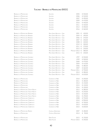BRUNELLO DI MONTALCINO BRUNELLO DI MONTALCINO BRUNELLO DI MONTALCINO BRUNELLO DI MONTALCINO BRUNELLO DI MONTALCINO BRUNELLO DI MONTALCINO BRUNELLO DI MONTALCINO BRUNELLO DI MONTALCINO

BRUNELLO DI MONTALCINO RENNINA BRUNELLO DI MONTALCINO RENNINA BRUNELLO DI MONTALCINO RENNINA BRUNELLO DI MONTALCINO RENNINA BRUNELLO DI MONTALCINO RENNINA BRUNELLO DI MONTALCINO RENNINA BRUNELLO DI MONTALCINO RENNINA BRUNELLO DI MONTALCINO RENNINA BRUNELLO DI MONTALCINO RENNINA BRUNELLO DI MONTALCINO RENNINA

BRUNELLO DI MONTALCINO SUGARILLE BRUNELLO DI MONTALCINO SUGARILLE BRUNELLO DI MONTALCINO SUGARILLE BRUNELLO DI MONTALCINO SUGARILLE BRUNELLO DI MONTALCINO SUGARILLE BRUNELLO DI MONTALCINO SUGARILLE BRUNELLO DI MONTALCINO SUGARILLE BRUNELLO DI MONTALCINO SUGARILLE BRUNELLO DI MONTALCINO SUGARILLE

BRUNELLO DI MONTALCINO BRUNELLO DI MONTALCINO BRUNELLO DI MONTALCINO BRUNELLO DI MONTALCINO BRUNELLO DI MONTALCINO BRUNELLO DI MONTALCINO TENUTA NUOVA BRUNELLO DI MONTALCINO TENUTA NUOVA BRUNELLO DI MONTALCINO TENUTA NUOVA BRUNELLO DI MONTALCINO TENUTA NUOVA BRUNELLO DI MONTALCINO CERRETALTO BRUNELLO DI MONTALCINO CERRETALTO BRUNELLO DI MONTALCINO CERRETALTO BRUNELLO DI MONTALCINO CERRETALTO BRUNELLO DI MONTALCINO CERRETALTO

BRUNELLO DI MONTALCINO RISERVA BRUNELLO DI MONTALCINO

BRUNELLO DI MONTALCINO BRUNELLO DI MONTALCINO

| Salvioni                     | 2005        | € 550,00    |
|------------------------------|-------------|-------------|
| SALVIONI                     | 2006        | € 520,00    |
| SALVIONI                     | 2007        | € 490,00    |
| Salvioni                     | 2009        | € 470,00    |
| SALVIONI                     | 2010        | € 450,00    |
| SALVIONI                     | 2011        | € 420,00    |
| SALVIONI                     | 2012        | € 400,00    |
| SALVIONI                     | 2016        | € 360,00    |
| PIEVE SANTA RESTITUTA - GAJA | 2001        | 430,00<br>€ |
| PIEVE SANTA RESTITUTA - GAJA | 2004        | €<br>390,00 |
| PIEVE SANTA RESTITUTA - GAJA | 2006        | €<br>370,00 |
| PIEVE SANTA RESTITUTA - GAJA | 2007        | 350,00<br>€ |
| PIEVE SANTA RESTITUTA - GAJA | 2008        | €<br>320,00 |
| PIEVE SANTA RESTITUTA - GAJA | 2010        | €<br>300,00 |
| PIEVE SANTA RESTITUTA - GAJA | 2011        | 270,00<br>€ |
| PIEVE SANTA RESTITUTA - GAIA | 2013        | €<br>250,00 |
| PIEVE SANTA RESTITUTA - GAJA | MAGNUM 2013 | €<br>580,00 |
| PIEVE SANTA RESTITUTA - GAJA | 2015        | €<br>230,00 |
| PIEVE SANTA RESTITUTA - GAJA | 1997        | € 550,00    |
| PIEVE SANTA RESTITUTA - GAJA | 1999        | € 500,00    |
| PIEVE SANTA RESTITUTA - GAJA | 2000        | € 470,00    |
| PIEVE SANTA RESTITUTA - GAJA | 2004        | € 410,00    |
| PIEVE SANTA RESTITUTA - GAJA | 2006        | € 380,00    |
| PIEVE SANTA RESTITUTA - GAJA | 2007        | € 360,00    |
| PIEVE SANTA RESTITUTA - GAJA | MAGNUM 2011 | € 700,00    |
| PIEVE SANTA RESTITUTA - GAJA | 2013        | € 280,00    |
| PIEVE SANTA RESTITUTA - GAJA | MACNUM 2013 | € 620,00    |
| Casanova di Neri             | 2010        | € 200,00    |
| Casanova di Neri             | 2011        | € 180,00    |
| CASANOVA DI NERI             | 2014        | € 150,00    |
| CASANOVA DI NERI             | 2015        | € 130,00    |
| CASANOVA DI NERI             | 2016        | € 100,00    |
| CASANOVA DI NERI             | 2012        | € 280,00    |
| CASANOVA DI NERI             | 2013        | € 250,00    |
| Casanova di Neri             | 2015        | € 230,00    |
| CASANOVA DI NERI             | 2016        | € 190,00    |
| CASANOVA DI NERI             | 2008        | € 750,00    |
| CASANOVA DI NERI             | 2010        | € 900,00    |
| CASANOVA DI NERI             | 2012        | € 700,00    |
| CASANOVA DI NERI             | 2013        | € 650,00    |
| Casanova di Neri             | 2015        | € 600,00    |
| CASTELLO ROMITORIO           | 2007        | € 180,00    |
| CASTELLO ROMITORIO           | 2013        | €<br>90,00  |
| <b>EREDI FULICNI</b>         | 2015        | € 150,00    |
| EREDI FULICNI                | MAGNUM 2015 | € 340,00    |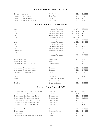| Brunfllo di Montalcino i             | Pian Delle Querci | 2014 | $\epsilon$ 110.00     |
|--------------------------------------|-------------------|------|-----------------------|
| Brunfito di Montalcino Giodo -       | Carl o Ferrini    | 2013 | $\epsilon$ 120.00     |
| Brunello di Montalcino Riserva       | Cupano            |      | $2008 \t\t\in 250.00$ |
| BRUNFLLO DI MONTALCINO VECCHIE VIGNE | Siro Pacenti      |      | $2014 \t\t\in 170.00$ |

## **Toscana - Montalcino <sup>e</sup> Montepulciano**

| LUCE                                        | MARCHESI DE' FRESCOBALDI  | MAGNUM 1999        | € 700,00   |
|---------------------------------------------|---------------------------|--------------------|------------|
| LUCE                                        | MARCHESI DE' FRESCOBALDI  | MACNUM 2000        | € 600,00   |
| Luce                                        | MARCHESI DE' FRESCOBALDI  | MACNUM 2003        | € 500,00   |
| LUCE                                        | MARCHESI DE' FRESCOBALDI  | 2008               | € 220,00   |
| LUCE                                        | MARCHESI DE' FRESCOBALDI  | <b>JEROB. 2008</b> | € 700,00   |
| LUCE                                        | MARCHESI DE' FRESCOBALDI  | 2013               | € 160,00   |
| LUCE                                        | MARCHESI DE' FRESCOBALDI  | MAGNUM 2013        | € 340,00   |
| LUCE                                        | MARCHESI DE' FRESCOBALDI  | 2014               | € 150,00   |
| LUCE                                        | MARCHESI DE' FRESCOBALDI  | 2015               | € 140,00   |
| LUCE                                        | MARCHESI DE' FRESCOBALDI  | 2016               | € 120,00   |
| LUX VITIS LUCE                              | MARCHESI DE' FRESCOBALDI  | 2015               | € 270,00   |
| LUX VITIS LUCE                              | MARCHESI DE' FRESCOBALDI  | 2016               | € 250,00   |
| LAMAIONE                                    | MARCHESI DE' FRESCOBALDI  | 2012               | € 120,00   |
| ROSSO DI MONTALCINO                         | Poccio di Sotto           | 2016               | € 110,00   |
| ROSSO DI MONTALCINO                         | SALVIONI                  | 2018               | € 120,00   |
| ROSSO DI MONTALCINO GIOVANNI NERI           | CASANOVA DI NERI          | 2019               | € 100,00   |
| VINO NOBILE DI MONTEPULCIANO RISERVA        | <b>BOSCARELLI</b>         | MACNUM 2013        | € 150,00   |
| <b>VINO NOBILE DI MONTEPULCIANO RISERVA</b> | <b>BOSCARELLI</b>         | 2016               | € 75,00    |
| PRUGNOLO ROSSO DI MONTEPULCIANO             | <b>BOSCARELLI</b>         | 2020               | €<br>40,00 |
| GIODO                                       | <b>CARLO FERRINI</b>      | 2016               | € $65,00$  |
| SOTIRIO                                     | PODERNUOVO A PALAZZONE    | 2009               | € 100,00   |
| SOTIRIO                                     | PODERNUOVO A PALAZZONE    | 2010               | € 90,00    |
| CASE BASSE                                  | <b>GIANFRANCO SOLDERA</b> | 2010               | € 800,00   |
|                                             |                           |                    |            |

## **Toscana - Chianti Classico DOCG**

| Castello di Ama         | € 550,00                                                                    |
|-------------------------|-----------------------------------------------------------------------------|
| Castello di Ama         | € 450,00                                                                    |
| 2011<br>Castello di Ama | € 350,00                                                                    |
| Castello di Ama         | € 320,00                                                                    |
| Castello di Ama         | € 290,00                                                                    |
| Castello di Ama         | € 100,00                                                                    |
| Castello di Ama         | € 90.00                                                                     |
|                         | € 60.00                                                                     |
| CASTELLO DEI RAMPOLLA   | € 45,00                                                                     |
|                         | € 60.00                                                                     |
| 2017                    | € 90.00                                                                     |
|                         | MAGNUM 2015<br>1997<br>2013<br>2015<br>2016<br>2017<br>2017<br>2016<br>2016 |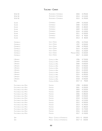| 50 & 50<br>AVIGNONESI E CAPANNELLE<br>2013<br>€ 210,00<br>AVIGNONESI E CAPANNELLE<br>50 & 50<br>2015<br>€ 190,00<br>CAPANNELLE<br>€ 250,00<br>1999<br>SOLARE<br>CAPANNELLE<br>2000<br>€ 220,00<br>SOLARE<br>CAPANNELLE<br>2005<br>€ 180,00<br>SOLARE<br>CAPANNELLE<br>2009<br>€ 140,00<br>SOLARE<br>CAPANNELLE<br>2010<br>€ 120,00<br>SOLARE<br>CAPANNELLE<br>2011<br>€ 100,00<br>SOLARE<br>CAPANNELLE<br>2012<br>€ 90,00<br>SOLARE<br>CAPANNELLE<br>2013<br>€ 80,00<br>SOLARE<br><b>ISOLE E OLENA</b><br>1996<br>€ 370,00<br>CEPPARELLO<br><b>ISOLE E OLENA</b><br>1997<br>€ 350,00<br>CEPPARELLO<br><b>ISOLE E OLENA</b><br>1998<br>€ 290,00<br>CEPPARELLO<br><b>ISOLE E OLENA</b><br>2015<br>€ 160,00<br>CEPPARELLO<br><b>ISOLE E OLENA</b><br>2016<br>€ 150,00<br>CEPPARELLO<br><b>ISOLE E OLENA</b><br>MAGNUM 2016<br>€ 320,00<br>CEPPARELLO<br><b>ISOLE E OLENA</b><br>2017<br>€ 140,00<br>CEPPARELLO<br>1996<br>€ 730,00<br>L'APPARITA<br>CASTELLO DI AMA<br>1999<br>€ 650,00<br>L'APPARITA<br>CASTELLO DI AMA<br>2000<br>€ 600,00<br>L'APPARITA<br>CASTELLO DI AMA<br>€ 450,00<br>2010<br>L'APPARITA<br>CASTELLO DI AMA<br>2011<br>€ 430,00<br>L'APPARITA<br>CASTELLO DI AMA<br>2013<br>L'APPARITA<br>€ 420,00<br>CASTELLO DI AMA<br>2014<br>€ 400,00<br>L'APPARITA<br>CASTELLO DI AMA<br>2015<br>€ 390,00<br>L'APPARITA<br>CASTELLO DI AMA<br>2016<br>€ 370,00<br>L'APPARITA<br>CASTELLO DI AMA<br>€ 350,00<br>2018<br>L'APPARITA<br>CASTELLO DI AMA<br>2017 €<br>90,00<br>HAIKU<br>CASTELLO DI AMA<br>1998<br>€ 400,00<br><b>FLACCIANELLO DELLA PIEVE</b><br>FONTODI<br><b>FLACCIANELLO DELLA PIEVE</b><br>2001<br>€ 350,00<br>FONTODI<br><b>FLACCIANELLO DELLA PIEVE</b><br>2003<br>€ 320,00<br>FONTODI<br>€ 300,00<br><b>FLACCIANELLO DELLA PIEVE</b><br>2004<br>FONTODI<br>2006<br>€ 280,00<br><b>FLACCIANELLO DELLA PIEVE</b><br>FONTODI<br>2009<br>€ 250,00<br><b>FLACCIANELLO DELLA PIEVE</b><br>FONTODI<br>€ 230,00<br><b>FLACCIANELLO DELLA PIEVE</b><br>2010<br>FONTODI<br>2011<br>€ 210,00<br>FLACCIANELLO DELLA PIEVE<br>FONTODI<br>2012<br>€ 200,00<br><b>FLACCIANELLO DELLA PIEVE</b><br>FONTODI<br>€ 190,00<br>2013<br><b>FLACCIANELLO DELLA PIEVE</b><br>FONTODI<br>2014<br>€ 180,00<br><b>FLACCIANELLO DELLA PIEVE</b><br>FONTODI<br>2015<br>€ 170,00<br><b>FLACCIANELLO DELLA PIEVE</b><br>FONTODI<br>€ 160,00<br><b>FLACCIANELLO DELLA PIEVE</b><br>2016<br>FONTODI<br><b>FLACCIANELLO DELLA PIEVE</b><br>2017<br>€ 150,00<br>FONTODI<br>MAZZEI - CASTELLO DI FONTERUTOLI<br>2015<br>350,00<br>SIEPI<br>€<br>MAZZEI - CASTELLO DI FONTERUTOLI<br>2017<br>330,00<br>€<br>SIEPI | 50 & 50 | AVIGNONESI E CAPANNELLE | 2003 | € 290,00 |
|-----------------------------------------------------------------------------------------------------------------------------------------------------------------------------------------------------------------------------------------------------------------------------------------------------------------------------------------------------------------------------------------------------------------------------------------------------------------------------------------------------------------------------------------------------------------------------------------------------------------------------------------------------------------------------------------------------------------------------------------------------------------------------------------------------------------------------------------------------------------------------------------------------------------------------------------------------------------------------------------------------------------------------------------------------------------------------------------------------------------------------------------------------------------------------------------------------------------------------------------------------------------------------------------------------------------------------------------------------------------------------------------------------------------------------------------------------------------------------------------------------------------------------------------------------------------------------------------------------------------------------------------------------------------------------------------------------------------------------------------------------------------------------------------------------------------------------------------------------------------------------------------------------------------------------------------------------------------------------------------------------------------------------------------------------------------------------------------------------------------------------------------------------------------------------------------------------------------------------------------------------------------------------------------------------------------------------------------------------------------------------------------------------------------------------------------------------------------------------------------------------------------------------------------------------------------------------------------------------------|---------|-------------------------|------|----------|
|                                                                                                                                                                                                                                                                                                                                                                                                                                                                                                                                                                                                                                                                                                                                                                                                                                                                                                                                                                                                                                                                                                                                                                                                                                                                                                                                                                                                                                                                                                                                                                                                                                                                                                                                                                                                                                                                                                                                                                                                                                                                                                                                                                                                                                                                                                                                                                                                                                                                                                                                                                                                           |         |                         |      |          |
|                                                                                                                                                                                                                                                                                                                                                                                                                                                                                                                                                                                                                                                                                                                                                                                                                                                                                                                                                                                                                                                                                                                                                                                                                                                                                                                                                                                                                                                                                                                                                                                                                                                                                                                                                                                                                                                                                                                                                                                                                                                                                                                                                                                                                                                                                                                                                                                                                                                                                                                                                                                                           |         |                         |      |          |
|                                                                                                                                                                                                                                                                                                                                                                                                                                                                                                                                                                                                                                                                                                                                                                                                                                                                                                                                                                                                                                                                                                                                                                                                                                                                                                                                                                                                                                                                                                                                                                                                                                                                                                                                                                                                                                                                                                                                                                                                                                                                                                                                                                                                                                                                                                                                                                                                                                                                                                                                                                                                           |         |                         |      |          |
|                                                                                                                                                                                                                                                                                                                                                                                                                                                                                                                                                                                                                                                                                                                                                                                                                                                                                                                                                                                                                                                                                                                                                                                                                                                                                                                                                                                                                                                                                                                                                                                                                                                                                                                                                                                                                                                                                                                                                                                                                                                                                                                                                                                                                                                                                                                                                                                                                                                                                                                                                                                                           |         |                         |      |          |
|                                                                                                                                                                                                                                                                                                                                                                                                                                                                                                                                                                                                                                                                                                                                                                                                                                                                                                                                                                                                                                                                                                                                                                                                                                                                                                                                                                                                                                                                                                                                                                                                                                                                                                                                                                                                                                                                                                                                                                                                                                                                                                                                                                                                                                                                                                                                                                                                                                                                                                                                                                                                           |         |                         |      |          |
|                                                                                                                                                                                                                                                                                                                                                                                                                                                                                                                                                                                                                                                                                                                                                                                                                                                                                                                                                                                                                                                                                                                                                                                                                                                                                                                                                                                                                                                                                                                                                                                                                                                                                                                                                                                                                                                                                                                                                                                                                                                                                                                                                                                                                                                                                                                                                                                                                                                                                                                                                                                                           |         |                         |      |          |
|                                                                                                                                                                                                                                                                                                                                                                                                                                                                                                                                                                                                                                                                                                                                                                                                                                                                                                                                                                                                                                                                                                                                                                                                                                                                                                                                                                                                                                                                                                                                                                                                                                                                                                                                                                                                                                                                                                                                                                                                                                                                                                                                                                                                                                                                                                                                                                                                                                                                                                                                                                                                           |         |                         |      |          |
|                                                                                                                                                                                                                                                                                                                                                                                                                                                                                                                                                                                                                                                                                                                                                                                                                                                                                                                                                                                                                                                                                                                                                                                                                                                                                                                                                                                                                                                                                                                                                                                                                                                                                                                                                                                                                                                                                                                                                                                                                                                                                                                                                                                                                                                                                                                                                                                                                                                                                                                                                                                                           |         |                         |      |          |
|                                                                                                                                                                                                                                                                                                                                                                                                                                                                                                                                                                                                                                                                                                                                                                                                                                                                                                                                                                                                                                                                                                                                                                                                                                                                                                                                                                                                                                                                                                                                                                                                                                                                                                                                                                                                                                                                                                                                                                                                                                                                                                                                                                                                                                                                                                                                                                                                                                                                                                                                                                                                           |         |                         |      |          |
|                                                                                                                                                                                                                                                                                                                                                                                                                                                                                                                                                                                                                                                                                                                                                                                                                                                                                                                                                                                                                                                                                                                                                                                                                                                                                                                                                                                                                                                                                                                                                                                                                                                                                                                                                                                                                                                                                                                                                                                                                                                                                                                                                                                                                                                                                                                                                                                                                                                                                                                                                                                                           |         |                         |      |          |
|                                                                                                                                                                                                                                                                                                                                                                                                                                                                                                                                                                                                                                                                                                                                                                                                                                                                                                                                                                                                                                                                                                                                                                                                                                                                                                                                                                                                                                                                                                                                                                                                                                                                                                                                                                                                                                                                                                                                                                                                                                                                                                                                                                                                                                                                                                                                                                                                                                                                                                                                                                                                           |         |                         |      |          |
|                                                                                                                                                                                                                                                                                                                                                                                                                                                                                                                                                                                                                                                                                                                                                                                                                                                                                                                                                                                                                                                                                                                                                                                                                                                                                                                                                                                                                                                                                                                                                                                                                                                                                                                                                                                                                                                                                                                                                                                                                                                                                                                                                                                                                                                                                                                                                                                                                                                                                                                                                                                                           |         |                         |      |          |
|                                                                                                                                                                                                                                                                                                                                                                                                                                                                                                                                                                                                                                                                                                                                                                                                                                                                                                                                                                                                                                                                                                                                                                                                                                                                                                                                                                                                                                                                                                                                                                                                                                                                                                                                                                                                                                                                                                                                                                                                                                                                                                                                                                                                                                                                                                                                                                                                                                                                                                                                                                                                           |         |                         |      |          |
|                                                                                                                                                                                                                                                                                                                                                                                                                                                                                                                                                                                                                                                                                                                                                                                                                                                                                                                                                                                                                                                                                                                                                                                                                                                                                                                                                                                                                                                                                                                                                                                                                                                                                                                                                                                                                                                                                                                                                                                                                                                                                                                                                                                                                                                                                                                                                                                                                                                                                                                                                                                                           |         |                         |      |          |
|                                                                                                                                                                                                                                                                                                                                                                                                                                                                                                                                                                                                                                                                                                                                                                                                                                                                                                                                                                                                                                                                                                                                                                                                                                                                                                                                                                                                                                                                                                                                                                                                                                                                                                                                                                                                                                                                                                                                                                                                                                                                                                                                                                                                                                                                                                                                                                                                                                                                                                                                                                                                           |         |                         |      |          |
|                                                                                                                                                                                                                                                                                                                                                                                                                                                                                                                                                                                                                                                                                                                                                                                                                                                                                                                                                                                                                                                                                                                                                                                                                                                                                                                                                                                                                                                                                                                                                                                                                                                                                                                                                                                                                                                                                                                                                                                                                                                                                                                                                                                                                                                                                                                                                                                                                                                                                                                                                                                                           |         |                         |      |          |
|                                                                                                                                                                                                                                                                                                                                                                                                                                                                                                                                                                                                                                                                                                                                                                                                                                                                                                                                                                                                                                                                                                                                                                                                                                                                                                                                                                                                                                                                                                                                                                                                                                                                                                                                                                                                                                                                                                                                                                                                                                                                                                                                                                                                                                                                                                                                                                                                                                                                                                                                                                                                           |         |                         |      |          |
|                                                                                                                                                                                                                                                                                                                                                                                                                                                                                                                                                                                                                                                                                                                                                                                                                                                                                                                                                                                                                                                                                                                                                                                                                                                                                                                                                                                                                                                                                                                                                                                                                                                                                                                                                                                                                                                                                                                                                                                                                                                                                                                                                                                                                                                                                                                                                                                                                                                                                                                                                                                                           |         |                         |      |          |
|                                                                                                                                                                                                                                                                                                                                                                                                                                                                                                                                                                                                                                                                                                                                                                                                                                                                                                                                                                                                                                                                                                                                                                                                                                                                                                                                                                                                                                                                                                                                                                                                                                                                                                                                                                                                                                                                                                                                                                                                                                                                                                                                                                                                                                                                                                                                                                                                                                                                                                                                                                                                           |         |                         |      |          |
|                                                                                                                                                                                                                                                                                                                                                                                                                                                                                                                                                                                                                                                                                                                                                                                                                                                                                                                                                                                                                                                                                                                                                                                                                                                                                                                                                                                                                                                                                                                                                                                                                                                                                                                                                                                                                                                                                                                                                                                                                                                                                                                                                                                                                                                                                                                                                                                                                                                                                                                                                                                                           |         |                         |      |          |
|                                                                                                                                                                                                                                                                                                                                                                                                                                                                                                                                                                                                                                                                                                                                                                                                                                                                                                                                                                                                                                                                                                                                                                                                                                                                                                                                                                                                                                                                                                                                                                                                                                                                                                                                                                                                                                                                                                                                                                                                                                                                                                                                                                                                                                                                                                                                                                                                                                                                                                                                                                                                           |         |                         |      |          |
|                                                                                                                                                                                                                                                                                                                                                                                                                                                                                                                                                                                                                                                                                                                                                                                                                                                                                                                                                                                                                                                                                                                                                                                                                                                                                                                                                                                                                                                                                                                                                                                                                                                                                                                                                                                                                                                                                                                                                                                                                                                                                                                                                                                                                                                                                                                                                                                                                                                                                                                                                                                                           |         |                         |      |          |
|                                                                                                                                                                                                                                                                                                                                                                                                                                                                                                                                                                                                                                                                                                                                                                                                                                                                                                                                                                                                                                                                                                                                                                                                                                                                                                                                                                                                                                                                                                                                                                                                                                                                                                                                                                                                                                                                                                                                                                                                                                                                                                                                                                                                                                                                                                                                                                                                                                                                                                                                                                                                           |         |                         |      |          |
|                                                                                                                                                                                                                                                                                                                                                                                                                                                                                                                                                                                                                                                                                                                                                                                                                                                                                                                                                                                                                                                                                                                                                                                                                                                                                                                                                                                                                                                                                                                                                                                                                                                                                                                                                                                                                                                                                                                                                                                                                                                                                                                                                                                                                                                                                                                                                                                                                                                                                                                                                                                                           |         |                         |      |          |
|                                                                                                                                                                                                                                                                                                                                                                                                                                                                                                                                                                                                                                                                                                                                                                                                                                                                                                                                                                                                                                                                                                                                                                                                                                                                                                                                                                                                                                                                                                                                                                                                                                                                                                                                                                                                                                                                                                                                                                                                                                                                                                                                                                                                                                                                                                                                                                                                                                                                                                                                                                                                           |         |                         |      |          |
|                                                                                                                                                                                                                                                                                                                                                                                                                                                                                                                                                                                                                                                                                                                                                                                                                                                                                                                                                                                                                                                                                                                                                                                                                                                                                                                                                                                                                                                                                                                                                                                                                                                                                                                                                                                                                                                                                                                                                                                                                                                                                                                                                                                                                                                                                                                                                                                                                                                                                                                                                                                                           |         |                         |      |          |
|                                                                                                                                                                                                                                                                                                                                                                                                                                                                                                                                                                                                                                                                                                                                                                                                                                                                                                                                                                                                                                                                                                                                                                                                                                                                                                                                                                                                                                                                                                                                                                                                                                                                                                                                                                                                                                                                                                                                                                                                                                                                                                                                                                                                                                                                                                                                                                                                                                                                                                                                                                                                           |         |                         |      |          |
|                                                                                                                                                                                                                                                                                                                                                                                                                                                                                                                                                                                                                                                                                                                                                                                                                                                                                                                                                                                                                                                                                                                                                                                                                                                                                                                                                                                                                                                                                                                                                                                                                                                                                                                                                                                                                                                                                                                                                                                                                                                                                                                                                                                                                                                                                                                                                                                                                                                                                                                                                                                                           |         |                         |      |          |
|                                                                                                                                                                                                                                                                                                                                                                                                                                                                                                                                                                                                                                                                                                                                                                                                                                                                                                                                                                                                                                                                                                                                                                                                                                                                                                                                                                                                                                                                                                                                                                                                                                                                                                                                                                                                                                                                                                                                                                                                                                                                                                                                                                                                                                                                                                                                                                                                                                                                                                                                                                                                           |         |                         |      |          |
|                                                                                                                                                                                                                                                                                                                                                                                                                                                                                                                                                                                                                                                                                                                                                                                                                                                                                                                                                                                                                                                                                                                                                                                                                                                                                                                                                                                                                                                                                                                                                                                                                                                                                                                                                                                                                                                                                                                                                                                                                                                                                                                                                                                                                                                                                                                                                                                                                                                                                                                                                                                                           |         |                         |      |          |
|                                                                                                                                                                                                                                                                                                                                                                                                                                                                                                                                                                                                                                                                                                                                                                                                                                                                                                                                                                                                                                                                                                                                                                                                                                                                                                                                                                                                                                                                                                                                                                                                                                                                                                                                                                                                                                                                                                                                                                                                                                                                                                                                                                                                                                                                                                                                                                                                                                                                                                                                                                                                           |         |                         |      |          |
|                                                                                                                                                                                                                                                                                                                                                                                                                                                                                                                                                                                                                                                                                                                                                                                                                                                                                                                                                                                                                                                                                                                                                                                                                                                                                                                                                                                                                                                                                                                                                                                                                                                                                                                                                                                                                                                                                                                                                                                                                                                                                                                                                                                                                                                                                                                                                                                                                                                                                                                                                                                                           |         |                         |      |          |
|                                                                                                                                                                                                                                                                                                                                                                                                                                                                                                                                                                                                                                                                                                                                                                                                                                                                                                                                                                                                                                                                                                                                                                                                                                                                                                                                                                                                                                                                                                                                                                                                                                                                                                                                                                                                                                                                                                                                                                                                                                                                                                                                                                                                                                                                                                                                                                                                                                                                                                                                                                                                           |         |                         |      |          |
|                                                                                                                                                                                                                                                                                                                                                                                                                                                                                                                                                                                                                                                                                                                                                                                                                                                                                                                                                                                                                                                                                                                                                                                                                                                                                                                                                                                                                                                                                                                                                                                                                                                                                                                                                                                                                                                                                                                                                                                                                                                                                                                                                                                                                                                                                                                                                                                                                                                                                                                                                                                                           |         |                         |      |          |
|                                                                                                                                                                                                                                                                                                                                                                                                                                                                                                                                                                                                                                                                                                                                                                                                                                                                                                                                                                                                                                                                                                                                                                                                                                                                                                                                                                                                                                                                                                                                                                                                                                                                                                                                                                                                                                                                                                                                                                                                                                                                                                                                                                                                                                                                                                                                                                                                                                                                                                                                                                                                           |         |                         |      |          |
|                                                                                                                                                                                                                                                                                                                                                                                                                                                                                                                                                                                                                                                                                                                                                                                                                                                                                                                                                                                                                                                                                                                                                                                                                                                                                                                                                                                                                                                                                                                                                                                                                                                                                                                                                                                                                                                                                                                                                                                                                                                                                                                                                                                                                                                                                                                                                                                                                                                                                                                                                                                                           |         |                         |      |          |
|                                                                                                                                                                                                                                                                                                                                                                                                                                                                                                                                                                                                                                                                                                                                                                                                                                                                                                                                                                                                                                                                                                                                                                                                                                                                                                                                                                                                                                                                                                                                                                                                                                                                                                                                                                                                                                                                                                                                                                                                                                                                                                                                                                                                                                                                                                                                                                                                                                                                                                                                                                                                           |         |                         |      |          |
|                                                                                                                                                                                                                                                                                                                                                                                                                                                                                                                                                                                                                                                                                                                                                                                                                                                                                                                                                                                                                                                                                                                                                                                                                                                                                                                                                                                                                                                                                                                                                                                                                                                                                                                                                                                                                                                                                                                                                                                                                                                                                                                                                                                                                                                                                                                                                                                                                                                                                                                                                                                                           |         |                         |      |          |
|                                                                                                                                                                                                                                                                                                                                                                                                                                                                                                                                                                                                                                                                                                                                                                                                                                                                                                                                                                                                                                                                                                                                                                                                                                                                                                                                                                                                                                                                                                                                                                                                                                                                                                                                                                                                                                                                                                                                                                                                                                                                                                                                                                                                                                                                                                                                                                                                                                                                                                                                                                                                           |         |                         |      |          |
|                                                                                                                                                                                                                                                                                                                                                                                                                                                                                                                                                                                                                                                                                                                                                                                                                                                                                                                                                                                                                                                                                                                                                                                                                                                                                                                                                                                                                                                                                                                                                                                                                                                                                                                                                                                                                                                                                                                                                                                                                                                                                                                                                                                                                                                                                                                                                                                                                                                                                                                                                                                                           |         |                         |      |          |
|                                                                                                                                                                                                                                                                                                                                                                                                                                                                                                                                                                                                                                                                                                                                                                                                                                                                                                                                                                                                                                                                                                                                                                                                                                                                                                                                                                                                                                                                                                                                                                                                                                                                                                                                                                                                                                                                                                                                                                                                                                                                                                                                                                                                                                                                                                                                                                                                                                                                                                                                                                                                           |         |                         |      |          |
|                                                                                                                                                                                                                                                                                                                                                                                                                                                                                                                                                                                                                                                                                                                                                                                                                                                                                                                                                                                                                                                                                                                                                                                                                                                                                                                                                                                                                                                                                                                                                                                                                                                                                                                                                                                                                                                                                                                                                                                                                                                                                                                                                                                                                                                                                                                                                                                                                                                                                                                                                                                                           |         |                         |      |          |
|                                                                                                                                                                                                                                                                                                                                                                                                                                                                                                                                                                                                                                                                                                                                                                                                                                                                                                                                                                                                                                                                                                                                                                                                                                                                                                                                                                                                                                                                                                                                                                                                                                                                                                                                                                                                                                                                                                                                                                                                                                                                                                                                                                                                                                                                                                                                                                                                                                                                                                                                                                                                           |         |                         |      |          |
|                                                                                                                                                                                                                                                                                                                                                                                                                                                                                                                                                                                                                                                                                                                                                                                                                                                                                                                                                                                                                                                                                                                                                                                                                                                                                                                                                                                                                                                                                                                                                                                                                                                                                                                                                                                                                                                                                                                                                                                                                                                                                                                                                                                                                                                                                                                                                                                                                                                                                                                                                                                                           |         |                         |      |          |
|                                                                                                                                                                                                                                                                                                                                                                                                                                                                                                                                                                                                                                                                                                                                                                                                                                                                                                                                                                                                                                                                                                                                                                                                                                                                                                                                                                                                                                                                                                                                                                                                                                                                                                                                                                                                                                                                                                                                                                                                                                                                                                                                                                                                                                                                                                                                                                                                                                                                                                                                                                                                           |         |                         |      |          |
|                                                                                                                                                                                                                                                                                                                                                                                                                                                                                                                                                                                                                                                                                                                                                                                                                                                                                                                                                                                                                                                                                                                                                                                                                                                                                                                                                                                                                                                                                                                                                                                                                                                                                                                                                                                                                                                                                                                                                                                                                                                                                                                                                                                                                                                                                                                                                                                                                                                                                                                                                                                                           |         |                         |      |          |
|                                                                                                                                                                                                                                                                                                                                                                                                                                                                                                                                                                                                                                                                                                                                                                                                                                                                                                                                                                                                                                                                                                                                                                                                                                                                                                                                                                                                                                                                                                                                                                                                                                                                                                                                                                                                                                                                                                                                                                                                                                                                                                                                                                                                                                                                                                                                                                                                                                                                                                                                                                                                           |         |                         |      |          |
|                                                                                                                                                                                                                                                                                                                                                                                                                                                                                                                                                                                                                                                                                                                                                                                                                                                                                                                                                                                                                                                                                                                                                                                                                                                                                                                                                                                                                                                                                                                                                                                                                                                                                                                                                                                                                                                                                                                                                                                                                                                                                                                                                                                                                                                                                                                                                                                                                                                                                                                                                                                                           |         |                         |      |          |
|                                                                                                                                                                                                                                                                                                                                                                                                                                                                                                                                                                                                                                                                                                                                                                                                                                                                                                                                                                                                                                                                                                                                                                                                                                                                                                                                                                                                                                                                                                                                                                                                                                                                                                                                                                                                                                                                                                                                                                                                                                                                                                                                                                                                                                                                                                                                                                                                                                                                                                                                                                                                           |         |                         |      |          |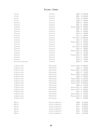| COLORE                   | TESTAMATTA            | 2006                   | € 1.400,00           |
|--------------------------|-----------------------|------------------------|----------------------|
| COLORE                   | TESTAMATTA            | 2008                   | € 1.300,00           |
| COLORE                   | Testamatta            | 2015                   | € 1.100,00           |
| COLORE                   | TESTAMATTA            | 2018                   | €<br>900,00          |
| TESTAMATTA               | TESTAMATTA            | 2000                   | 700,00<br>€          |
| <b>TESTAMATTA</b>        | <b>TESTAMATTA</b>     | 2001                   | 600,00<br>€          |
| Testamatta               | TESTAMATTA            | MACNUM 2006            | 950,00<br>€          |
| TESTAMATTA               | TESTAMATTA            | 2007                   | 400,00<br>$\epsilon$ |
| TESTAMATTA               | <b>TESTAMATTA</b>     | 2009                   | 320,00<br>€          |
| TESTAMATTA               | TESTAMATTA            | 2010                   | 300,00<br>€          |
| TESTAMATTA               | Testamatta            | 2011                   | 280,00<br>€          |
| TESTAMATTA               | TESTAMATTA            | <b>MATH 2011</b>       | € 2.000,00           |
| Testamatta               | TESTAMATTA            | 2012                   | 260,00<br>€          |
| TESTAMATTA               | TESTAMATTA            | MAGNUM 2012            | 550,00<br>$\in$      |
| TESTAMATTA               | TESTAMATTA            | 2013                   | 220,00<br>€          |
| TESTAMATTA               | TESTAMATTA            | JEROB. 2013            | 800,00<br>€          |
| TESTAMATTA               | Testamatta            | 2014                   | 180,00<br>€          |
| <b>TESTAMATTA</b>        | <b>TESTAMATTA</b>     | MAGNUM 2014            | 400,00<br>€          |
| Testamatta               | TESTAMATTA            | 2015                   | 170,00<br>€          |
| TESTAMATTA               | TESTAMATTA            | MACNUM 2015            | 360,00<br>€          |
| TESTAMATTA               | TESTAMATTA            | 2016                   | 160,00<br>€          |
| TESTAMATTA               | TESTAMATTA            | 2018                   | 150,00<br>€          |
| SOFFOCONE DI VINCIGLIATA | Testamatta            | 2018 €                 | 60,00                |
|                          |                       |                        |                      |
| LE PERGOLE TORTE         | MONTEVERTINE          | MAGNUM 1996 € 1.800,00 |                      |
| LE PERGOLE TORTE         | MONTEVERTINE          | 2000                   | 760,00<br>€          |
| LE PERGOLE TORTE         | MONTEVERTINE          | MAGNUM 2001            | € 1.700,00           |
| LE PERGOLE TORTE         | MONTEVERTINE          | 2003                   | €<br>710,00          |
| LE PERGOLE TORTE         | MONTEVERTINE          | MAGNUM 2003            | € 1.600,00           |
| LE PERGOLE TORTE         | MONTEVERTINE          | 2004                   | 690,00<br>€          |
| LE PERGOLE TORTE         | MONTEVERTINE          | MAGNUM 2004 € 1.500,00 |                      |
| LE PERGOLE TORTE         | MONTEVERTINE          | MAGNUM 2006 € 1.400,00 |                      |
| LE PERGOLE TORTE         | MONTEVERTINE          | MAGNUM 2007 € 1.300,00 |                      |
| LE PERGOLE TORTE         | MONTEVERTINE          | 2008                   | 610,00<br>€          |
| LE PERGOLE TORTE         | MONTEVERTINE          | MAGNUM 2011            | 950,00<br>€          |
| LE PERGOLE TORTE         | MONTEVERTINE          | MACNUM 2013            | 850,00<br>€          |
| LE PERGOLE TORTE         | MONTEVERTINE          | 2014                   | 300,00<br>€          |
| LE PERGOLE TORTE         | MONTEVERTINE          | MAGNUM 2014            | 750,00<br>€          |
| LE PERGOLE TORTE         | MONTEVERTINE          | MAGNUM 2015            | 650,00<br>€          |
| LE PERGOLE TORTE         | MONTEVERTINE          | 2016 €                 | 250,00               |
|                          |                       |                        |                      |
| D'ALCEO                  | CASTELLO DEI RAMPOLLA | 2008                   | € 340,00             |
| D'ALCEO                  | CASTELLO DEI RAMPOLLA | 2010                   | € 320,00             |
| D'ALCEO                  | CASTELLO DEI RAMPOLLA | 2011                   | € 300,00             |
| <b>D'ALCEO</b>           | CASTELLO DEI RAMPOLLA | 2012                   | € 270,00             |
| D'ALCEO                  |                       |                        |                      |
|                          | CASTELLO DEI RAMPOLLA | 2013                   |                      |
| <b>D'ALCEO</b>           | CASTELLO DEI RAMPOLLA | 2014                   | € 240,00<br>€ 220,00 |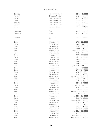| SAMMARCO   | CASTELLO DEI RAMPOLLA    | 2000                  | € 250,00        |
|------------|--------------------------|-----------------------|-----------------|
| SAMMARCO   | CASTELLO DEI RAMPOLLA    | 2004                  | € 230,00        |
| SAMMARCO   | CASTELLO DEI RAMPOLLA    | 2010                  | € 200,00        |
| SAMMARCO   | CASTELLO DEI RAMPOLLA    | 2011                  | € 180,00        |
| SAMMARCO   | CASTELLO DEI RAMPOLLA    | 2012                  | € 150,00        |
| SAMMARCO   | CASTELLO DEI RAMPOLLA    | 2013                  | € 130,00        |
| SAMMARCO   | CASTELLO DEI RAMPOLLA    | 2014                  | € 110,00        |
|            |                          |                       |                 |
| FONTALLORO | FELSINA                  | 2015                  | € 150,00        |
| FONTALLORO | FELSINA                  | 2016                  | € 130,00        |
|            |                          |                       |                 |
| CAMARTINA  | QUERCIABELLA             | 2013                  | 200,00<br>€     |
|            |                          |                       |                 |
| SOLAIA     | MARCHESI ANTINORI        | 1985                  | € 2.200,00      |
| SOLAIA     | MARCHESI ANTINORI        | 1987                  | € 2.000,00      |
| SOLAIA     | <b>MARCHESI ANTINORI</b> | 1989                  | € 1.900,00      |
| SOLAIA     | <b>MARCHESI ANTINORI</b> | 1990                  | € 1.800,00      |
| SOLAIA     | <b>MARCHESI ANTINORI</b> | MAGNUM 1990 €4.000,00 |                 |
| SOLAIA     | <b>MARCHESI ANTINORI</b> | 1991                  | € 1.700,00      |
| SOLAIA     | <b>MARCHESI ANTINORI</b> | 1993                  | € 1.500,00      |
| SOLAIA     | <b>MARCHESI ANTINORI</b> | 1994                  | € 1.400,00      |
| SOLAIA     | <b>MARCHESI ANTINORI</b> | 1995                  | € 1.300,00      |
| SOLAIA     | <b>MARCHESI ANTINORI</b> | 1996                  | € 1.200,00      |
| SOLAIA     | <b>MARCHESI ANTINORI</b> | 1997                  | € 1.100,00      |
| SOLAIA     | <b>MARCHESI ANTINORI</b> | JEROB. 1997           | € 5.500,00      |
| SOLAIA     | <b>MARCHESI ANTINORI</b> | 1998                  | € 1.000,00      |
| SOLAIA     | <b>MARCHESI ANTINORI</b> | 1999                  | $\in$<br>970,00 |
| SOLAIA     | <b>MARCHESI ANTINORI</b> | 2000                  | 950,00<br>€     |
| SOLAIA     | <b>MARCHESI ANTINORI</b> | 2001                  | 880,00<br>$\in$ |
| SOLAIA     | <b>MARCHESI ANTINORI</b> | MAGNUM 2001           | € 1.900,00      |
| SOLAIA     | <b>MARCHESI ANTINORI</b> | 2002                  | 850,00<br>€     |
| SOLAIA     | <b>MARCHESI ANTINORI</b> | 2003                  | €<br>800,00     |
| SOLAIA     | <b>MARCHESI ANTINORI</b> | 2004                  | 780,00<br>€     |
| SOLAIA     | <b>MARCHESI ANTINORI</b> | JEROB. 2004           | € 3.500,00      |
| SOLAIA     | <b>MARCHESI ANTINORI</b> | 2005                  | 750,00<br>€     |
| SOLAIA     | <b>MARCHESI ANTINORI</b> | 2006                  | 700,00<br>€     |
| SOLAIA     | <b>MARCHESI ANTINORI</b> | MAGNUM 2006           | € 1.600,00      |
| SOLAIA     | <b>MARCHESI ANTINORI</b> | 2007                  | 680,00<br>€     |
| SOLAIA     | <b>MARCHESI ANTINORI</b> | MAGNUM 2007           | € 1.400,00      |
| SOLAIA     | <b>MARCHESI ANTINORI</b> | 2008                  | $\in$<br>630,00 |
| SOLAIA     | MARCHESI ANTINORI        | MAGNUM 2008           | € 1.300,00      |
| SOLAIA     | <b>MARCHESI ANTINORI</b> | 2009                  | €<br>600,00     |
| SOLAIA     | <b>MARCHESI ANTINORI</b> | 2010                  | 580,00<br>€     |
| SOLAIA     | <b>MARCHESI ANTINORI</b> | 2011                  | 530,00<br>€     |
| SOLAIA     | <b>MARCHESI ANTINORI</b> | 2012                  | 480,00<br>€     |
| SOLAIA     | <b>MARCHESI ANTINORI</b> | JEROB. 2012           | € 2.500,00      |
| SOLAIA     | <b>MARCHESI ANTINORI</b> | 2013                  | 450,00<br>€     |
| SOLAIA     | <b>MARCHESI ANTINORI</b> | MAGNUM 2013           | 950,00<br>€     |
| SOLAIA     | MARCHESI ANTINORI        | MAGNUM 2014           | 900,00<br>€     |
|            |                          |                       |                 |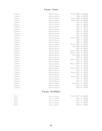| i ignanello        |
|--------------------|
| <b>I</b> IGNANELLO |
| Tignanello         |
| Tignanello         |
| Tignanello         |
| <b>I</b> IGNANELLO |
| <b>I</b> IGNANELLO |
| Tignanello         |
| Tignanello         |
| <b>I</b> IGNANELLO |
| <b>I</b> IGNANELLO |
| <b>I</b> IGNANELLO |
| Tignanello         |
| Tignanello         |
| TIGNANELLO         |
| Tignanello         |
| Tignanello         |
| <b>I</b> IGNANELLO |
| <b>I</b> IGNANELLO |
| Tignanello         |
| <b>I</b> IGNANELLO |
| <b>I</b> IGNANELLO |
| Tignanello         |
| <b>I</b> IGNANELLO |
| TIGNANELLO         |
| <b>I</b> IGNANELLO |
| <b>I</b> IGNANELLO |
| <b>I</b> IGNANELLO |
| I ignanello        |
| I ignanello        |
| <b>I</b> IGNANELLO |
| Tignanello<br>ነ    |
| <b>I</b> IGNANELLO |
| <b>I</b> IGNANELLO |
| Tignanfli o        |

| TIGNANELLO | <b>MARCHESI ANTINORI</b> | MAGNUM 1985 € 2.500,00 |                 |
|------------|--------------------------|------------------------|-----------------|
| TIGNANELLO | <b>MARCHESI ANTINORI</b> | 1988                   | € 1.200,00      |
| Tignanello | MARCHESI ANTINORI        | MACNUM 1988            | € 2.200,00      |
| TIGNANELLO | <b>MARCHESI ANTINORI</b> | MAGNUM 1990            | € 1.900,00      |
| TIGNANELLO | MARCHESI ANTINORI        | 1991                   | €<br>900,00     |
| TIGNANELLO | <b>MARCHESI ANTINORI</b> | 1995                   | €<br>850,00     |
| TIGNANELLO | <b>MARCHESI ANTINORI</b> | 1996                   | €<br>800,00     |
| TIGNANELLO | MARCHESI ANTINORI        | 1997                   | $\in$<br>750,00 |
| TIGNANELLO | <b>MARCHESI ANTINORI</b> | 1999                   | 700,00<br>€     |
| Tignanello | MARCHESI ANTINORI        | 2000                   | 650,00<br>€     |
| TIGNANELLO | <b>MARCHESI ANTINORI</b> | 2001                   | 600,00<br>€     |
| TIGNANELLO | MARCHESI ANTINORI        | 2003<br>Magnum         | €<br>950,00     |
| TIGNANELLO | MARCHESI ANTINORI        | 2004                   | 500,00<br>€     |
| Tignanello | MARCHESI ANTINORI        | 2006                   | 400,00<br>€     |
| TIGNANELLO | <b>MARCHESI ANTINORI</b> | MAGNUM 2006            | $\in$<br>900,00 |
| TIGNANELLO | <b>MARCHESI ANTINORI</b> | <b>JEROB. 2006</b>     | € 1.900,00      |
| TIGNANELLO | <b>MARCHESI ANTINORI</b> | 2007                   | 350,00<br>€     |
| TIGNANELLO | <b>MARCHESI ANTINORI</b> | MAGNUM 2007            | 850,00<br>€     |
| Tignanello | MARCHESI ANTINORI        | MAGNUM 2008            | €<br>800,00     |
| TIGNANELLO | MARCHESI ANTINORI        | <b>JEROB. 2008</b>     | € 1.700,00      |
| TIGNANELLO | MARCHESI ANTINORI        | 2009                   | $\in$<br>320,00 |
| TIGNANELLO | <b>MARCHESI ANTINORI</b> | MAGNUM 2009            | 750,00<br>€     |
| TIGNANELLO | <b>MARCHESI ANTINORI</b> | 2010                   | 300,00<br>€     |
| TIGNANELLO | <b>MARCHESI ANTINORI</b> | MAGNUM 2010            | 700,00<br>€     |
| TIGNANELLO | <b>MARCHESI ANTINORI</b> | 2011                   | €<br>270,00     |
| TIGNANELLO | <b>MARCHESI ANTINORI</b> | MAGNUM 2011            | 600,00<br>€     |
| TIGNANELLO | <b>MARCHESI ANTINORI</b> | 2012                   | 250,00<br>€     |
| Tignanello | MARCHESI ANTINORI        | MACNUM 2012            | 550,00<br>€     |
| TIGNANELLO | <b>MARCHESI ANTINORI</b> | 2013                   | 240,00<br>€     |
| Tignanello | MARCHESI ANTINORI        | MAGNUM 2013            | 500,00<br>€     |
| TIGNANELLO | MARCHESI ANTINORI        | 2014                   | 220,00<br>€     |
| TIGNANELLO | MARCHESI ANTINORI        | 2015                   | 210,00<br>€     |
| TIGNANELLO | <b>MARCHESI ANTINORI</b> | JEROB. 2015            | 980,00<br>€     |
| TIGNANELLO | <b>MARCHESI ANTINORI</b> | 2017                   | 180,00<br>€     |
| Tignanello | <b>MARCHESI ANTINORI</b> | 2018                   | 170,00<br>€     |
|            |                          |                        |                 |

# **Toscana - Val D'Orcia**

| Palazzi  | Tenuta di Trinoro | MAGNUM 1997 € 1.600.00 |               |
|----------|-------------------|------------------------|---------------|
| Palazzi  | TENUTA DI TRINORO |                        | 2013 € 550.00 |
| Palazzi  | TENUTA DI TRINORO |                        | 2014 € 520.00 |
| Palazzi  | Tenuta di Trinoro |                        | 2015 € 500.00 |
| PAI A77I | TENUTA DI TRINORO |                        | 2016 € 450,00 |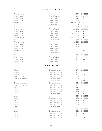#### **Toscana - Val D'Orcia**

| TENUTA DI TRINORO | TENUTA DI TRINORO        | 1997        | 900,00<br>€     |
|-------------------|--------------------------|-------------|-----------------|
| TENUTA DI TRINORO | TENUTA DI TRINORO        | 1998        | 850,00<br>$\in$ |
| TENUTA DI TRINORO | TENUTA DI TRINORO        | 1999        | 800,00<br>$\in$ |
| TENUTA DI TRINORO | <b>TENUTA DI TRINORO</b> | 2000        | 750,00<br>€     |
| TENUTA DI TRINORO | TENUTA DI TRINORO        | MAGNUM 2000 | € 1.800,00      |
| TENUTA DI TRINORO | TENUTA DI TRINORO        | 2001        | 690,00<br>€     |
| TENUTA DI TRINORO | TENUTA DI TRINORO        | 2003        | €<br>670,00     |
| TENUTA DI TRINORO | TENUTA DI TRINORO        | MAGNUM 2003 | € 1.700,00      |
| TENUTA DI TRINORO | TENUTA DI TRINORO        | 2004        | 650,00<br>€     |
| TENUTA DI TRINORO | TENUTA DI TRINORO        | MAGNUM 2004 | € 1.600,00      |
| TENUTA DI TRINORO | TENUTA DI TRINORO        | 2005        | €<br>630,00     |
| TENUTA DI TRINORO | TENUTA DI TRINORO        | MAGNUM 2005 | € 1.500,00      |
| TENUTA DI TRINORO | TENUTA DI TRINORO        | 2006        | 620,00<br>€     |
| TENUTA DI TRINORO | TENUTA DI TRINORO        | MAGNUM 2006 | € 1.300,00      |
| TENUTA DI TRINORO | TENUTA DI TRINORO        | 2007        | 590,00<br>€     |
| Tenuta di Trinoro | TENUTA DI TRINORO        | 2009        | 550,00<br>€     |
| TENUTA DI TRINORO | <b>TENUTA DI TRINORO</b> | 2011        | 530,00<br>€     |
| TENUTA DI TRINORO | TENUTA DI TRINORO        | 2012        | 510,00<br>$\in$ |
| TENUTA DI TRINORO | TENUTA DI TRINORO        | 2013        | 490,00<br>€     |
| TENUTA DI TRINORO | TENUTA DI TRINORO        | 2014        | 470,00<br>$\in$ |
| TENUTA DI TRINORO | TENUTA DI TRINORO        | 2015        | 450,00<br>€     |
| Tenuta di Trinoro | TENUTA DI TRINORO        | 2016        | 620,00<br>€     |
| TENUTA DI TRINORO | TENUTA DI TRINORO        | 2017        | €<br>430,00     |
|                   | Toscana - Maremma        |             |                 |

#### Tassinaia 1999 € 150,00 Castello del Terriccio Tassinaia 2014 € 80,00 Castello del Terriccio Tassinaia 2015 € 70,00 Castello del Terriccio Castello del Terriccio 2007 € 250,00 Castello del Terriccio Castello del Terriccio 2008 € 230,00 Castello del Terriccio Castello del Terriccio 2010 € 210,00 Castello del Terriccio Castello del Terriccio 2012 € 180,00 Castello del Terriccio Castello del Terriccio 2016 € 150,00 Castello del Terriccio Lupicaia 1993 € 590,00 Castello del Terriccio Lupicaia 1996 € 570,00 Castello del Terriccio Lupicaia 1999 € 550,00 Castello del Terriccio Lupicaia 2000 € 530,00 Castello del Terriccio Lupicaia 2001 € 510,00 Castello del Terriccio Lupicaia 2004 € 480,00 Castello del Terriccio Lupicaia 2006 € 450,00 Castello del Terriccio Lupicaia 2007 € 420,00 Lupicaia 2008 € 400,00 Lupicaia 2010 € 370,00 Castello del Terriccio Lupicaia 2011 € 350,00 Lupicaia 2012 € 320,00 Castello del Terriccio Lupicaia 2013 € 300,00 Lupicaia 2014 € 280,00 Castello del Terriccio Lupicaia 2016 € 260,00 Castello del TerriccioCastello del Terriccio Castello del Terriccio Castello del Terriccio Castello del Terriccio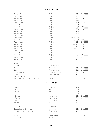## **Toscana - Maremma**

| <b>GIUSTO DI NOTRI</b>                    | <b>TUA RITA</b>          | 2015               | €     | 120,00     |
|-------------------------------------------|--------------------------|--------------------|-------|------------|
| <b>GIUSTO DI NOTRI</b>                    | TUA RITA                 | MAGNUM 2015        | €     | 250,00     |
| REDIGAFFI MERLOT                          | TUA RITA                 | 1997               |       | € 1.600,00 |
| <b>REDIGAFFI MERLOT</b>                   | TUA RITA                 | 1998               |       | € 1.500,00 |
| <b>REDIGAFFI MERLOT</b>                   | TUA RITA                 | 1999               |       | € 1.450,00 |
| <b>REDIGAFFI MERLOT</b>                   | TUA RITA                 | 2000               |       | € 1.400,00 |
| <b>REDIGAFFI MERLOT</b>                   | <b>TUA RITA</b>          | 2001               |       | € 1.350,00 |
| <b>REDIGAFFI MERLOT</b>                   | TUA RITA                 | 2002               |       | € 1.300,00 |
| <b>REDIGAFFI MERLOT</b>                   | TUA RITA                 | 2003               |       | € 1.250,00 |
| <b>REDIGAFFI MERLOT</b>                   | TUA RITA                 | 2004               |       | € 1.200,00 |
| <b>REDIGAFFI MERLOT</b>                   | TUA RITA                 | 2005               |       | € 1.100,00 |
| <b>REDIGAFFI MERLOT</b>                   | TUA RITA                 | MAGNUM 2006        |       | € 2.200,00 |
| <b>REDIGAFFI MERLOT</b>                   | TUA RITA                 | <b>JEROB. 2007</b> |       | € 3.500,00 |
| <b>REDIGAFFI MERLOT</b>                   | TUA RITA                 | 2008               | $\in$ | 950,00     |
| <b>REDIGAFFI MERLOT</b>                   | TUA RITA                 | MAGNUM 2010        |       | € 1.800,00 |
| <b>REDIGAFFI MERLOT</b>                   | TUA RITA                 | 2011               | $\in$ | 850,00     |
| REDIGAFFI MERLOT                          | TUA RITA                 | MAGNUM 2011        |       | € 1.800,00 |
| REDIGAFFI MERLOT                          | TUA RITA                 | 2012               | €     | 800,00     |
| REDIGAFFI MERLOT                          | TUA RITA                 | MAGNUM 2012        |       | € 1.700,00 |
| REDIGAFFI MERLOT                          | TUA RITA                 | MAGNUM 2014        |       | € 1.600,00 |
| <b>REDIGAFFI MERLOT</b>                   | TUA RITA                 | 2015               | €     | 750,00     |
| <b>REDIGAFFI MERLOT</b>                   | TUA RITA                 | 2016               | €     | 700,00     |
| SUISASSI                                  | <b>DUEMANI</b>           | 2016               | €     | 350,00     |
| PINO DI BISERNO                           | TENUTA DI BISERNO        | 2017               | €     | 90,00      |
| BISERNO                                   | <b>TENUTA DI BISERNO</b> | 2010               | €     | 350,00     |
| <b>BISERNO</b>                            | <b>TENUTA DI BISERNO</b> | 2016               | €     | 260,00     |
| <b>GORGONA ROSSO</b>                      | MARCHESI DE FRESCOBALDI  | 2019               | €     | 360,00     |
| I CAPRAI                                  | CAPALBIO FATTORIA        | 2012               | €     | 40,00      |
| <b>AMPIO DELLE MORTELLE</b>               | LE MORTELLE              | 2015               | €     | 250,00     |
| MORELLINO DI SCANSANO RISERVA MADRECHIESA | TERENZI                  | 2016               | €     | 60,00      |
|                                           | Toscana - Bolgheri       |                    |       |            |
| CAVALIERE                                 | MICHELE SATTA            | 2003 €             |       | 150,00     |
| CAVALIERE                                 | MICHELE SATTA            | 2005               | €     | 120,00     |
| CAVALIERE                                 | MICHELE SATTA            | 2006               | €     | 100,00     |
| CAVALIERE                                 | MICHELE SATTA            | 2008               | €     | 90,00      |
| I CASTAGNI                                | MICHELE SATTA            | 2013               | €     | 160,00     |
| I CASTAGNI                                | MICHELE SATTA            | 2015               | €     | 140,00     |
| MARIANOVA                                 | MICHELE SATTA            | 2016               | €     | 290,00     |
| PIASTRAIA                                 | MICHELE SATTA            | 2019 €             |       | 80,00      |
| <b>BOLGHERI SUPERIORE GRATTAMACCO</b>     | GRATTAMACCO              | 2016 €             |       | 180,00     |
| <b>BOLGHERI SUPERIORE GRATTAMACCO</b>     | GRATTAMACCO              | 2017 €             |       | 160,00     |
| <b>BOLGHERI SUPERIORE GRATTAMACCO</b>     | GRATTAMACCO              | 2018 €             |       | 150,00     |
| Argentiera                                | TENUTA ARGENTIERA        | 2018 €             |       | 140,00     |
| LE GONNARE                                | <b>FABIO MOTTA</b>       | 2018 €             |       | 70,00      |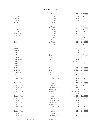# **Toscana - Bolgheri**

| MESSORIO                         | LE MACCHIOLE             | 1999        | €     | 750,00     |
|----------------------------------|--------------------------|-------------|-------|------------|
| MESSORIO                         | LE MACCHIOLE             | 2001        | €     | 650,00     |
| MESSORIO                         | LE MACCHIOLE             | 2003        | €     | 550,00     |
| MESSORIO                         | LE MACCHIOLE             | 2004        | €     | 500,00     |
| MESSORIO                         | LE MACCHIOLE             | 2010        | €     | 420,00     |
| MESSORIO                         | LE MACCHIOLE             | 2012        | €     | 400,00     |
| MESSORIO                         | LE MACCHIOLE             | 2015        | €     | 380,00     |
| MESSORIO                         | LE MACCHIOLE             | 2016        | €     | 360,00     |
| MESSORIO                         | LE MACCHIOLE             | 2017        | €     | 340,00     |
| PALEO ROSSO                      | LE MACCHIOLE             | 2011        | €     | 210,00     |
| PALEO ROSSO                      | LE MACCHIOLE             | 2016        | €     | 170,00     |
| PALEO ROSSO                      | LE MACCHIOLE             | 2017        | €     | 150,00     |
| SCRIO                            | LE MACCHIOLE             | 2008        | €     | 380,00     |
| SCRIO                            | LE MACCHIOLE             | 2010        | €     | 350,00     |
| SCRIO                            | LE MACCHIOLE             | 2012 €      |       | 330,00     |
|                                  |                          |             |       |            |
| PROMIS                           | CAJA                     | 2019        | €     | 60,00      |
| CA' MARCANDA                     | GAJA                     | 2000        | €     | 350,00     |
| CA' MARCANDA                     | CAJA                     | 2003        | €     | 300,00     |
| CA' MARCANDA                     | CAJA                     | 2004        | €     | 270,00     |
| CA' MARCANDA                     | CAJA                     | 2007        | €     | 250,00     |
| CA' MARCANDA                     | CAJA                     | 2008        | €     | 230,00     |
| CA' MARCANDA                     | CAJA                     | JEROB. 2010 |       | € 1.000,00 |
| CA' MARCANDA                     | GAJA                     | 2012        | €     | 210,00     |
| CA' MARCANDA                     | CAJA                     | 2013        | €     | 190,00     |
| CA' MARCANDA                     | CAJA                     | 2015        | $\in$ | 180,00     |
| CA' MARCANDA                     | GAJA                     | MAGNUM 2015 | €     | 400,00     |
| CA' MARCANDA                     | Caja                     | 2018        | €     | 160,00     |
| MAGARI                           | CAJA                     | 2019 €      |       | 90,00      |
|                                  |                          |             |       |            |
| Guado al Tasso                   | MARCHESI ANTINORI        | 1994        | €     | 650,00     |
| <b>GUADO AL TASSO</b>            | <b>MARCHESI ANTINORI</b> | 1995        | €     | 600,00     |
| <b>GUADO AL TASSO</b>            | MARCHESI ANTINORI        | 1996        | €     | 580,00     |
| <b>GUADO AL TASSO</b>            | <b>MARCHESI ANTINORI</b> | 1997        | €     | 550,00     |
| <b>GUADO AL TASSO</b>            | <b>MARCHESI ANTINORI</b> | 1999        | €     | 500,00     |
| <b>GUADO AL TASSO</b>            | <b>MARCHESI ANTINORI</b> | 2000        | €     | 480,00     |
| GUADO AL TASSO                   | <b>MARCHESI ANTINORI</b> | MAGNUM 2000 |       | € 1.300,00 |
| <b>GUADO AL TASSO</b>            | <b>MARCHESI ANTINORI</b> | 2001        | €     | 450,00     |
| GUADO AL TASSO                   | <b>MARCHESI ANTINORI</b> | MAGNUM 2001 |       | € 1.200,00 |
| <b>GUADO AL TASSO</b>            | <b>MARCHESI ANTINORI</b> | 2005        | €     | 410,00     |
| <b>GUADO AL TASSO</b>            | <b>MARCHESI ANTINORI</b> | 2006        | €     | 390,00     |
| GUADO AL TASSO                   | <b>MARCHESI ANTINORI</b> | 2007        | €     | 380,00     |
| GUADO AL TASSO                   | <b>MARCHESI ANTINORI</b> | 2008        | €     | 370,00     |
| <b>GUADO AL TASSO</b>            | <b>MARCHESI ANTINORI</b> | 2009        | €     | 350,00     |
| GUADO AL TASSO                   | <b>MARCHESI ANTINORI</b> | 2011        | €     | 330,00     |
| GUADO AL TASSO                   | <b>MARCHESI ANTINORI</b> | 2013        | €     | 300,00     |
| GUADO AL TASSO                   | <b>MARCHESI ANTINORI</b> | 2016        | €     | 260,00     |
| GUADO AL TASSO                   | MARCHESI ANTINORI        | 2019        | €     | 220,00     |
|                                  |                          |             |       |            |
| Cont'Ugo - Tenuta Guado al Tasso | <b>MARCHESI ANTINORI</b> | 2012        | €     | 120,00     |
| CONT'UGO - TENUTA GUADO AL TASSO | <b>MARCHESI ANTINORI</b> | 2019 €      |       | 80,00      |
|                                  |                          |             |       |            |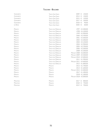## **Toscana - Bolgheri**

| <b>GUIDALBERTO</b> | <b>TENUTA SAN GUIDO</b> | 2009                   | 150,00<br>€         |
|--------------------|-------------------------|------------------------|---------------------|
| <b>GUIDALBERTO</b> | <b>TENUTA SAN GUIDO</b> | 2014                   | 130,00<br>€         |
| <b>GUIDALBERTO</b> | <b>TENUTA SAN GUIDO</b> | 2015                   | 120,00<br>€         |
| <b>GUIDALBERTO</b> | <b>TENUTA SAN GUIDO</b> | 2017                   | 100,00<br>€         |
| <b>GUIDALBERTO</b> | <b>TENUTA SAN GUIDO</b> | 2018                   | 90,00<br>$\in$      |
| LE DIFESE          | <b>TENUTA SAN GUIDO</b> | 2020                   | 60,00<br>$\epsilon$ |
| MASSETO            | TENUTA DELL'ORNELLAIA   | 1997                   | € 4.300,00          |
| MASSETO            | TENUTA DELL'ORNELLAIA   | 1998                   | € 4.100,00          |
| MASSETO            | TENUTA DELL'ORNELLAIA   | 1999                   | € 3.900,00          |
| MASSETO            | TENUTA DELL'ORNELLAIA   | 2000                   | € 3.700,00          |
| MASSETO            | TENUTA DELL'ORNELLAIA   | 2001                   | € 3.500,00          |
| MASSETO            | TENUTA DELL'ORNELLAIA   |                        | 2002 € 3.300,00     |
| MASSETO            | TENUTA DELL'ORNELLAIA   | 2003                   | € 3.100,00          |
| MASSETO            | TENUTA DELL'ORNELLAIA   | 2004                   | € 2.900,00          |
| MASSETO            | TENUTA DELL'ORNELLAIA   | 2005                   | € 2.700,00          |
| MASSETO            | TENUTA DELL'ORNELLAIA   | 2006                   | € 2.500,00          |
| MASSETO            | TENUTA DELL'ORNELLAIA   | 2008                   | € 2.200,00          |
| MASSETO            | TENUTA DELL'ORNELLAIA   | MAGNUM 2008            | € 6.000,00          |
| MASSETO            | TENUTA DELL'ORNELLAIA   | MAGNUM 2009            | € 5.500,00          |
| MASSETO            | TENUTA DELL'ORNELLAIA   | MAGNUM 2010            | € 5.000,00          |
| MASSETO            | TENUTA DELL'ORNELLAIA   | 2011                   | € 1.900,00          |
| MASSETO            | TENUTA DELL'ORNELLAIA   | MAGNUM 2011            | € 4.600,00          |
| MASSETO            | TENUTA DELL'ORNELLAIA   |                        | 2012 € 1.800,00     |
| MASSETO            | MASSETO                 | 2013                   | € 1.700,00          |
| MASSETO            | MASSETO                 | 2014                   | € 1.600,00          |
| MASSETO            | MASSETO                 | MAGNUM 2015            | € 4.000,00          |
| MASSETO            | MASSETO                 |                        | 2017 € 1.400,00     |
| MASSETO            | MASSETO                 | 2018                   | € 1.300,00          |
| MASSETO            | MASSETO                 | MAGNUM 2018 € 3.000,00 |                     |
| Massetino          | MASSETO                 | 2017                   | 800,00<br>€         |
| MASSETINO          | MASSETO                 | 2018                   | €<br>750,00         |
| MASSETINO          | MASSETO                 | 2019                   | €<br>700,00         |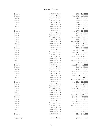#### $T$ <sub>OSCANA</sub> - **B**<sub>OLGHERI</sub> **l**

| ORNELLAIA      | TENUTA DELL'ORNELLAIA |                        | 1986 € 1.800,00        |
|----------------|-----------------------|------------------------|------------------------|
| ORNELLAIA      | TENUTA DELL'ORNELLAIA | MAGNUM 1986            | € 3.700,00             |
| ORNELLAIA      | TENUTA DELL'ORNELLAIA | 1987                   | € 1.700,00             |
| ORNELLAIA      | TENUTA DELL'ORNELLAIA | 1988                   | € 1.500,00             |
| ORNELLAIA      | TENUTA DELL'ORNELLAIA | 1989                   | € 1.300,00             |
| ORNELLAIA      | TENUTA DELL'ORNELLAIA | 1990                   | € 1.200,00             |
| ORNELLAIA      | TENUTA DELL'ORNELLAIA | 1991                   | € 1.100,00             |
| ORNELLAIA      | TENUTA DELL'ORNELLAIA | 1992                   | € 1.000,00             |
| ORNELLAIA      | TENUTA DELL'ORNELLAIA | MAGNUM 1993            | € 2.400,00             |
| ORNELLAIA      | TENUTA DELL'ORNELLAIA | 1994                   | $\in$<br>980,00        |
| ORNELLAIA      | TENUTA DELL'ORNELLAIA | 1995                   | 950,00<br>€            |
| ORNELLAIA      | TENUTA DELL'ORNELLAIA | MAGNUM 1995            | € 2.300,00             |
| ORNELLAIA      | TENUTA DELL'ORNELLAIA | 1996                   | 930,00<br>€            |
| ORNELLAIA      | TENUTA DELL'ORNELLAIA | MAGNUM 1996            | € 2.200,00             |
| ORNELLAIA      | TENUTA DELL'ORNELLAIA | 1997                   | €<br>900,00            |
| ORNELLAIA      | TENUTA DELL'ORNELLAIA | MATH 1997              | € 5.800,00             |
| ORNELLAIA      | TENUTA DELL'ORNELLAIA | 1998                   | $\in$<br>880,00        |
| ORNELLAIA      | TENUTA DELL'ORNELLAIA | MAGNUM 1998            | € 2.000,00             |
| ORNELLAIA      | TENUTA DELL'ORNELLAIA | MAGNUM 1999            | € 1.900,00             |
| ORNELLAIA      | TENUTA DELL'ORNELLAIA | 2000                   | 850,00<br>$\in$        |
| ORNELLAIA      | TENUTA DELL'ORNELLAIA | MAGNUM 2000            | € 1.800,00             |
| ORNELLAIA      | TENUTA DELL'ORNELLAIA | 2001                   | $\in$<br>800,00        |
| ORNELLAIA      | TENUTA DELL'ORNELLAIA | MAGNUM 2001            | € 1.700,00             |
| ORNELLAIA      | TENUTA DELL'ORNELLAIA | 2002                   | $\in$<br>780,00        |
| ORNELLAIA      | TENUTA DELL'ORNELLAIA | MAGNUM 2002            | € 1.600,00             |
| ORNELLAIA      | TENUTA DELL'ORNELLAIA | 2003                   | 750,00<br>€            |
| ORNELLAIA      | TENUTA DELL'ORNELLAIA | 2004                   | 700,00<br>€            |
| Ornellaia      | TENUTA DELL'ORNELLAIA | MAGNUM 2004            | € 1.500,00             |
| ORNELLAIA      | TENUTA DELL'ORNELLAIA | MAGNUM 2006            | € 1.400,00             |
| ORNELLAIA      | TENUTA DELL'ORNELLAIA | MAGNUM 2009 € 1.300,00 |                        |
| ORNELLAIA      | TENUTA DELL'ORNELLAIA | 2010                   | €<br>550,00            |
| ORNELLAIA      | TENUTA DELL'ORNELLAIA | MAGNUM 2010 € 1.200,00 |                        |
| ORNELLAIA      | TENUTA DELL'ORNELLAIA |                        | JEROB. 2010 € 2.500,00 |
| ORNELLAIA      | TENUTA DELL'ORNELLAIA | 2011 €                 | 530,00                 |
| ORNELLAIA      | TENUTA DELL'ORNELLAIA | 2012                   | 510,00<br>€            |
| ORNELLAIA      | TENUTA DELL'ORNELLAIA | MAGNUM 2012 € 1.100,00 |                        |
| ORNELLAIA      | TENUTA DELL'ORNELLAIA |                        | JEROB. 2012 € 2.100,00 |
| Ornellaia      | TENUTA DELL'ORNELLAIA | 2013                   | €<br>490,00            |
| ORNELLAIA      | TENUTA DELL'ORNELLAIA | MAGNUM 2013            | $\epsilon$ 1.000,00    |
| ORNELLAIA      | TENUTA DELL'ORNELLAIA | <b>JEROB. 2013</b>     | € 2.000,00             |
| Ornellaia      | TENUTA DELL'ORNELLAIA | 2014                   | €<br>470,00            |
| ORNELLAIA      | TENUTA DELL'ORNELLAIA | MAGNUM 2014            | 980,00<br>€            |
| ORNELLAIA      | TENUTA DELL'ORNELLAIA | JEROB. 2014            | € 1.900,00             |
| Ornellaia      | TENUTA DELL'ORNELLAIA | MAGNUM 2015            | 950,00<br>€            |
| ORNELLAIA      | TENUTA DELL'ORNELLAIA | 2015 €                 | 450,00                 |
| ORNELLAIA      | TENUTA DELL'ORNELLAIA | 2016 €                 | 400,00                 |
| ORNELLAIA      | TENUTA DELL'ORNELLAIA | MAGNUM 2016 €          | 850,00                 |
| ORNELLAIA      | TENUTA DELL'ORNELLAIA | 2018 €                 | 360,00                 |
| LE SERRE NUOVE | TENUTA DELL'ORNELLAIA | 2019 €                 | 90,00                  |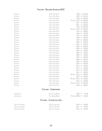# **Toscana - Bolgheri Sassicaia DOC**

| SASSICAIA          | <b>TENUTA SAN GUIDO</b>           | 1988                   | € 1.450,00      |
|--------------------|-----------------------------------|------------------------|-----------------|
| <b>SASSICAIA</b>   | <b>TENUTA SAN GUIDO</b>           | 1989                   | € 1.350,00      |
| <b>SASSICAIA</b>   | <b>TENUTA SAN GUIDO</b>           | 1990                   | € 1.300,00      |
| SASSICAIA          | <b>TENUTA SAN GUIDO</b>           | MAGNUM 1990            | € 3.000,00      |
| SASSICAIA          | <b>TENUTA SAN GUIDO</b>           | 1992                   | € 1.200,00      |
| <b>SASSICAIA</b>   | <b>TENUTA SAN GUIDO</b>           | 1993                   | € 1.100,00      |
| SASSICAIA          | <b>TENUTA SAN GUIDO</b>           | 1994                   | € 1.000,00      |
| SASSICAIA          | <b>TENUTA SAN GUIDO</b>           | MAGNUM 1994            | € 2.100,00      |
| SASSICAIA          | <b>TENUTA SAN GUIDO</b>           | 1995                   | $\in$<br>980,00 |
| SASSICAIA          | <b>TENUTA SAN GUIDO</b>           | 1996                   | 950,00<br>€     |
| SASSICAIA          | <b>TENUTA SAN GUIDO</b>           | 1997                   | 930,00<br>€     |
| SASSICAIA          | <b>TENUTA SAN GUIDO</b>           | 1998                   | 900,00<br>€     |
| SASSICAIA          | <b>TENUTA SAN GUIDO</b>           | 1999                   | 880,00<br>€     |
| SASSICAIA          | <b>TENUTA SAN GUIDO</b>           | 2000                   | 850,00<br>€     |
| SASSICAIA          | <b>TENUTA SAN GUIDO</b>           | 2001                   | €<br>820,00     |
| SASSICAIA          | <b>TENUTA SAN GUIDO</b>           | 2002                   | 800,00<br>€     |
| <b>SASSICAIA</b>   | <b>TENUTA SAN GUIDO</b>           | 2003                   | 780,00<br>€     |
| SASSICAIA          | <b>TENUTA SAN GUIDO</b>           | 2004                   | 750,00<br>€     |
| SASSICAIA          | <b>TENUTA SAN GUIDO</b>           | 2005                   | 720,00<br>€     |
| SASSICAIA          | <b>TENUTA SAN GUIDO</b>           | 2006                   | 700,00<br>€     |
| SASSICAIA          | <b>TENUTA SAN GUIDO</b>           | 2007                   | €<br>680,00     |
| <b>SASSICAIA</b>   | <b>TENUTA SAN GUIDO</b>           | 2008                   | 650,00<br>€     |
| <b>SASSICAIA</b>   | <b>TENUTA SAN GUIDO</b>           | 2009                   | 600,00<br>€     |
| <b>SASSICAIA</b>   | <b>TENUTA SAN GUIDO</b>           | 2010                   | 580,00<br>€     |
| SASSICAIA          | <b>TENUTA SAN GUIDO</b>           | 2011                   | 550,00<br>€     |
| SASSICAIA          | <b>TENUTA SAN GUIDO</b>           | 2012                   | 530,00<br>€     |
| SASSICAIA          | <b>TENUTA SAN GUIDO</b>           | 2013                   | 500,00<br>€     |
| <b>SASSICAIA</b>   | <b>TENUTA SAN GUIDO</b>           | 2014                   | 450,00<br>€     |
| <b>SASSICAIA</b>   | <b>TENUTA SAN GUIDO</b>           | MAGNUM 2014            | 900,00<br>€     |
| SASSICAIA          | <b>TENUTA SAN GUIDO</b>           | 2015                   | 800,00<br>€     |
| <b>SASSICAIA</b>   | <b>TENUTA SAN GUIDO</b>           | 2015<br>Magnum         | € 1.700,00      |
| <b>SASSICAIA</b>   | TENUTA SAN GUIDO                  | 2016                   | 600,00<br>€     |
| SASSICAIA          | <b>TENUTA SAN GUIDO</b>           | MAGNUM 2016 € 1.300,00 |                 |
| Sassicaia          | <b>TENUTA SAN GUIDO</b>           | 2018 €                 | 380,00          |
|                    | TOSCANA - CARMIGNANO              |                        |                 |
| CARMIGNANO         | COLLINE SAN BIAGIO                | 2008 €                 | 70,00           |
| CARMIGNANO         | COLLINE SAN BIAGIO                | MAGNUM 2008 €          | 150,00          |
|                    | <b>TOSCANA - COLLINE LUCCHESI</b> |                        |                 |
| TENUTA DI VALGIANO | TENUTA DI VALGIANO                | 2010                   | 160,00<br>€     |
| TENUTA DI VALGIANO | TENUTA DI VALGIANO                | 2011                   | 140,00<br>€     |
| TENUTA DI VALGIANO | TENUTA DI VALGIANO                | 2012 €                 | 120,00          |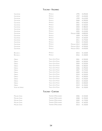## **Toscana - Valdarno**

| PETROLO                   | 1995        | € 690,00     |
|---------------------------|-------------|--------------|
| PETROLO                   | 1997        | € 650,00     |
| PETROLO                   | 1999        | € 610,00     |
| PETROLO                   | 2000        | € 590,00     |
| PETROLO                   | 2001        | € 550,00     |
| PETROLO                   | 2002        | € 520,00     |
| PETROLO                   | 2003        | € 480,00     |
| PETROLO                   | 2004        | € 450,00     |
| PETROLO                   | 2005        | € 410,00     |
| PETROLO                   | MACNUM 2008 | € 800,00     |
| PETROLO                   | 2009        | € 370.00     |
| PETROLO                   | 2010        | € 320,00     |
| PETROLO                   | 2011        | € 270,00     |
| PETROLO                   | 2012        | € 250,00     |
| PETROLO                   | MACNUM 2012 | € 600,00     |
| PETROLO                   | MAGNUM 2014 | € 550,00     |
| PETROLO                   | MACNUM 2015 | € 650,00     |
| PETROLO                   | 2015        | € 120,00     |
| PETROLO                   | 2016        | $\in$ 100,00 |
| <b>TENUTA SETTE PONTI</b> | 2001        | € 350,00     |
| <b>TENUTA SETTE PONTI</b> | 2003        | € 330,00     |
| <b>TENUTA SETTE PONTI</b> | 2004        | € 320,00     |
| <b>TENUTA SETTE PONTI</b> | 2005        | € 300,00     |
| <b>TENUTA SETTE PONTI</b> | 2006        | € 290,00     |
| <b>TENUTA SETTE PONTI</b> | 2007        | € 270,00     |
| <b>TENUTA SETTE PONTI</b> | 2009        | € 250,00     |
| <b>TENUTA SETTE PONTI</b> | 2010        | € 230,00     |
| <b>TENUTA SETTE PONTI</b> | 2011        | € 200,00     |
| <b>TENUTA SETTE PONTI</b> | 2012        | € 250,00     |
| <b>TENUTA SETTE PONTI</b> | 2013        | € 220,00     |
| <b>TENUTA SETTE PONTI</b> | 2015        | € 200,00     |
| <b>TENUTA SETTE PONTI</b> | 2019        | € 150,00     |
| <b>TENUTA SETTE PONTI</b> |             | € 150,00     |
|                           |             | 2016         |

## **Toscana - Cortona**

| Migliara Syrah | Tenimenti D'Alessandro | 2006 | € 220.00 |
|----------------|------------------------|------|----------|
| Migliara Syrah | Tenimenti D'Alessandro | 2008 | € 190.00 |
| Mighara Syrah  | Tenimenti D'Alessandro | 2009 | € 170.00 |
| Mighara Syrah  | Tenimenti D'Alessandro | 2010 | € 160,00 |
| Mighara Syrah  | Tenimenti D'Alessandro | 2013 | € 130.00 |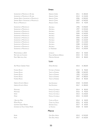#### **Umbria**

| SAGRANTINO DI MONTEFALCO 25 ANNI         | ARNALDO CAPRAI             | 2011 | € 180,00   |
|------------------------------------------|----------------------------|------|------------|
| SAGRANTINO DI MONTEFALCO 25 ANNI         | <b>ARNALDO CAPRAI</b>      | 2013 | € 150,00   |
| SPINNING BEAUTY SAGRANTINO DI MONTEFALCO | ARNALDO CAPRAI             | 2006 | € 300,00   |
| SPINNING BEAUTY SAGRANTINO DI MONTEFALCO | <b>ARNALDO CAPRAI</b>      | 2007 | € 260,00   |
| ROSSO DI MONTEFALCO                      | <b>ARNALDO CAPRAI</b>      | 2015 | € 45,00    |
| SAGRANTINO DI MONTEFALCO                 | ANTONELLI                  | 1996 | € 250,00   |
| SAGRANTINO DI MONTEFALCO                 | ANTONELLI                  | 1997 | € 220,00   |
| SAGRANTINO DI MONTEFALCO                 | ANTONELLI                  | 1999 | € 170,00   |
| SAGRANTINO DI MONTEFALCO                 | ANTONELLI                  | 2000 | € 160,00   |
| SAGRANTINO DI MONTEFALCO                 | ANTONELLI                  | 2004 | € 140,00   |
| SAGRANTINO DI MONTEFALCO                 | ANTONELLI                  | 2005 | € 130,00   |
| SAGRANTINO DI MONTEFALCO                 | ANTONELLI                  | 2006 | € 120,00   |
| SAGRANTINO DI MONTEFALCO                 | ANTONELLI                  | 2007 | € 110,00   |
| SAGRANTINO DI MONTEFALCO                 | ANTONELLI                  | 2008 | € 100,00   |
| SAGRANTINO DI MONTEFALCO                 | ANTONELLI                  | 2016 | € $60,00$  |
| SAGRANTINO DI MONTEFALCO                 | LA VENERANDA               | 2013 | € 100,00   |
| MONTIGNANELLO LSO12                      | LEONUCCI                   | 2012 | € 50,00    |
| NOTTURNO DEI CALANCHI                    | PAOLO & NOEMIA D'AMICO     | 2015 | 45,00<br>€ |
| PINOT NERO DELLA SALA                    | <b>MARCHESI ANTINORI</b>   | 2015 | 80,00<br>€ |
|                                          | LAZIO                      |      |            |
| ARS MAGNA CABERNET FRANC                 | Ômina Romana               | 2013 | € 180,00   |
| FIORANO ROSSO                            | <b>FATTORIA DI FIORANO</b> | 2015 | € 90,00    |
| FIORANO ROSSO                            | <b>TENUTA DI FIORANO</b>   | 1988 | € 260,00   |
| FIORANO ROSSO                            | TENUTA DI FIORANO          | 1993 | € 210,00   |
| <b>FIORANO ROSSO</b>                     | <b>TENUTA DI FIORANO</b>   | 1997 | € 180,00   |
| <b>FIORANO ROSSO</b>                     | <b>TENUTA DI FIORANO</b>   | 2013 | € 85,00    |
| HABEMUS ETICHETTA BIANCA                 | <b>SAN GIOVENALE</b>       | 2018 | € 100,00   |
| <b>HABEMUS ETICHETTA ROSSA</b>           | <b>SAN GIOVENALE</b>       | 2017 | € 180,00   |
| MONTIANO                                 | FAMIGLIA COTARELLA         | 2014 | € 80,00    |
| MONTIANO                                 | <b>FAMIGLIA COTARELLA</b>  | 2016 | € 90,00    |
| OGRÀ                                     | <b>FAMIGLIA COTARELLA</b>  | 2013 | € 140,00   |
| OGRÀ                                     | <b>FAMIGLIA COTARELLA</b>  | 2015 | € 120,00   |
| I QUATTRO MORI                           | CASTEL DE PAOLIS           | 2014 | € 50,00    |
| <b>MATER MATUTA</b>                      | CASALE DEL GIGLIO          | 2015 | 60,00<br>€ |
| <b>CESANESE CIRSIUM RISERVA</b>          | <b>DAMIANO CIOLLI</b>      | 2017 | 60,00<br>€ |
| CESANESE DEL PIGLIO VIGNALI PRIORE       | La Visciola                | 2018 | 50,00<br>€ |
|                                          | <b>MARCHE</b>              |      |            |
| KUPRA                                    | OASI DEGLI ANGELI          | 2013 | € 520,00   |

Kurni 2017  $\epsilon$  160,00

Oasi Degli Angeli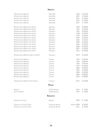#### **Abruzzo**

| MONTEPULCIANO D'ABRUZZO                    | <b>EMIDIO PEPE</b> | 2003        | € 230,00   |
|--------------------------------------------|--------------------|-------------|------------|
| MONTEPULCIANO D'ABRUZZO                    | <b>EMIDIO PEPE</b> | 2007        | € 190,00   |
| MONTEPULCIANO D'ABRUZZO                    | <b>EMIDIO PEPE</b> | 2011        | € 130,00   |
| MONTEPULCIANO D'ABRUZZO                    | <b>EMIDIO PEPE</b> | 2015        | € 110,00   |
| MONTEPULCIANO D'ABRUZZO                    | <b>EMIDIO PEPE</b> | 2017        | € 90,00    |
| MONTEPULCIANO D'ABRUZZO VILLA GEMMA        | MASCIARELLI        | 1992        | € 500,00   |
| MONTEPULCIANO D'ABRUZZO VILLA GEMMA        | MASCIARELLI        | 1994        | € 440,00   |
| MONTEPULCIANO D'ABRUZZO VILLA GEMMA        | MASCIARELLI        | 1995        | € 390,00   |
| MONTEPULCIANO D'ABRUZZO VILLA GEMMA        | MASCIARELLI        | 1998        | € 350,00   |
| MONTEPULCIANO D'ABRUZZO VILLA GEMMA        | MASCIARELLI        | 1999        | € 320,00   |
| MONTEPULCIANO D'ABRUZZO VILLA GEMMA        | MASCIARELLI        | 2000        | € 300,00   |
| MONTEPULCIANO D'ABRUZZO VILLA GEMMA        | MASCIARELLI        | 2003        | € 270,00   |
| MONTEPULCIANO D'ABRUZZO VILLA GEMMA        | MASCIARELLI        | 2004        | € 250,00   |
| MONTEPULCIANO D'ABRUZZO VILLA GEMMA        | MASCIARELLI        | 2005        | € 220,00   |
| MONTEPULCIANO D'ABRUZZO VILLA GEMMA        | MASCIARELLI        | 2006        | € 180,00   |
| MONTEPULCIANO D'ABRUZZO VILLA GEMMA        | MASCIARELLI        | 2007        | € 140,00   |
| MONTEPULCIANO D'ABRUZZO VILLA GEMMA        | MASCIARELLI        | 2014        | € 120,00   |
| MONTEPULCIANO D'ABRUZZO LA BOTTE DI GIANNI | MASCIARELLI        | 2013        | € 130,00   |
| MONTEPULCIANO D'ABRUZZO                    | VALENTINI          | 1993        | € 900,00   |
| MONTEPULCIANO D'ABRUZZO                    | VALENTINI          | 1994        | € 800,00   |
| MONTEPULCIANO D'ABRUZZO                    | <b>VALENTINI</b>   | 1995        | € 700,00   |
| MONTEPULCIANO D'ABRUZZO                    | <b>VALENTINI</b>   | 1997        | € 600,00   |
| MONTEPULCIANO D'ABRUZZO                    | VALENTINI          | 2000        | € 500,00   |
| MONTEPULCIANO D'ABRUZZO                    | VALENTINI          | 2001        | € 460,00   |
| MONTEPULCIANO D'ABRUZZO                    | VALENTINI          | 2002        | € 430,00   |
| MONTEPULCIANO D'ABRUZZO                    | VALENTINI          | 2006        | € 380,00   |
| MONTEPULCIANO D'ABRUZZO                    | VALENTINI          | 2012        | € 320,00   |
| MONTEPULCIANO D'ABRUZZO FOSSO CANCELLI     | CIAVOLICH          | 2015        | € 100,00   |
|                                            | <b>MOLISE</b>      |             |            |
| Ramitello                                  | DI MAJO NORANTE    | 2016        | 40,00<br>€ |
| <b>DON LUIGI RISERVA</b>                   | DI MAJO NORANTE    | 2016        | €<br>60,00 |
|                                            | <b>BASILICATA</b>  |             |            |
| <b>AGLIANICO DEL VULTURE</b>               | <b>BASILISCO</b>   | 2009        | € 55,00    |
| AGUANICO DEL VULTURE LA FIRMA              | CANTINE DEI NOTAIO | MAGNUM 2008 | € 160,00   |
| AGLIANICO DEL VULTURE LA FIRMA             | CANTINE DEL NOTAIO | 2011        | € 80,00    |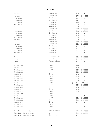## **Campania**

| MONTEVETRANO                       | <b>SILVIA IMPARATO</b>        | 1995        | € | 460,00     |
|------------------------------------|-------------------------------|-------------|---|------------|
| MONTEVETRANO                       | SILVIA IMPARATO               | 1996        | € | 440,00     |
| MONTEVETRANO                       | SILVIA IMPARATO               | 1997        | € | 410,00     |
| MONTEVETRANO                       | <b>SILVIA IMPARATO</b>        | 1998        | € | 380,00     |
| MONTEVETRANO                       | <b>SILVIA IMPARATO</b>        | 1999        | € | 360,00     |
| MONTEVETRANO                       | <b>SILVIA IMPARATO</b>        | 2000        | € | 350,00     |
| MONTEVETRANO                       | <b>SILVIA IMPARATO</b>        | 2001        | € | 330,00     |
| MONTEVETRANO                       | <b>SILVIA IMPARATO</b>        | 2002        | € | 300,00     |
| MONTEVETRANO                       | <b>SILVIA IMPARATO</b>        | 2003        | € | 280,00     |
| MONTEVETRANO                       | <b>SILVIA IMPARATO</b>        | 2004        | € | 240,00     |
| MONTEVETRANO                       | <b>SILVIA IMPARATO</b>        | 2005        | € | 210,00     |
| MONTEVETRANO                       | SILVIA IMPARATO               | 2006        | € | 200,00     |
| MONTEVETRANO                       | <b>SILVIA IMPARATO</b>        | 2007        | € | 180,00     |
| MONTEVETRANO                       | <b>SILVIA IMPARATO</b>        | 2008        | € | 150,00     |
| MONTEVETRANO                       | <b>SILVIA IMPARATO</b>        | 2010        | € | 120,00     |
| MONTEVETRANO                       | <b>SILVIA IMPARATO</b>        | 2011        | € | 110,00     |
| MONTEVETRANO                       | <b><i>SILVIA IMPARATO</i></b> | 2012        | € | 100,00     |
| MONTEVETRANO                       | <b><i>SILVIA IMPARATO</i></b> | 2014        | € | 90,00      |
| MONTEVETRANO                       | <b>SILVIA IMPARATO</b>        | 2016        | € | 80,00      |
|                                    |                               |             |   |            |
| PATRIMO                            | FEUDI DI SAN GREGORIO         | 2014        | € | 180,00     |
| PATRIMO                            | FEUDI DI SAN GREGORIO         | 2015        | € | 150,00     |
| SERPICO                            | FEUDI DI SAN GREGORIO         | 2012 €      |   | 70,00      |
|                                    |                               |             |   |            |
| TERRA DI LAVORO                    | <b>GALARDI</b>                | 1998        | € | 350,00     |
| <b>TERRA DI LAVORO</b>             | <b>GALARDI</b>                | 1999        | € | 330,00     |
| <b>TERRA DI LAVORO</b>             | GALARDI                       | 2000        | € | 310,00     |
| <b>TERRA DI LAVORO</b>             | GALARDI                       | 2001        | € | 300,00     |
| <b>TERRA DI LAVORO</b>             | <b>GALARDI</b>                | 2002        | € | 290,00     |
| TERRA DI LAVORO                    | <b>GALARDI</b>                | 2003        | € | 270,00     |
| <b>TERRA DI LAVORO</b>             | <b>GALARDI</b>                | 2004        | € | 250,00     |
| <b>TERRA DI LAVORO</b>             | GALARDI                       | 2005        | € | 240,00     |
| <b>TERRA DI LAVORO</b>             | <b>GALARDI</b>                | JEROB. 2005 |   | € 1.000,00 |
| <b>TERRA DI LAVORO</b>             | <b>GALARDI</b>                | 2006        | € | 220,00     |
| TERRA DI LAVORO                    | GALARDI                       | 2007        | € | 200,00     |
| <b>TERRA DI LAVORO</b>             | GALARDI                       | 2008        | € | 190,00     |
| <b>TERRA DI LAVORO</b>             | <b>GALARDI</b>                | 2009        | € | 180,00     |
| <b>TERRA DI LAVORO</b>             | <b>GALARDI</b>                | 2011        | € | 170,00     |
| <b>TERRA DI LAVORO</b>             | <b>GALARDI</b>                | 2013        | € | 160,00     |
| <b>TERRA DI LAVORO</b>             | <b>GALARDI</b>                | 2014        | € | 150,00     |
| <b>TERRA DI LAVORO</b>             | <b>GALARDI</b>                | 2015        | € | 140,00     |
| <b>TERRA DI LAVORO</b>             | <b>GALARDI</b>                | 2016        | € | 120,00     |
| <b>TERRA DI LAVORO</b>             | <b>GALARDI</b>                | 2017        | € | 100,00     |
| <b>TERRA DI LAVORO</b>             | <b>GALARDI</b>                | 2018 €      |   | 90,00      |
|                                    |                               |             |   |            |
| Taurasi Vigna Macchia dei Goti     | ANTONIO CAGGIANO              | 2015        | € | 80,00      |
| TAURASI RISERVA VIGNA QUINTODECIMO | QUINTODECIMO                  | 2012        | € | 210,00     |
| TAURASI RISERVA VIGNA QUINTODECIMO | QUINTODECIMO                  | 2014 €      |   | 190,00     |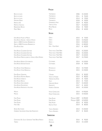## **Puglia**

| BOCCA DI LUPO                                      | TORMARESCA                     | 2006        | € 130,00   |
|----------------------------------------------------|--------------------------------|-------------|------------|
| BOCCA DI LUPO                                      | TORMARESCA                     | 2011        | 95,00<br>€ |
| BOCCA DI LUPO                                      | TORMARESCA                     | 2014        | 70,00<br>€ |
| <b>MASSERIA MAIME</b>                              | TORMARESCA                     | 2018        | 50,00<br>€ |
| PRIMITIVO ES                                       | <b>GIANFRANCO FINO</b>         | 2019        | € 90,00    |
| PRIMITIVO IPNOTICO                                 | TERRE DEI VAAZ                 | 2017        | € 150,00   |
| NEGRAMARO NEVAIA                                   | PETRA NEVARA                   | 2016        | € 70,00    |
| PINOT NERO                                         | RIVALE                         | 2016        | € 60,00    |
|                                                    | <b>SICILIA</b>                 |             |            |
| ETNA ROSSO FEUDO DI MEZZO                          | Graci                          | 2015        | € 70,00    |
| ETNA ROSSO ARCURIA - SOPRA IL POZZO                | GRACI                          | 2015        | € 250,00   |
| QUOTA 1000 CONTRADA BARBABECCHI                    | GRACI                          | 2015        | € 200,00   |
| QUOTA 1000 CONTRADA BARBABECCHI                    | Graci                          | 2016        | € 180,00   |
| ETNA ROSSO IDDA                                    | IDDA - GAJA-GRACI              | 2017        | € 60,00    |
| ETNA ROSSO CALDERARA SOTTANA                       | <b>TENUTA DELLE TERRE NERE</b> | 2015        | € 150,00   |
| ETNA ROSSO CALDERARA SOTTANA                       | TENUTA DELLE TERRE NERE        | 2016        | € 130,00   |
| ETNA ROSSO CALDERARA SOTTANA                       | TENUTA DELLE TERRE NERE        | 2017        | € 120,00   |
| ETNA ROSSO PREPHYLLOXERA LA VIGNA DI DON PEPPINO   | TENUTA DELLE TERRE NERE        | 2017        | € 170,00   |
| ETNA ROSSO RISERVA ZOTTORINOTO                     | COTTANERA                      | 2014        | € 120,00   |
| ETNA ROSSO DICIASSETTESALME                        | COTTANERA                      | 2018        | € 50,00    |
| ETNA ROSSO VIGNA BARBAGALLI                        | PIETRADOLCE                    | 2014        | € 170,00   |
| ETNA ROSSO VIGNA BARBAGALLI                        | PIETRADOLCE                    | 2015        | € 150,00   |
| ETNA ROSSO VINUPETRA                               | I VIGNERI                      | 2014        | € 85,00    |
| ETNA ROSSO MUSMECI RISERVA                         | TENUTA DI FESSINA              | 2012        | € 80,00    |
| <b>ETNA ROSSO CIRNECO</b>                          | TERRAZZE DELL'ETNA             | 2014        | € 70,00    |
| ETNA ROSSO RESECA                                  | Gul Fl                         | 2014        | € 75,00    |
| ETNA ROSSO SAN LORENZO                             | <b>GIROLAMO RUSSO</b>          | 2017        | € 100,00   |
| ETNA ROSSO PASSOROSSO                              | FRANCHETTI                     | 2017        | € 60,00    |
| ETNA ROSSO PROFUMO DI VULCANO                      | FEDERICO GRAZIANI              | 2015        | € 120,00   |
| MAGMA                                              | <b>FRANK CORNELISSEN</b>       | 2014        | € 450,00   |
| MAGMA                                              | FRANK CORNELISSEN              | 2015        | € 420,00   |
| <b>FARO PALARI</b>                                 | <b>FARO PALARI</b>             | MAGNUM 2007 | € 290,00   |
| <b>FARO PALARI</b>                                 | <b>FARO PALARI</b>             | MAGNUM 2009 | € 240,00   |
| <b>FARO PALARI</b>                                 | <b>FARO PALARI</b>             | 2013        | € 90,00    |
| Faro Oblì                                          | ENZA LA FAUCI                  | 2014        | € 80,00    |
| Rosso DEL CONTE                                    | TASCA D'ALMERITA               | 2014        | € 100,00   |
| CABERNET SAUVIGNON VIGNA SAN FRANCESCO             | TASCA D'ALMERITA               | 2017        | € 80,00    |
|                                                    | <b>SARDEGNA</b>                |             |            |
| CARIGNANO DEL SULCIS SUPERIORE TERRE BRUNE RISERVA | SANTADI                        | 2016        | € 90,00    |
| TURRIGA                                            | ARGIOLAS                       | 2014        | € 110,00   |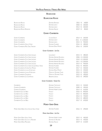#### **Bourgogne**

## **Bourgogne Rouge**

| <b>BOURGOGNE ROUGE</b>                            | <b>DOMAINE RAMONET</b>               | 2015       | 160,00<br>€  |  |  |
|---------------------------------------------------|--------------------------------------|------------|--------------|--|--|
| <b>BOURGOGNE ROUGE</b>                            | <b>DOMAINE LEROY</b>                 | 2003       | 360,00<br>€  |  |  |
| <b>BOURGOGNE ROUGE</b>                            | <b>DOMAINE LEROY</b>                 | 2014       | 260,00<br>€  |  |  |
| <b>BOURGOGNE ROUGE RONCEVIE</b>                   | <b>DOMAINE ARLAUD</b>                | 2019 €     | 80,00        |  |  |
|                                                   |                                      |            |              |  |  |
|                                                   | <b>GEVREY-CHAMBERTIN</b>             |            |              |  |  |
| <b>GEVREY-CHAMBERTIN</b>                          | <b>CLAUDE DUGAT</b>                  | 2014       | 260,00<br>€  |  |  |
| <b>GEVREY-CHAMBERTIN</b>                          | <b>DOMAINE LEROY</b>                 | 2011       | € 1.300,00   |  |  |
| <b>GEVREY-CHAMBERTIN</b>                          | <b>DOMAINE LEROY</b>                 | 2015       | 900,00<br>€  |  |  |
| <b>GEVREY-CHAMBERTIN VIEILLES VIGNE</b>           | <b>DOMAINE FOURRIER</b>              | 2016       | 480,00<br>€  |  |  |
| GEVREY-CHAMBERTIN MES CINQ TERROIRS               | <b>DOMAINE DENIS MORTET</b>          | 2016 €     | 230,00       |  |  |
|                                                   | <b>GEVREY-CHAMBERTIN - 1ER CRU</b>   |            |              |  |  |
| GEVREY-CHAMBERTIN CLOS SAINT ACQUES               | LOUIS JADOT                          | 2015       | 280,00<br>€  |  |  |
| GEVREY-CHAMBERTIN CLOS SAINT ACQUES               | DOMAINE ARMAND ROUSSEAU              | 2006       | € 1.500,00   |  |  |
| GEVREY-CHAMBERTIN CLOS SAINT JACQUES              | DOMAINE ARMAND ROUSSEAU              | 2010       | € 1.300,00   |  |  |
| <b>GEVREY-CHAMBERTIN CLOS SAINT ACQUES</b>        | <b>DOMAINE ARMAND ROUSSEAU</b>       | 2011       | € 1.200,00   |  |  |
| <b>GEVREY-CHAMBERTIN CLOS SAINT JACQUES</b>       | <b>DOMAINE ARMAND ROUSSEAU</b>       | 2014       | €<br>900,00  |  |  |
| GEVREY-CHAMBERTIN CLOS SAINT JACQUESVIEILLE VIGNE | <b>DOMAINE FOURRIER</b>              | 2016       | 800,00<br>€  |  |  |
| GEVREY-CHAMBERTIN COMBE AUX MOINES                | <b>DOMAINE FOURRIER</b>              | 2017       | 500,00<br>€  |  |  |
| GEVREY-CHAMBERTIN LAVAUX-ST-JACQUES               | <b>DOMAINE DENIS MORTET</b>          | 2015       | 450,00<br>€. |  |  |
| GEVREY-CHAMBERTIN LAVAUX-ST-JACQUES               | MAUME BY DOMAINE TAWSE               | 2015       | 520,00<br>€  |  |  |
| <b>GEVREY-CHAMBERTIN CHAMPEAUX</b>                | MAUME BY DOMAINE TAWSE               | 2015       | 490,00<br>€. |  |  |
| <b>GEVREY-CHAMBERTIN LES CHAMPEAUX</b>            | <b>BENJAMIN LEROUX</b>               | 2015 €     | 390,00       |  |  |
|                                                   | <b>GEVREY-CHAMBERTIN - GRAND CRU</b> |            |              |  |  |
| CHAMBERTIN                                        | DOMAINE TORTOCHOT                    | 2015       | 520,00<br>€  |  |  |
| CHARMES-CHAMBERTIN                                | <b>DOMAINE TORTOCHOT</b>             | 2000       | 390,00<br>€  |  |  |
| CHARMES-CHAMBERTIN                                | <b>DOMAINE HUBERT LIGNIER</b>        | 2014       | 620,00<br>€  |  |  |
| <b>CHAMBERTIN-CLOS DE BEZE</b>                    | FAIVELEY                             | 2010 €     | 850,00       |  |  |
| <b>CHAMBERTIN-CLOS DE BEZE</b>                    | FAIVELEY                             | 2012       | 800,00<br>€  |  |  |
| CHAMBERTIN-CLOS DE BEZE                           | FAIVELEY                             | 2013 €     | 720,00       |  |  |
| <b>CHAMBERTIN-CLOS DE BEZE</b>                    | FAIVELEY                             | 2014 €     | 680,00       |  |  |
| <b>CHAMBERTIN-CLOS DE BEZE</b>                    | FAIVELEY                             | 2017 €     | 650,00       |  |  |
| <b>MOREY-SAINT-DENIS</b>                          |                                      |            |              |  |  |
| MOREY-SAINT-DENIS CLOS SOLON VIEILLE VIGNE        | <b>DOMAINE FOURRIER</b>              | $2016 \t∈$ | 290,00       |  |  |
|                                                   | <b>MOREY-SAINT-DENIS - 1ER CRU</b>   |            |              |  |  |
| MOREY-SAINT-DENIS VIEILLE VIGNE                   | <b>DOMAINE HUBERT LIGNIER</b>        | 2012 €     | 460,00       |  |  |
| MOREY-SAINT-DENIS CLOS DE LA BUSSIÉRE             | DOMAINE G. ROUMIER                   | 2014       | 450,00<br>€  |  |  |
| MOREY-SAINT-DENIS MILLANDES                       | DOMAINE ARLAUD                       | 2019 €     | 210,00       |  |  |
|                                                   |                                      |            |              |  |  |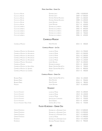#### **Morey-Saint-Denis - Grand Cru**

| Clos de la Roche                        | DOMAINE LEROY                                | 1996 € 8.000,00              |
|-----------------------------------------|----------------------------------------------|------------------------------|
| CLOS DE LA ROCHE                        | DOMAINE LEROY                                | € 7.000,00<br>2009           |
| CLOS DE LA ROCHE                        | DOMAINE ARMAND ROUSSEAU                      | € 1.500,00<br>2007           |
| CLOS DE LA ROCHE                        | <b>DOMAINE ARMAND ROUSSEAU</b>               | € 1.200,00<br>2008           |
| CLOS DE LA ROCHE                        | <b>JOSEPH DROUHIN</b>                        | 700,00<br>2016<br>$\in$      |
| CLOS DE LA ROCHE                        | JOSEPH DROUHIN                               | 650,00<br>2017 €             |
| CLOS DES LAMBRAYS                       | <b>DOMAINE DES LAMBRAYS</b>                  | 2001 €<br>900,00             |
| CLOS DES LAMBRAYS                       | <b>DOMAINE DES LAMBRAYS</b>                  | 850,00<br>2002<br>€.         |
| CLOS DES LAMBRAYS                       | <b>DOMAINE DES LAMBRAYS</b>                  | 800,00<br>2003<br>€          |
| CLOS DES LAMBRAYS                       | <b>DOMAINE DES LAMBRAYS</b>                  | 700,00<br>2005<br>$\epsilon$ |
| CLOS DES LAMBRAYS                       | DOMAINE DES LAMBRAYS                         | 2006 €<br>650,00             |
|                                         |                                              |                              |
|                                         | <b>CHAMBOLLE-MUSICNY</b>                     |                              |
| CHAMBOLLE-MUSIGNY                       | <b>HERVÉ ROUMIER</b>                         | 2015<br>400,00<br>€          |
|                                         | CHAMBOLLE-MUSIGNY - 1ER CRU                  |                              |
| <b>CHAMBOLLE-MUSICNY LES AMOURFUSES</b> | LUCIEN LE MOINE                              | € 1.700,00<br>2013           |
| <b>CHAMBOLLE-MUSIGNY LES AMOUREUSES</b> | <b>LUCIEN LE MOINE</b>                       | € 1.500,00<br>2015           |
| <b>CHAMBOLLE-MUSIGNY LES AMOUREUSES</b> | <b>LUCIEN LE MOINE</b>                       | € 1.300,00<br>2016           |
| <b>CHAMBOLLE-MUSIGNY LES AMOUREUSES</b> | <b>LUCIEN LE MOINE</b>                       | 2017 € 1.200,00              |
| <b>CHAMBOLLE-MUSICNY LES AMOUREUSES</b> | <b>LUCIEN LE MOINE</b>                       | € 1.100,00<br>2018           |
| <b>CHAMBOLLE-MUSIGNY AMOUREUSES</b>     | <b>JOSEPH DROUHIN</b>                        | 2017 € 1.200,00              |
| CHAMBOLLE-MUSIGNY                       | <b>DOMAINE LECHENEAUT</b>                    | 300,00<br>2015<br>€          |
| CHAMBOLLE-MUSIGNY LES HAUTS-DOIX        | ROBERT GROFFIER PÉRE & FILS                  | 700,00<br>2016<br>€          |
| <b>CHAMBOLLE-MUSICNY LES SENTIERS</b>   | ROBERT GROFFIER PÉRE & FILS                  | 800,00<br>2016<br>€          |
| <b>CHAMBOLLE-MUSIGNY LES CHARMES</b>    | FAIVELEY                                     | 2014 €<br>400,00             |
|                                         |                                              |                              |
|                                         | <b>CHAMBOLLE-MUSIGNY - GRAND CRU</b>         |                              |
| Bonnes-Mares                            | ROBERT GROFFIER PÉRE & FILS                  | 2016 € 1.100,00              |
| <b>BONNES-MARES</b>                     | <b>HERVÉ ROUMIER</b>                         | 2014<br>€<br>950,00          |
| BONNES-MARES                            | <b>HERVÉ ROUMIER</b>                         | 780,00<br>2018<br>€          |
| MUSIGNY                                 | JOSEPH DROUHIN                               | 2017 € 1.600,00              |
|                                         | <b>VOUGEOT</b>                               |                              |
| CLOS DE VOUGEOT                         | LUCIEN LE MOINE                              | 2010 € 1.300,00              |
| CLOS DE VOUGEOT                         | LUCIEN LE MOINE                              | 2012 € 1.100,00              |
| CLOS DE VOUGEOT                         | <b>LUCIEN LE MOINE</b>                       | 900,00<br>2017 €             |
| CLOS DE VOUGEOT                         |                                              | 550,00<br>2014 €             |
| CLOS DE VOUGEOT                         | JEAN JACQUES CONFURON<br><b>DAVID DUBAND</b> | 2015<br>620,00<br>$\epsilon$ |
| CLOS DE VOUGEOT VIEILLE VIGNE           |                                              | 2016 €<br>720,00             |
|                                         | CHÂTEAU DE LA TOUR                           |                              |
|                                         | FLAGEY-ECHÉZEAUX - GRAND CRU                 |                              |
| <b>GRANDS ÉCHÉZEAUX</b>                 | DOMAINE DE LA ROMANÉE-CONTI                  | 2014 € 5.000,00              |
| <b>GRANDS ÉCHÉZEAUX</b>                 | DOMAINE DE LA ROMANÉE-CONTI                  | 2015 € 4.500,00              |
| <b>GRANDS ÉCHÉZEAUX</b>                 | DOMAINE DE LA ROMANÉE-CONTI                  | 2017 € 3.400,00              |
| <b>GRANDS ÉCHÉZEAUX</b>                 | <b>LUCIEN LE MOINE</b>                       | 2019 € 1.900,00              |
| ÉCHÉZEAUX                               | DOMAINE DE LA ROMANÉE-CONTI                  | 2013 € 4.100,00              |

Échézeaux 2013 € 900,00 Domaine Mugneret-Gibourg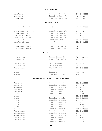# **Vosne-Romanée**

| <b>VOSNE-ROMANÉE</b>              | DOMAINE SYLVAIN CATHIARD & FILS                              | 2017€            | 350,00   |
|-----------------------------------|--------------------------------------------------------------|------------------|----------|
| VOSNE-ROMANÉE                     | DOMAINE SYLVAIN CATHIARD & FILS                              | 2019€            | 320,00   |
| <b>VOSNE-ROMANÉE</b>              | DOMAINE DU COMTE LIGER-BELAIR                                | 2019€            | 420,00   |
|                                   |                                                              |                  |          |
|                                   | VOSNE-ROMANÉE - 1ER CRU                                      |                  |          |
| VOSNE-ROMANÉE LES BEAUX MONTS     | LOUIS JADOT                                                  | 2010€            | 350,00   |
| VOSNE-ROMANÉE AUX MALCONSORTS     | DOMAINE SYLVAIN CATHIARD & FILS                              | 2016€            | 1.400,00 |
| VOSNE-ROMANÉE AUX MALCONSORTS     | DOMAINE SYLVAIN CATHIARD & FILS                              | 2017€            | 1.300,00 |
| VOSNE-ROMANÉE AUX MALCONSORTS     | DOMAINE SYLVAIN CATHIARD & FILS                              | 2019€            | 1.200,00 |
| <b>VOSNE-ROMANÉE AUX REIGNOTS</b> | DOMAINE SYLVAIN CATHIARD & FILS                              | 2016€            | 600,00   |
| <b>VOSNE-ROMANÉE LES SUCHOTS</b>  | DOMAINE SYLVAIN CATHIARD & FILS                              | 2017€            | 850,00   |
| <b>VOSNE-ROMANÉE LES SUCHOTS</b>  | <b>LUCIEN LE MOINE</b>                                       | 2019€            | 560,00   |
| <b>VOSNE-ROMANÉE AUX REIGNOTS</b> | DOMAINE DU COMTE LIGER-BELAIR                                | 2016€            | 1.300,00 |
| <b>VOSNE-ROMANÉE AUX REIGNOTS</b> | DOMAINE DU COMTE LIGER-BELAIR                                | 2017€            | 1.200,00 |
|                                   | VOSNE-ROMANÉE - GRAND CRU                                    |                  |          |
| LA ROMANÉE MONOPOLE               | DOMAINE DU COMTE LIGER-BELAIR                                | 2016€            | 6.800,00 |
| LA ROMANÉE MONOPOLE               | DOMAINE DU COMTE LIGER-BELAIR                                | 2017€            | 6.500,00 |
|                                   |                                                              |                  |          |
| ROMANÉE-ST-VIVANT                 | JEAN JACQUES CONFURON                                        | 2014€            | 1.800,00 |
| ROMANÉE-ST-VIVANT                 | JEAN JACQUES CONFURON                                        | 2015€            | 1.700,00 |
| ROMANÉE-ST-VIVANT                 | JEAN JACQUES CONFURON                                        | 2016€            | 1.600,00 |
|                                   |                                                              |                  |          |
| RICHEBOURG                        | <b>DOMAINE LEROY</b><br><b>DOMAINE THIBAULT LIGER-BELAIR</b> | 2009€            | 6.000,00 |
| RICHEBOURG                        |                                                              | 2005€            | 1.200,00 |
|                                   | VOSNE-ROMANÉE - DOMAINE DE LA ROMANÉE-CONTI - GRAND CRU      |                  |          |
| ROMANÉE-CONTI                     | Domaine De La Romanée-Conti                                  | 2011 € 26.500,00 |          |
| ROMANÉE-CONTI                     | DOMAINE DE LA ROMANÉE-CONTI                                  | 2012 € 25.000,00 |          |
| ROMANÉE-CONTI                     | DOMAINE DE LA ROMANÉE-CONTI                                  | 2014 € 23.000,00 |          |
| ROMANÉE-CONTI                     | DOMAINE DE LA ROMANÉE-CONTI                                  | 2015 € 21.000,00 |          |
| ROMANÉE-CONTI                     | DOMAINE DE LA ROMANÉE-CONTI                                  | 2016 € 18.000,00 |          |
| LA TÂCHE                          | DOMAINE DE LA ROMANÉE-CONTI                                  | 2011 € 8.500,00  |          |
| LA TÂCHE                          | DOMAINE DE LA ROMANÉE-CONTI                                  | 2012€            | 8.000,00 |
| La Tâche                          | DOMAINE DE LA ROMANÉE-CONTI                                  | 2013€            | 7.500,00 |
| LA TÂCHE                          | DOMAINE DE LA ROMANÉE-CONTI                                  | 2014€            | 6.500,00 |
| LA TÂCHE                          | DOMAINE DE LA ROMANÉE-CONTI                                  | 2015€            | 5.500,00 |
| La Tâche                          | DOMAINE DE LA ROMANÉE-CONTI                                  | 2016€            | 4.800,00 |
| LA TÂCHE                          | DOMAINE DE LA ROMANÉE-CONTI                                  | 2017€            | 4.000,00 |
| ROMANÉE-ST-VIVANT                 | DOMAINE DE LA ROMANÉE-CONTI                                  | 2009€            | 7.000,00 |
| ROMANÉE-ST-VIVANT                 | DOMAINE DE LA ROMANÉE-CONTI                                  | 2011€            | 6.000,00 |
| ROMANÉE-ST-VIVANT                 | DOMAINE DE LA ROMANÉE-CONTI                                  | 2012€            | 5.500,00 |
| ROMANÉE-ST-VIVANT                 | DOMAINE DE LA ROMANÉE-CONTI                                  | 2015€            | 5.000,00 |
| ROMANÉE-ST-VIVANT                 | DOMAINE DE LA ROMANÉE-CONTI                                  | 2016€            | 4.500,00 |
| ROMANÉE-ST-VIVANT                 | DOMAINE DE LA ROMANÉE-CONTI                                  | 2017€            | 3.800,00 |
| RICHEBOURG                        | DOMAINE DE LA ROMANÉE-CONTI                                  | 2015€            | 4.800,00 |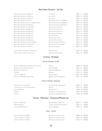## **Nuits-Saint-Georges - 1er Cru**

| NUITS-SAINT-GEORGES LES BOUDOTS             | Louis Jadot                     | 2001   | €          | 530,00 |
|---------------------------------------------|---------------------------------|--------|------------|--------|
| Nuits-Saint-Georges Les Boudots             | LOUIS JADOT                     | 2009   | $\epsilon$ | 290,00 |
| NUITS-SAINT-GEORGES LES BOUDOTS             | LOUIS JADOT                     | 2011   | €          | 200,00 |
| Nuits-Saint-Georges Aux Cras                | DOMAINE DU COMTE LIGER-BELAIR   | 2016   | $\epsilon$ | 690,00 |
| NUITS-SAINT-GEORGES CLOS DES GRANDES VIGNES | DOMAINE DU COMTE LIGER-BELAIR   | 2017   | $\epsilon$ | 600,00 |
| NUITS-SAINT-GEORGES AUX MURGERS             | DOMAINE SYLVAIN CATHIARD & FILS | 2015   | $\epsilon$ | 390,00 |
| NUITS-SAINT-GEORGES LES CHABOEUFS           | Jean Jacques Confuron           | 2014   | €          | 430,00 |
| Nuits-Saint-Georges Aux Boudots             | JEAN JACQUES CONFURON           | 2013   | $\epsilon$ | 620,00 |
| NUITS-SAINT-GEORGES AUX BOUDOTS             | Jean Jacques Confuron           | 2014   | €          | 550,00 |
| NUITS-SAINT-GEORGES AUX BOUDOTS             | Jean Jacques Confuron           | 2017 € |            | 420,00 |
| NUITS-SAINT-GEORGES AUX BOUDOTS             | <b>GEORGES NOËLLAT</b>          | 2015   | €          | 390,00 |
| NUITS-SAINT-GEORGES AUX BOUDOTS             | DOMAINE JEAN GRIVOT             | 2015   | €          | 510,00 |
| NUITS-SAINT-GEORGES AUX BOUDOTS             | Domaine Méo-Camuzet             | 2015   | €          | 550,00 |
| NUITS-SAINT-GEORGES LES SAINT GEORGES       | DOMAINE CHEVILLON-CHEZEAUX      | 2014   | €          | 160,00 |
| NUITS-SAINT-GEORGES LES CHAIGNOTS           | DOMAINE MUGNERET-GIBOURG        | 2015   | €          | 450,00 |
| NUITS-SAINT-GEORGES LES PRULIERS            | <b>DOMAINE LECHENEAUT</b>       | 2015   | $\epsilon$ | 290,00 |
| CÔTES DE NUITS LA POIREI OTTE MONOPOLE      | HERVÉ ROUMIER                   | 2015   | $\epsilon$ | 190,00 |
| HAUTES CÔTES DE NUITS LES VIGNOTTES         | <b>JEAN ACQUES CONFURON</b>     | 2014   | €          | 220,00 |

## **Corton - Pommard**

#### **Corton - Pommard - 1er Cru**

| <b>FAIVELEY</b>          |  |                                                                                                    |
|--------------------------|--|----------------------------------------------------------------------------------------------------|
| OSEPH DROUHIN            |  |                                                                                                    |
| DOMAINE DE MONTILLE      |  |                                                                                                    |
| REGNARD                  |  |                                                                                                    |
| DOMAINE LEROY            |  |                                                                                                    |
| DOMAINE CACHAT-OCOUIDANT |  |                                                                                                    |
|                          |  | 2008 € 260,00<br>2016 € 380.00<br>2013 € 180,00<br>2013 € 200,00<br>2011 € 340.00<br>2017 € 120,00 |

#### **Corton - Pommard - Grand Cru**

| CORTON CLOS DE VERGENNES       | DOMAINE CACHAT-OCOUIDANT    |  | 2018 € 160,00   |
|--------------------------------|-----------------------------|--|-----------------|
| CORTON CLOS DE CORTON MONOPOLE | <b>HAIVELEY</b>             |  | 2015 € 520,00   |
| Corton Renardes                | DOMAINE LEROY               |  | 2009 € 4.500.00 |
| CORTON                         | Domaine de La Romanée-Conti |  | 2011 € 1.400,00 |
| CORTON                         | DOMAINE DE LA ROMANÉE-CONTI |  | 2015 € 1.200.00 |

## **Volnay - Monthelie - Chassagne-Montrachet**

| VOLNAY LES BLANCHES  | Domaine Mazilly Père et Fils.   |  | 2019 € 120,00 |
|----------------------|---------------------------------|--|---------------|
| Monthelie Rouge      | - Château de Pulicny-Montrachet |  | 2016 € 160,00 |
| Chassagne-Montrachet | Domaine Ramonet :               |  | 2015 € 170,00 |

#### **Volnay - 1er Cru**

| Volnay Santenots-du-Milieu | Domaine des Comtes Laeon |  | 2009 € 600,00 |
|----------------------------|--------------------------|--|---------------|
| Volnay Santenots-du-Milieu | Domaine des Comtes Laeon |  | 2010 € 550,00 |
| Volnay Santenots-du-Milieu | Domaine des Comtes Laeon |  | 2012 € 450,00 |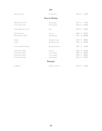|                                | <b>JURA</b>             |                              |
|--------------------------------|-------------------------|------------------------------|
| ARBOIS TROUSSFAU               | JACQUES TISSOT          | 2016 €<br>70,00              |
|                                | <b>VALLE DEL RODANO</b> |                              |
| SAINT-JOSEPH LES CÔTES         | <b>VINCENT PARIS</b>    | 2017 €<br>70,00              |
| LE CLOS SAINT-JOSEPH           | M. CHAPOUTIER           | 2014 €<br>310,00             |
| CROZES-HERMITAGE LES CLOS      | DFLAS                   | 2015 €<br>120,00             |
| ERMITAGE EX VOTO               | E. GUIGAL               | 2010<br>700,00<br>€          |
| <b>ERMITAGE ROUGE L'ERMITE</b> | M. CHAPOUTIER           | 2011 € 1.300,00              |
| CORNAS                         | DOMAINE A. CLAPE        | 2014 €<br>290,00             |
| CORNAS                         | DOMAINE A. CLAPE        | 2016<br>$\in$<br>240,00      |
| CÔTES DU RHÔNE LA SAGESSE      | <b>DOMAINE GRAMENON</b> | 2017 €<br>80,00              |
| CHÂTEAUNEUF-DU-PAPE            | E. GUIGAL               | 120,00<br>2012 €             |
| CHÂTFAUNFUF-DU-PAPF            | CLOS DE PAPES           | 2009<br>390,00<br>€          |
| CHÂTEAUNEUF-DU-PAPE            | CLOS DE PAPES           | 2016<br>300,00<br>$\in$      |
| CHÂTEAUNEUF-DU-PAPE            | ROCHE-AUDRAN            | 2015<br>130,00<br>$\epsilon$ |
|                                | PROVENZA                |                              |
| LE BAUSSANT                    | CHÂTEAU DE PLAISSIS     | 2010 €<br>60,00              |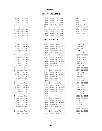#### **Bordeaux**

#### **Medoc - Saint-Estèphe**

Château Cos d'Estournel Château Cos d'Estournel Château Cos d'Estournel Château Cos d'Estournel Château Cos d'Estournel Château Cos d'Estournel Château Cos d'Estournel Château Cos d'Estournel Château Cos d'Estournel

| 2. CRU CHÂTEAU COS D'ESTOURNEL   |  | 1990 € 900,00 |
|----------------------------------|--|---------------|
| 2. CRU CHÂTEAU COS D'ESTOURNEL   |  | 1995 € 840,00 |
| 2. CRU CHÂTEAU COS D'ESTOURNEL   |  | 1996 € 790.00 |
| 2. Cru - Château Cos d'Estournei |  | 1999 € 760,00 |
| 2. CRU CHÂTEAU COS D'ESTOURNEL   |  | 2000 € 700,00 |
| 2. CRU CHÂTEAU COS D'ESTOURNEL   |  | 2001 € 600,00 |
| 2. CRU CHÂTEAU COS D'ESTOURNEL   |  | 2005 € 550,00 |
| 2. CRU CHÂTEAU COS D'ESTOURNEL   |  | 2006 € 450,00 |
| 2. CRU CHÂTEAU COS D'ESTOURNEL   |  | 2010 € 400,00 |

#### **MEDOC - PAUILLAC**

| CHÂTEAU MOUTON ROTHSCHILD        | 1. Cru        | CHÂTEAU MOUTON ROTHSCHILD        |      | 1970 € 4.300,00 |
|----------------------------------|---------------|----------------------------------|------|-----------------|
| <b>CHÂTEAU MOUTON ROTHSCHILD</b> | 1. CRU        | <b>CHÂTEAU MOUTON ROTHSCHILD</b> |      | 1973 € 4.200,00 |
| CHÂTEAU MOUTON ROTHSCHILD        | 1. CRU        | CHÂTEAU MOUTON ROTHSCHILD        | 1977 | € 4.100,00      |
| <b>CHÂTEAU MOUTON ROTHSCHILD</b> | 1. CRU        | CHÂTEAU MOUTON ROTHSCHILD        | 1979 | € 4.000,00      |
| <b>CHÂTEAU MOUTON ROTHSCHILD</b> | 1. CRU        | CHÂTEAU MOUTON ROTHSCHILD        | 1981 | € 3.900,00      |
| CHÂTEAU MOUTON ROTHSCHILD        | 1. CRU        | CHÂTEAU MOUTON ROTHSCHILD        | 1982 | € 3.800,00      |
| CHÂTEAU MOUTON ROTHSCHILD        | 1. CRU        | CHÂTEAU MOUTON ROTHSCHILD        |      | 1983 € 3.500,00 |
| <b>CHÂTEAU MOUTON ROTHSCHILD</b> | 1. CRU        | CHÂTEAU MOUTON ROTHSCHILD        | 1984 | € 3.400,00      |
| CHÂTEAU MOUTON ROTHSCHILD        | $1.$ CRU      | CHÂTEAU MOUTON ROTHSCHILD        | 1985 | € 3.300,00      |
| <b>CHÂTEAU MOUTON ROTHSCHILD</b> | 1. CRU        | CHÂTEAU MOUTON ROTHSCHILD        | 1987 | € 3.000,00      |
| CHÂTEAU MOUTON ROTHSCHILD        | 1. CRU        | CHÂTEAU MOUTON ROTHSCHILD        | 1988 | € 2.900,00      |
| CHÂTEAU MOUTON ROTHSCHILD        | 1. CRU        | <b>CHÂTEAU MOUTON ROTHSCHILD</b> | 1989 | € 2.800,00      |
| CHÂTEAU MOUTON ROTHSCHILD        | 1. CRU        | <b>CHÂTEAU MOUTON ROTHSCHILD</b> | 1990 | € 2.700,00      |
| <b>CHÂTEAU MOUTON ROTHSCHILD</b> | 1. Cru        | <b>CHÂTEAU MOUTON ROTHSCHILD</b> | 1991 | € 2.600,00      |
| <b>CHÂTEAU MOUTON ROTHSCHILD</b> | $1.$ $C_{RU}$ | <b>CHÂTEAU MOUTON ROTHSCHILD</b> | 1992 | € 2.500,00      |
| <b>CHÂTEAU MOUTON ROTHSCHILD</b> | 1. CRU        | CHÂTEAU MOUTON ROTHSCHILD        | 1993 | € 2.400,00      |
| <b>CHÂTEAU MOUTON ROTHSCHILD</b> | 1. CRU        | <b>CHÂTEAU MOUTON ROTHSCHILD</b> | 1994 | € 2.300,00      |
| <b>CHÂTEAU MOUTON ROTHSCHILD</b> | $1.$ Cru      | CHÂTEAU MOUTON ROTHSCHILD        | 1995 | € 2.200,00      |
| <b>CHÂTEAU MOUTON ROTHSCHILD</b> | 1. CRU        | <b>CHÂTEAU MOUTON ROTHSCHILD</b> | 1996 | € 2.100,00      |
| <b>CHÂTEAU MOUTON ROTHSCHILD</b> | 1. CRU        | <b>CHÂTEAU MOUTON ROTHSCHILD</b> | 1997 | € 2.000,00      |
| <b>CHÂTEAU MOUTON ROTHSCHILD</b> | 1. CRU        | <b>CHÂTEAU MOUTON ROTHSCHILD</b> | 1998 | € 1.900,00      |
| CHÂTEAU MOUTON ROTHSCHILD        | 1. CRU        | <b>CHÂTEAU MOUTON ROTHSCHILD</b> | 1999 | € 1.800,00      |
| CHÂTEAU MOUTON ROTHSCHILD        | 1. CRU        | <b>CHÂTEAU MOUTON ROTHSCHILD</b> | 2000 | € 2.900,00      |
| CHÂTEAU MOUTON ROTHSCHILD        | 1. CRU        | CHÂTEAU MOUTON ROTHSCHILD        | 2001 | € 2.000,00      |
| <b>CHÂTEAU MOUTON ROTHSCHILD</b> | 1. CRU        | CHÂTEAU MOUTON ROTHSCHILD        | 2002 | € 1.950,00      |
| <b>CHÂTEAU MOUTON ROTHSCHILD</b> | 1. Cru        | <b>CHÂTEAU MOUTON ROTHSCHILD</b> | 2003 | € 1.900,00      |
| <b>CHÂTEAU MOUTON ROTHSCHILD</b> | 1. CRU        | <b>CHÂTEAU MOUTON ROTHSCHILD</b> | 2004 | € 1.800,00      |
| CHÂTEAU MOUTON ROTHSCHILD        | 1. CRU        | <b>CHÂTEAU MOUTON ROTHSCHILD</b> | 2005 | € 2.000,00      |
| <b>CHÂTEAU MOUTON ROTHSCHILD</b> | 1. CRU        | <b>CHÂTEAU MOUTON ROTHSCHILD</b> | 2006 | € 1.700,00      |
| CHÂTEAU MOUTON ROTHSCHILD        | $1.$ $C_{RU}$ | CHÂTEAU MOUTON ROTHSCHILD        | 2007 | € 1.600,00      |
| <b>CHÂTEAU MOUTON ROTHSCHILD</b> | 1. CRU        | <b>CHÂTEAU MOUTON ROTHSCHILD</b> | 2008 | € 1.500,00      |
| CHÂTEAU MOUTON ROTHSCHILD        | 1. CRU        | <b>CHÂTEAU MOUTON ROTHSCHILD</b> |      | 2011 € 1.300,00 |
| CHÂTEAU MOUTON ROTHSCHILD        | 1. CRU        | <b>CHÂTEAU MOUTON ROTHSCHILD</b> |      | 2015 € 1.200,00 |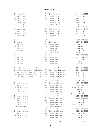## **Medoc - Pauillac**

| CHÂTEAU LYNCH BAGES                            | 5. CRU                 | CHÂTEAU LYNCH BAGES        | 1986                   | € 1.100,00           |
|------------------------------------------------|------------------------|----------------------------|------------------------|----------------------|
| CHÂTEAU LYNCH BAGES                            | 5. CRU                 | CHÂTEAU LYNCH BAGES        | 1988                   | € 1.000,00           |
| CHÂTEAU LYNCH BAGES                            | 5. CRU                 | CHÂTEAU LYNCH BAGES        | 1990                   | €<br>900,00          |
| CHÂTEAU LYNCH BAGES                            | 5. CRU                 | CHÂTEAU LYNCH BAGES        | 1998                   | 720,00<br>€          |
| CHÂTEAU LYNCH BAGES                            | 5. CRU                 | CHÂTEAU LYNCH BAGES        | 1999                   | 680,00<br>€          |
| CHÂTEAU LYNCH BAGES                            | 5. CRU                 | CHÂTEAU LYNCH BAGES        | 2001                   | 600,00<br>€          |
| CHÂTEAU LYNCH BAGES                            | 5. CRU                 | CHÂTEAU LYNCH BAGES        | 2007                   | 520,00<br>€          |
| CHÂTEAU LYNCH BAGES                            | 5. CRU                 | CHÂTEAU LYNCH BAGES        | 2009                   | 490,00<br>€          |
| CHÂTEAU LYNCH BAGES                            | 5. CRU                 | CHÂTEAU LYNCH BAGES        | 2010                   | 450,00<br>€          |
| CHÂTEAU LYNCH BAGES                            | 5. CRU                 | CHÂTEAU LYNCH BAGES        | 2011                   | 430,00<br>€          |
| CHÂTEAU LYNCH BAGES                            | 5. CRU                 | CHÂTEAU LYNCH BAGES        | 2015                   | 390,00<br>$\epsilon$ |
|                                                |                        |                            |                        |                      |
| <b>CHÂTEAU LATOUR</b>                          | $1.$ Cru               | <b>CHÂTEAU LATOUR</b>      |                        | 1988 € 5.200,00      |
| <b>CHÂTEAU LATOUR</b>                          | 1. CRU                 | <b>CHÂTEAU LATOUR</b>      |                        | 1990 € 4.900,00      |
| <b>CHÂTEAU LATOUR</b>                          | 1. CRU                 | <b>CHÂTEAU LATOUR</b>      | 1995                   | € 4.500,00           |
| <b>CHÂTEAU LATOUR</b>                          | 1. CRU                 | <b>CHÂTEAU LATOUR</b>      | 1996                   | € 4.300,00           |
| CHÂTEAU LATOUR                                 | 1. CRU                 | <b>CHÂTEAU LATOUR</b>      | 1998                   | € 4.100,00           |
| <b>CHÂTEAU LATOUR</b>                          | $1.$ $C_{RU}$          | <b>CHÂTEAU LATOUR</b>      | 1999                   | € 3.900,00           |
| <b>CHÂTEAU LATOUR</b>                          | 1. CRU                 | <b>CHÂTEAU LATOUR</b>      | 2000                   | € 3.600,00           |
| <b>CHÂTEAU LATOUR</b>                          | 1. CRU                 | <b>CHÂTEAU LATOUR</b>      | 2001                   | € 3.200,00           |
| <b>CHÂTEAU LATOUR</b>                          | 1. CRU                 | <b>CHÂTEAU LATOUR</b>      |                        | 2002 € 2.800,00      |
| <b>CHÂTEAU LATOUR</b>                          | 1. CRU                 | <b>CHÂTEAU LATOUR</b>      |                        | 2007 € 2.600,00      |
|                                                | 1. CRU                 | CHÂTEAU LATOUR             |                        |                      |
| <b>CHÂTEAU LATOUR</b>                          | $1.$ $C$ <sub>RU</sub> |                            | 2009                   | € 2.500,00           |
| <b>CHÂTEAU LATOUR</b>                          |                        | <b>CHÂTEAU LATOUR</b>      |                        | 2010 € 2.400,00      |
| CHÂTEAU PICHON LONGUEVILLE COMTESSE DE LALANDE | $2.$ Cru               | CHÂTEAU PICHON LONGUEVILLE | 1996                   | 950,00<br>€          |
| CHÂTEAU PICHON LONGUEVILLE COMTESSE DE LALANDE | 2. CRU                 | CHÂTEAU PICHON LONGUEVILLE | 2000                   | € 1.100,00           |
| CHÂTEAU PICHON LONGUEVILLE COMTESSE DE LALANDE | 2. CRU                 | CHÂTEAU PICHON LONGUEVILLE | 2001                   | €<br>850,00          |
| CHÂTEAU PICHON LONGUEVILLE COMTESSE DE LALANDE | $2.$ CRU               | CHÂTEAU PICHON LONGUEVILLE | 2002                   | 800,00<br>€          |
| CHÂTEAU PICHON LONGUEVILLE COMTESSE DE LALANDE | 2. CRU                 | CHÂTEAU PICHON LONGUEVILLE | 2009 €                 | 600,00               |
|                                                |                        |                            |                        |                      |
| CHÂTEAU LAFITE ROTHSCHILD                      | 1. Cru                 | CHÂTFAU LAFITE ROTHSCHILD  |                        | 1990 € 2.800,00      |
| CHÂTEAU LAFITE ROTHSCHILD                      | $1.$ Cru               | CHÂTEAU LAFITE ROTHSCHILD  |                        | 1996 € 3.000,00      |
| CHÂTEAU LAFITE ROTHSCHILD                      | $1.$ $C_{RU}$          | CHÂTEAU LAFITE ROTHSCHILD  |                        | 1997 € 2.700,00      |
| CHÂTEAU LAFITE ROTHSCHILD                      | $1.$ $C_{RU}$          | CHÂTEAU LAFITE ROTHSCHILD  | MAGNUM 1997 € 6.000,00 |                      |
| CHÂTEAU LAFITE ROTHSCHILD                      | 1. CRU                 | CHÂTEAU LAFITE ROTHSCHILD  | 1998                   | € 2.200,00           |
| CHÂTEAU LAFITE ROTHSCHILD                      | 1. CRU                 | CHÂTEAU LAFITE ROTHSCHILD  | 1999                   | € 2.500,00           |
| CHÂTEAU LAFITE ROTHSCHILD                      | 1. CRU                 | CHÂTEAU LAFITE ROTHSCHILD  | MAGNUM 1999            | € 5.500,00           |
| CHÂTEAU LAFITE ROTHSCHILD                      | $1.$ CRU               | CHÂTEAU LAFITE ROTHSCHILD  |                        | 2000 € 2.400,00      |
| CHÂTEAU LAFITE ROTHSCHILD                      | $1.$ Cru               | CHÂTEAU LAFITE ROTHSCHILD  | 2001                   | € 1.600,00           |
| CHÂTEAU LAFITE ROTHSCHILD                      | 1. CRU                 | CHÂTEAU LAFITE ROTHSCHILD  |                        | 2002 € 1.400,00      |
| CHÂTEAU LAFITE ROTHSCHILD                      | 1. CRU                 | CHÂTEAU LAFITE ROTHSCHILD  |                        | 2003 € 2.600,00      |
| CHÂTEAU LAFITE ROTHSCHILD                      | 1. CRU                 | CHÂTEAU LAFITE ROTHSCHILD  | MAGNUM 2003 € 5.300,00 |                      |
| CHÂTEAU LAFITE ROTHSCHILD                      | 1. CRU                 | CHÂTEAU LAFITE ROTHSCHILD  |                        | 2004 € 2.200,00      |
| CHÂTEAU LAFITE ROTHSCHILD                      | $1.$ Cru               | CHÂTEAU LAFITE ROTHSCHILD  |                        | 2005 € 2.300,00      |
| CHÂTEAU LAFITE ROTHSCHILD                      | $1.$ Cru               | CHÂTEAU LAFITE ROTHSCHILD  | 2006                   | € 1.900,00           |
| CHÂTEAU LAFITE ROTHSCHILD                      | $1.$ $C$ <sub>RU</sub> | CHÂTEAU LAFITE ROTHSCHILD  | MAGNUM 2006 € 4.000,00 |                      |
| CHÂTEAU LAFITE ROTHSCHILD                      | 1. CRU                 | CHÂTEAU LAFITE ROTHSCHILD  |                        | 2011 € 1.100,00      |
| CHÂTEAU LAFITE ROTHSCHILD                      | $1.$ Cru               | CHÂTEAU LAFITE ROTHSCHILD  |                        | 2015 € 1.400,00      |
|                                                |                        |                            |                        |                      |

CARRUADES DE LAFITE  $\blacksquare$  2017  $\epsilon$  800,00 Domaine Barons de Rothschild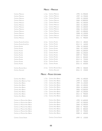## **Medoc - Margaux**

| CHÂTEAU MARGAUX                          | 1. Cru                 | CHÂTEAU MARGAUX           |              | 1995 € 1.900,00       |
|------------------------------------------|------------------------|---------------------------|--------------|-----------------------|
| CHÂTEAU MARGAUX                          | 1. CRU                 | <b>CHÂTEAU MARGAUX</b>    |              | 1997 € 1.700,00       |
| CHÂTEAU MARGAUX                          | 1. CRU                 | CHÂTEAU MARGAUX           | 1999         | € 1.500,00            |
| CHÂTEAU MARGAUX                          | $1.$ $C_{RU}$          | CHÂTEAU MARGAUX           | 2000         | € 2.800,00            |
| CHÂTEAU MARGAUX                          | 1. CRU                 | CHÂTEAU MARGAUX           | 2001         | € 1.500,00            |
| CHÂTEAU MARGAUX                          | 1. CRU                 | CHÂTEAU MARGAUX           |              | 2002 € 1.400,00       |
| CHÂTEAU MARGAUX                          | 1. CRU                 | CHÂTEAU MARGAUX           | 2004         | € 1.300,00            |
| CHÂTEAU MARGAUX                          | 1. CRU                 | CHÂTEAU MARGAUX           | 2006         | € 1.200,00            |
| CHÂTEAU MARGAUX                          | $1.$ $C_{RU}$          | CHÂTEAU MARGAUX           | 2007         | € 1.000,00            |
| CHÂTEAU MARGAUX                          | 1. CRU                 | CHÂTEAU MARGAUX           | 2008         | € 1.100,00            |
| CHÂTEAU MARGAUX                          | 1. CRU                 | CHÂTEAU MARGAUX           | 2010         | € 2.700,00            |
| CHÂTEAU MARGAUX                          | $1.$ $C$ <sub>RU</sub> | CHÂTEAU MARGAUX           | 2011         | €<br>900,00           |
| CHÂTEAU PALMER ALTER EGO                 | 3. CRU                 | CHÂTEAU PALMER            | 2013         | 180,00<br>€           |
| CHÂTEAU PALMER ALTER EGO                 | 3. CRU                 | CHÂTEAU PALMER            | 2014         | €<br>160,00           |
| CHÂTEAU PALMER                           | 3. CRU                 | CHÂTEAU PALMER            | 1996         | € 1.300,00            |
| CHÂTEAU PALMER                           | $3.$ CRU               | CHÂTEAU PALMER            | 2001         | € 1.100,00            |
| CHÂTEAU PALMER                           | $3.$ CRU               | CHÂTEAU PALMER            | 2004         | € 1.000,00            |
| CHÂTEAU PALMER                           | 3. CRU                 | CHÂTEAU PALMER            | 2005         | € 1.200,00            |
| CHÂTEAU PALMER                           | 3. CRU                 | CHÂTEAU PALMER            | 2009         | €<br>900,00           |
| CHÂTEAU PALMER                           | $3.$ CRU               | CHÂTEAU PALMER            | 2010         | 850,00<br>€           |
| CHÂTEAU PALMER                           | $3.$ C <sub>RU</sub>   | CHÂTEAU PALMER            | 2014         | 750,00<br>€           |
| CHÂTEAU PALMER                           | 3. CRU                 | CHÂTEAU PALMER            | 2015         | 700,00<br>€           |
| CHÂTEAU PALMER                           | 3. CRU                 | CHÂTEAU PALMER            | 2016         | €<br>650,00           |
|                                          |                        |                           |              |                       |
|                                          | 2. CRU                 | CHÂTEAU RAUZAN-SÉGLA      |              | €                     |
| CHÂTEAU RAUZAN-SÉGLA<br>CHÂTEAU ANGLUDET |                        | CHÂTEAU ANGLUDET          | 1998<br>2016 | 500,00<br>€<br>150,00 |
|                                          |                        | MEDOC - PESSAC-LÉOGNAN    |              |                       |
| CHÂTEAU HAUT-BRION                       | 1. Cru                 | <b>CHÂTEAU HAUT-BRION</b> | 1996         | € 1.400,00            |
| CHÂTEAU HAUT-BRION LA TOUR               | 1. Cru                 | CHÂTEAU HAUT-BRION        | 1999         | €<br>500,00           |
| CHÂTEAU HAUT-BRION                       | 1. Cru                 | CHÂTEAU HAUT-BRION        |              | 1999 € 1.100,00       |
| CHÂTEAU HAUT-BRION                       | 1. Cru                 | CHÂTEAU HAUT-BRION        | 2001         | € 1.400,00            |
| CHÂTEAU HAUT-BRION                       | $1.$ Cru               | CHÂTEAU HAUT-BRION        |              | 2004 € 1.300,00       |
| CHÂTEAU HAUT-BRION                       | 1. Cru                 | CHÂTEAU HAUT-BRION        |              | 2005 € 2.000,00       |
| CHÂTEAU HAUT-BRION                       | 1. Cru                 | CHÂTEAU HAUT-BRION        | 2007         | € 1.200,00            |
| CHÂTEAU HAUT-BRION                       | $1.$ Cru               | CHÂTEAU HAUT-BRION        | 2012         | 900,00<br>€           |
| CHÂTEAU HAUT-BRION                       | 1. Cru                 | CHÂTEAU HAUT-BRION        | 2015 €       | 800,00                |
| CHÂTEAU LA MISSION HAUT-BRION            |                        | CHÂTEAU HAUT-BRION        |              | 1995 € 1.600,00       |
| CHÂTEAU LA MISSION HAUT-BRION            |                        | CHÂTEAU HAUT-BRION        | 1997         | € 1.500,00            |
| CHÂTEAU LA MISSION HAUT-BRION            |                        | CHÂTEAU HAUT-BRION        | 2000         | € 1.400,00            |
| CHÂTEAU LA MISSION HAUT-BRION            |                        | CHÂTEAU HAUT-BRION        | 2005         | 900,00<br>€           |
| CHÂTEAU LA MISSION HAUT-BRION            |                        | CHÂTEAU HAUT-BRION        | 2006         | 800,00<br>€           |
| CHÂTEAU LA MISSION HAUT-BRION            |                        | CHÂTEAU HAUT-BRION        | 2007         | 700,00<br>€           |
| CHÂTEAU LA MISSION HAUT-BRION            |                        | CHÂTEAU HAUT-BRION        | 2008         | 600,00<br>€           |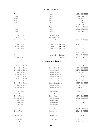# **Libournais - Pomerol**

| PETRUS                  | PETRUS                       |        | 1988 € 8.000,00 |
|-------------------------|------------------------------|--------|-----------------|
| PETRUS                  | PETRUS                       |        | 1996 € 7.000,00 |
| PETRUS                  | PETRUS                       | 2003   | € 6.000,00      |
| PETRUS                  | PETRUS                       | 2007   | € 6.700,00      |
| PETRUS                  | PETRUS                       | 2008   | € 6.500,00      |
| PETRUS                  | PETRUS                       | 2009   | € 9.000,00      |
| PETRUS                  | PETRUS                       | 2011   | € 7.000,00      |
| PETRUS                  | PETRUS                       | 2015   | € 5.000,00      |
| PETRUS                  | PETRUS                       | 2015   | € 4.000,00      |
|                         |                              |        |                 |
| Château La Grave        | JEAN-PIERRE MOUEIX           | 2015   | 250,00<br>€     |
| CHÂTEAU LA GRAVE        | JEAN-PIERRE MOUEIX           | 2016   | 200,00<br>€     |
| CHÂTEAU LA FLEUR-PÉTRUS | JEAN-PIERRE MOUEIX           | 2016   | 580,00<br>€     |
|                         |                              |        |                 |
| CHÂTEAU L'EVANGILE      | DOMAINE BARONS DE ROTHSCHILD | 2000   | 700,00<br>€     |
| CHÂTEAU L'EVANGILE      | DOMAINE BARONS DE ROTHSCHILD | 2001   | 550,00<br>€     |
| CHÂTEAU L'EVANGILE      | DOMAINE BARONS DE ROTHSCHILD | 2002   | 450,00<br>€     |
|                         |                              |        |                 |
| CHÂTEAU LAFLEUR         | ACQUES ET SYLVIE GUINAUDEAU  | 2011   | € 1.200,00      |
| CHÂTEAU LAFLEUR         | ACQUES ET SYLVIE GUINAUDEAU  | 2015   | €<br>900,00     |
| CHÂTEAU LAFLEUR         | ACQUES ET SYLVIE GUINAUDEAU  | 2016   | €<br>800,00     |
|                         |                              |        |                 |
|                         | LIBOURNAIS - SAINT-ÉMILION   |        |                 |
| CHÂTEAU CHEVAL BLANC    | CHÂTEAU CHEVAL BLANC         |        | 1993 € 1.500,00 |
| CHÂTEAU CHEVAL BLANC    | CHÂTEAU CHEVAL BLANC         |        | 1995 € 1.800,00 |
| CHÂTEAU CHEVAL BLANC    | CHÂTEAU CHEVAL BLANC         | 1998   | € 2.200,00      |
| CHÂTEAU CHEVAL BLANC    | CHÂTEAU CHEVAL BLANC         | 2000   | € 2.700,00      |
| CHÂTEAU CHEVAL BLANC    | CHÂTEAU CHEVAL BLANC         | 2001   | € 1.900,00      |
| CHÂTEAU CHEVAL BLANC    | CHÂTEAU CHEVAL BLANC         | 2002   | € 1.800,00      |
| CHÂTEAU CHEVAL BLANC    | CHÂTEAU CHEVAL BLANC         |        | 2004 € 1.600,00 |
| CHÂTEAU CHEVAL BLANC    | CHÂTEAU CHEVAL BLANC         |        | 2005 € 2.100,00 |
| CHÂTEAU CHEVAL BLANC    | CHÂTEAU CHEVAL BLANC         |        | 2007 € 1.400,00 |
| CHÂTEAU CHEVAL BLANC    | CHÂTEAU CHEVAL BLANC         |        | 2008 € 1.200,00 |
| CHÂTEAU CHEVAL BLANC    | CHÂTEAU CHEVAL BLANC         |        | 2016 € 1.900,00 |
|                         |                              |        |                 |
| CHÂTEAU ANGELUS         | <b>CHÂTEAU ANGELUS</b>       |        | 1995 € 1.400,00 |
| <b>CHÂTEAU ANGELUS</b>  | <b>CHÂTEAU ANGELUS</b>       |        | 1996 € 1.200,00 |
| CHÂTEAU ANGELUS         | CHÂTEAU ANGELUS              |        | 1998 € 1.800,00 |
| CHÂTEAU ANGELUS         | <b>CHÂTEAU ANGELUS</b>       |        | 2000 € 1.300,00 |
| <b>CHÂTEAU ANGELUS</b>  | <b>CHÂTEAU ANGELUS</b>       |        | 2002 € 800,00   |
| CHÂTEAU ANGELUS         | <b>CHÂTEAU ANGELUS</b>       | 2004 € | 600,00          |
| CHÂTEAU ANGELUS         | CHÂTEAU ANGELUS              | 2009 € | 700,00          |
|                         |                              |        |                 |
| CHÂTEAU PAVIE           | <b>CHÂTEAU PAVIE</b>         |        | 2000 € 1.500,00 |
| CHÂTEAU PAVIE           | CHÂTEAU PAVIE                |        | 2015 € 700,00   |
|                         |                              |        |                 |
| CHÂTFAU FIGFAC          | CHÂTEAU FIGEAC               | 2001 € | 600,00          |
| CHÂTEAU AUSONE          | <b>FAMILLE VAUTHIER</b>      |        | 2013 € 1.400,00 |
| CHÂTEAU AUSONE          | FAMILLE VAUTHIER             |        | 2014 € 1.300,00 |
|                         |                              |        |                 |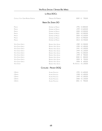# **La Rioja DOCa**

| CASTILLO YGAY GRAN RESERVA ESPECIAL | <b>MAROUES DE MURRIETA</b> | 2009                         | 700,00<br>€     |
|-------------------------------------|----------------------------|------------------------------|-----------------|
|                                     | <b>RIBERA DEL DUERO DO</b> |                              |                 |
| PINGUS                              | <b>DOMINIO DE PINGUS</b>   |                              | 1996 € 3.800,00 |
| PINGUS                              | <b>DOMINIO DE PINGUS</b>   |                              | 1999 € 3.600,00 |
| PINGUS                              | DOMINIO DE PINGUS          |                              | 2000 € 3.500,00 |
| PINGUS                              | <b>DOMINIO DE PINGUS</b>   |                              | 2001 € 3.300,00 |
| PINGUS                              | <b>DOMINIO DE PINGUS</b>   | 2004                         | € 3.100,00      |
| PINGUS                              | DOMINIO DE PINGUS          |                              | 2013 € 2.900,00 |
| PINGUS                              | DOMINIO DE PINGUS          |                              | 2014 € 2.700,00 |
| <b>VEGA SICILIA UNICO</b>           | <b>BODEGA VEGA SICILIA</b> |                              | 1989 € 1.500,00 |
| <b>VEGA SICILIA UNICO</b>           | <b>BODEGA VEGA SICILIA</b> |                              | 1990 € 1.400,00 |
| <b>VEGA SICILIA UNICO</b>           | <b>BODEGA VEGA SICILIA</b> |                              | 1991 € 1.200,00 |
| <b>VEGA SICILIA UNICO</b>           | <b>BODEGA VEGA SICILIA</b> |                              | 1994 € 1.100,00 |
| <b>VEGA SICILIA UNICO</b>           | <b>BODEGA VEGA SICILIA</b> | 1996                         | € 1.000,00      |
| <b>VEGA SICILIA UNICO</b>           | <b>BODEGA VEGA SICILIA</b> | 1999                         | 900,00<br>€     |
| <b>VEGA SICILIA UNICO</b>           | <b>BODEGA VEGA SICILIA</b> | 2000                         | 800,00<br>€     |
| <b>VEGA SICILIA UNICO</b>           | BODEGA VEGA SICILIA        | 2005                         | 700,00<br>€     |
| <b>VEGA SICILIA UNICO</b>           | <b>BODEGA VEGA SICILIA</b> | 2006                         | 600,00<br>€     |
| <b>VEGA SICILIA</b>                 | <b>BODEGA VEGA SICILIA</b> | RIS. ESPECIAL $\in$ 1.100,00 |                 |
|                                     | CATALUÑA - PRIORAT DOQ     |                              |                 |
| L'ERMITA                            | ALVARO PALACIOS            |                              | 1995 € 1.600,00 |

| L ERMIJA I | Alvaro Palacios |  | L77J E LOUU,UU  |
|------------|-----------------|--|-----------------|
| L'Ermita   | Alvaro Palacios |  | 1998 € 1.400,00 |
| L'Ermita   | Alvaro Palacios |  | 1999 € 1.300,00 |
| L'Ermita   | ALVARO PALACIOS |  | 2000 € 1.100,00 |
| L'Ermita   | ALVARO PALACIOS |  | 2001 € 900,00   |
|            |                 |  |                 |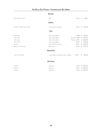#### **Austria**

| <b>PINOT NOIR GOLSER</b>  | JURIS                                | 2016        | 60,00<br>€  |
|---------------------------|--------------------------------------|-------------|-------------|
|                           | <b>SRAELE</b>                        |             |             |
| YARDEN CABERNET SAUVIGNON | <b>GOLAN HEIGHTS WINERY</b>          | 2010        | 130,00<br>€ |
|                           | <b>U<sub>SA</sub></b>                |             |             |
| OPUS ONE                  | OPUS ONE WINERY                      | 1998        | 900,00<br>€ |
| OPUS ONE                  | OPUS ONE WINERY                      | MAGNUM 1998 | € 1.900,00  |
| OPUS ONE                  | OPUS ONE WINERY                      | MAGNUM 2001 | € 1.300,00  |
| OPUS ONE                  | OPUS ONE WINERY                      | 2014        | 700,00<br>€ |
| <b>INSIGNA</b>            | JOSEPH PHELPS VINEYARDS              | 2014        | 800,00<br>€ |
| <b>BERGSTRÖM VINEYARD</b> | BERGSTRÖM                            | 2013        | 250,00<br>€ |
|                           | ARGENTINA                            |             |             |
| CHEVAL DES ANDES          | CHEVAL BLANC & TERRAZAS DE LOS ANDES | 2009        | 180,00<br>€ |
|                           | <b>AUSTRALIA</b>                     |             |             |
| <b>GRANGE</b>             | PENFOLDS                             | 2010        | € 2.000,00  |
| <b>GRANGE</b>             | PENFOLDS                             | 2011        | € 1.800,00  |
| GRANGE                    | PENFOLDS                             | 2014        | € 1.600,00  |